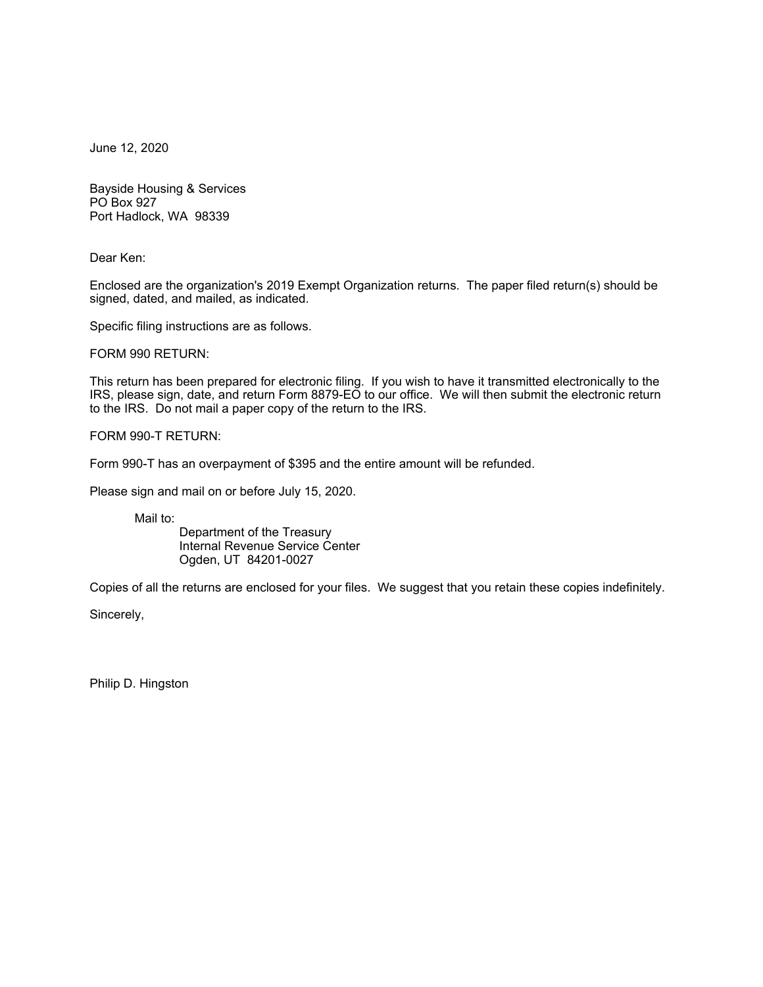June 12, 2020

Bayside Housing & Services PO Box 927 Port Hadlock, WA 98339

Dear Ken:

Enclosed are the organization's 2019 Exempt Organization returns. The paper filed return(s) should be signed, dated, and mailed, as indicated.

Specific filing instructions are as follows.

FORM 990 RETURN:

This return has been prepared for electronic filing. If you wish to have it transmitted electronically to the IRS, please sign, date, and return Form 8879-EO to our office. We will then submit the electronic return to the IRS. Do not mail a paper copy of the return to the IRS.

FORM 990-T RETURN:

Form 990-T has an overpayment of \$395 and the entire amount will be refunded.

Please sign and mail on or before July 15, 2020.

Mail to:

Department of the Treasury Internal Revenue Service Center Ogden, UT 84201-0027

Copies of all the returns are enclosed for your files. We suggest that you retain these copies indefinitely.

Sincerely,

Philip D. Hingston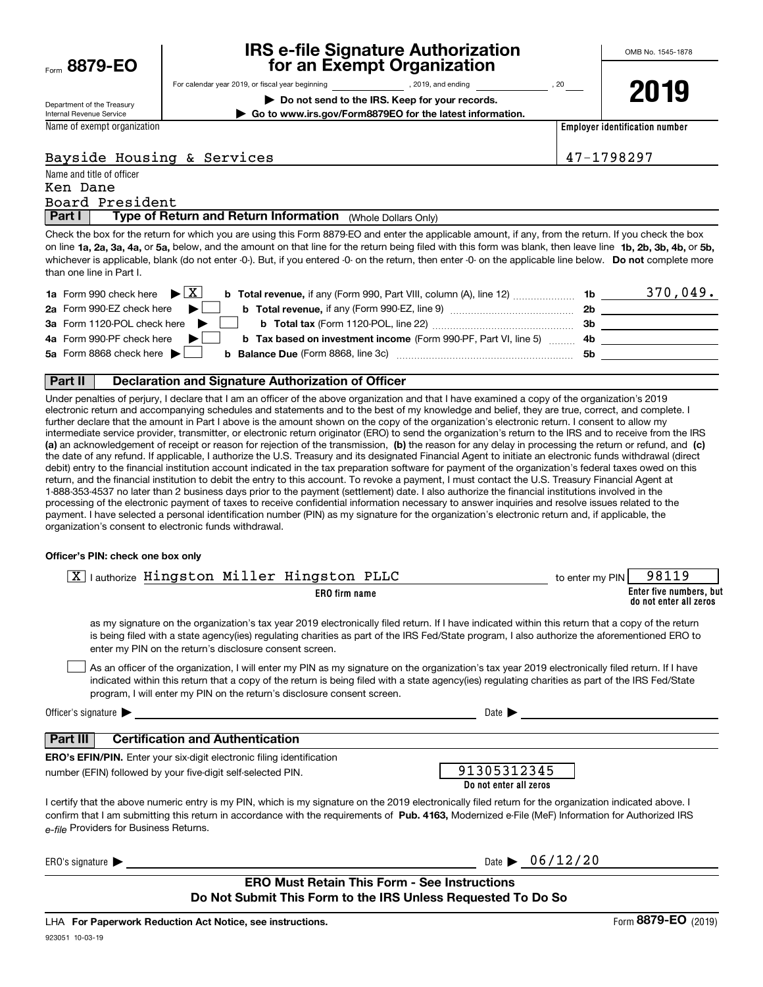| Form | 8879-EO |  |
|------|---------|--|
|      |         |  |

## **IRS e-file Signature Authorization for an Exempt Organization**

**| Do not send to the IRS. Keep for your records. | Go to www.irs.gov/Form8879EO for the latest information.**

For calendar year 2019, or fiscal year beginning and the state of the state of 2019, and ending calendary permu

Department of the Treasury Internal Revenue Service

Name of exempt organization

**2019**

**Employer identification number**

## Bayside Housing & Services 47-1798297

| Name and title of officer |                                                            |  |  |  |
|---------------------------|------------------------------------------------------------|--|--|--|
| Ken Dane                  |                                                            |  |  |  |
|                           | Board President                                            |  |  |  |
| Part I                    | Type of Return and Return Information (Whole Dollars Only) |  |  |  |

on line **1a, 2a, 3a, 4a,** or **5a,** below, and the amount on that line for the return being filed with this form was blank, then leave line **1b, 2b, 3b, 4b,** or **5b,** whichever is applicable, blank (do not enter -0-). But, if you entered -0- on the return, then enter -0- on the applicable line below. **Do not** complete more Check the box for the return for which you are using this Form 8879-EO and enter the applicable amount, if any, from the return. If you check the box than one line in Part I.

| <b>1a</b> Form 990 check here $\blacktriangleright \begin{bmatrix} X \end{bmatrix}$<br><b>b</b> Total revenue, if any (Form 990, Part VIII, column (A), line 12) | 1b  | 370,049. |
|------------------------------------------------------------------------------------------------------------------------------------------------------------------|-----|----------|
| 2a Form 990-EZ check here<br>$\blacksquare$<br><b>b</b> Total revenue, if any (Form 990-EZ, line 9) <i></i>                                                      | 2b  |          |
| 3a Form 1120-POL check here $\blacktriangleright$ $\lfloor$                                                                                                      | 3b  |          |
| 4a Form 990-PF check here $\blacktriangleright$<br><b>b</b> Tax based on investment income (Form 990-PF, Part VI, line 5) 4b                                     |     |          |
| 5a Form 8868 check here $\blacktriangleright$                                                                                                                    | .5b |          |
|                                                                                                                                                                  |     |          |

### **Part II Declaration and Signature Authorization of Officer**

**(a)** an acknowledgement of receipt or reason for rejection of the transmission, (b) the reason for any delay in processing the return or refund, and (c) Under penalties of perjury, I declare that I am an officer of the above organization and that I have examined a copy of the organization's 2019 electronic return and accompanying schedules and statements and to the best of my knowledge and belief, they are true, correct, and complete. I further declare that the amount in Part I above is the amount shown on the copy of the organization's electronic return. I consent to allow my intermediate service provider, transmitter, or electronic return originator (ERO) to send the organization's return to the IRS and to receive from the IRS the date of any refund. If applicable, I authorize the U.S. Treasury and its designated Financial Agent to initiate an electronic funds withdrawal (direct debit) entry to the financial institution account indicated in the tax preparation software for payment of the organization's federal taxes owed on this return, and the financial institution to debit the entry to this account. To revoke a payment, I must contact the U.S. Treasury Financial Agent at 1-888-353-4537 no later than 2 business days prior to the payment (settlement) date. I also authorize the financial institutions involved in the processing of the electronic payment of taxes to receive confidential information necessary to answer inquiries and resolve issues related to the payment. I have selected a personal identification number (PIN) as my signature for the organization's electronic return and, if applicable, the organization's consent to electronic funds withdrawal.

### **Officer's PIN: check one box only**

| lauthorize Hingston Miller Hingston PLLC                                                                                                                                                                                                                                                                                                                                         | 98119<br>to enter my PIN                          |
|----------------------------------------------------------------------------------------------------------------------------------------------------------------------------------------------------------------------------------------------------------------------------------------------------------------------------------------------------------------------------------|---------------------------------------------------|
| <b>ERO</b> firm name                                                                                                                                                                                                                                                                                                                                                             | Enter five numbers, but<br>do not enter all zeros |
| as my signature on the organization's tax year 2019 electronically filed return. If I have indicated within this return that a copy of the return<br>is being filed with a state agency(ies) regulating charities as part of the IRS Fed/State program, I also authorize the aforementioned ERO to<br>enter my PIN on the return's disclosure consent screen.                    |                                                   |
| As an officer of the organization, I will enter my PIN as my signature on the organization's tax year 2019 electronically filed return. If I have<br>indicated within this return that a copy of the return is being filed with a state agency(ies) regulating charities as part of the IRS Fed/State<br>program, I will enter my PIN on the return's disclosure consent screen. |                                                   |
| Officer's signature $\blacktriangleright$<br>Date $\blacktriangleright$                                                                                                                                                                                                                                                                                                          |                                                   |
| <b>Certification and Authentication</b><br>Part III                                                                                                                                                                                                                                                                                                                              |                                                   |
| <b>ERO's EFIN/PIN.</b> Enter your six-digit electronic filing identification<br>number (EFIN) followed by your five-digit self-selected PIN.                                                                                                                                                                                                                                     | 91305312345<br>Do not enter all zeros             |
| I certify that the above numeric entry is my PIN, which is my signature on the 2019 electronically filed return for the organization indicated above. I<br>confirm that I am submitting this return in accordance with the requirements of Pub. 4163, Modernized e-File (MeF) Information for Authorized IRS<br>e-file Providers for Business Returns.                           |                                                   |
| ERO's signature                                                                                                                                                                                                                                                                                                                                                                  | Date $\bullet$ 06/12/20                           |
| <b>ERO Must Retain This Form - See Instructions</b><br>Do Not Submit This Form to the IRS Unless Requested To Do So                                                                                                                                                                                                                                                              |                                                   |

923051 10-03-19 LHA For Paperwork Reduction Act Notice, see instructions.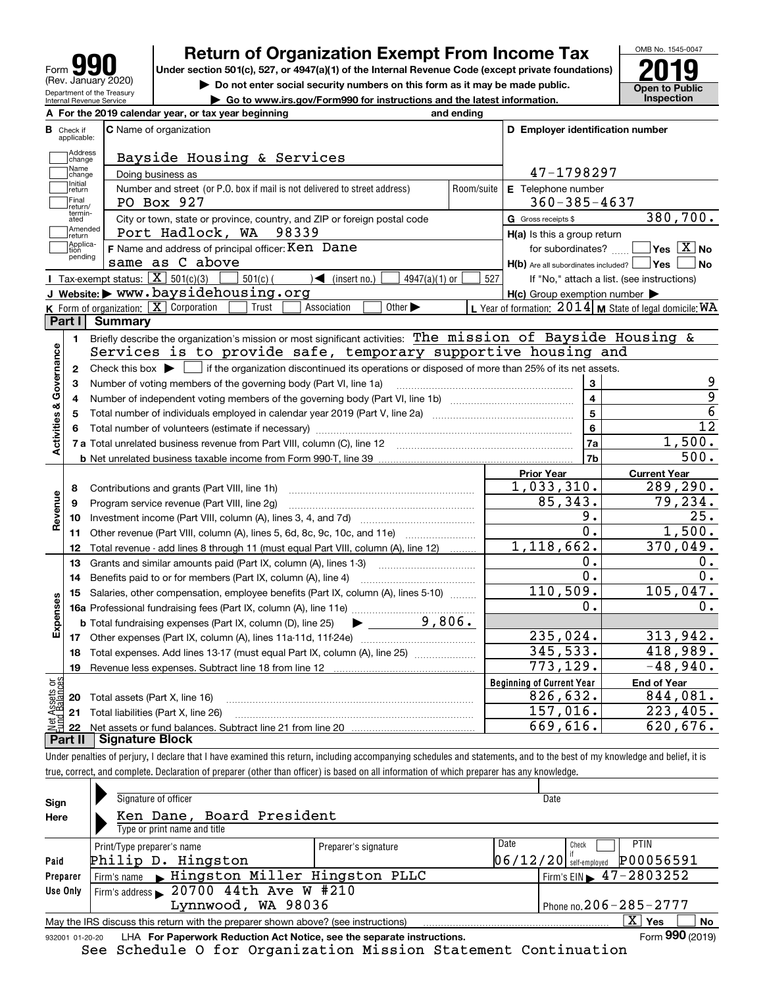| Form                                                   |
|--------------------------------------------------------|
| (Rev. January 2020)                                    |
| Department of the Treasury<br>Internal Revenue Service |

**A**

# **Return of Organization Exempt From Income Tax**

Under section 501(c), 527, or 4947(a)(1) of the Internal Revenue Code (except private foundations) **2019** 

**| Do not enter social security numbers on this form as it may be made public.**

**| Go to www.irs.gov/Form990 for instructions and the latest information. Inspection**



|                         |                         | A For the 2019 calendar year, or tax year beginning                                                                                         | and ending |                                                     |                                                           |
|-------------------------|-------------------------|---------------------------------------------------------------------------------------------------------------------------------------------|------------|-----------------------------------------------------|-----------------------------------------------------------|
| В                       | Check if<br>applicable: | <b>C</b> Name of organization                                                                                                               |            | D Employer identification number                    |                                                           |
|                         | Address<br>change       | Bayside Housing & Services                                                                                                                  |            |                                                     |                                                           |
|                         | Name<br>change          | Doing business as                                                                                                                           |            | 47-1798297                                          |                                                           |
|                         | Initial<br>return       | Number and street (or P.O. box if mail is not delivered to street address)                                                                  | Room/suite | E Telephone number                                  |                                                           |
|                         | Final<br>return/        | PO Box 927                                                                                                                                  |            | $360 - 385 - 4637$                                  |                                                           |
|                         | termin-<br>ated         | City or town, state or province, country, and ZIP or foreign postal code                                                                    |            | G Gross receipts \$                                 | 380,700.                                                  |
|                         | Amended<br>return       | Port Hadlock, WA 98339                                                                                                                      |            | H(a) Is this a group return                         |                                                           |
|                         | Applica-<br>tion        | F Name and address of principal officer: Ken Dane                                                                                           |            | for subordinates?                                   | $\sqrt{}$ Yes $\sqrt{}$ X $\sqrt{}$ No                    |
|                         | pending                 | same as C above                                                                                                                             |            | $H(b)$ Are all subordinates included? $\Box$ Yes    | l No                                                      |
|                         |                         | Tax-exempt status: $\boxed{\mathbf{X}}$ 501(c)(3) [<br>$\sum$ (insert no.)<br>$501(c)$ (<br>$4947(a)(1)$ or                                 | 527        |                                                     | If "No," attach a list. (see instructions)                |
|                         |                         | J Website: > www.baysidehousing.org                                                                                                         |            | $H(c)$ Group exemption number $\blacktriangleright$ |                                                           |
|                         |                         | K Form of organization: $X$ Corporation<br>Other $\blacktriangleright$<br>Association<br>Trust                                              |            |                                                     | L Year of formation: $2014$ M State of legal domicile: WA |
|                         | Part I                  | <b>Summary</b>                                                                                                                              |            |                                                     |                                                           |
|                         | 1.                      | Briefly describe the organization's mission or most significant activities: The mission of Bayside Housing &                                |            |                                                     |                                                           |
|                         |                         | Services is to provide safe, temporary supportive housing and                                                                               |            |                                                     |                                                           |
| Activities & Governance |                         | 2 Check this box $\blacktriangleright \Box$ if the organization discontinued its operations or disposed of more than 25% of its net assets. |            |                                                     |                                                           |
|                         | 3                       | Number of voting members of the governing body (Part VI, line 1a)                                                                           |            | 3                                                   | 9                                                         |
|                         | 4                       |                                                                                                                                             |            | $\overline{\mathbf{4}}$                             | $\overline{9}$                                            |
|                         | 5                       |                                                                                                                                             |            | $5\phantom{a}$                                      | $\overline{6}$                                            |
|                         | 6                       |                                                                                                                                             |            | 6                                                   | $\overline{12}$                                           |
|                         |                         |                                                                                                                                             |            | 7a                                                  | 1,500.                                                    |
|                         |                         |                                                                                                                                             |            | 7b                                                  | 500.                                                      |
|                         |                         |                                                                                                                                             |            | <b>Prior Year</b>                                   | <b>Current Year</b>                                       |
|                         | 8                       | Contributions and grants (Part VIII, line 1h)                                                                                               |            | 1,033,310.                                          | 289,290.                                                  |
| Revenue                 | 9                       | Program service revenue (Part VIII, line 2g)                                                                                                |            | 85, 343.                                            | 79,234.                                                   |
|                         | 10                      |                                                                                                                                             |            | 9.                                                  | 25.                                                       |
|                         | 11                      | Other revenue (Part VIII, column (A), lines 5, 6d, 8c, 9c, 10c, and 11e)                                                                    |            | 0.                                                  | 1,500.                                                    |
|                         | 12                      | Total revenue - add lines 8 through 11 (must equal Part VIII, column (A), line 12)                                                          |            | 1, 118, 662.                                        | 370,049.                                                  |
|                         | 13                      | Grants and similar amounts paid (Part IX, column (A), lines 1-3)                                                                            |            | Ο.                                                  | 0.                                                        |
|                         | 14                      | Benefits paid to or for members (Part IX, column (A), line 4)                                                                               |            | 0.                                                  | 0.                                                        |
|                         | 15                      | Salaries, other compensation, employee benefits (Part IX, column (A), lines 5-10)                                                           |            | 110, 509.                                           | 105,047.                                                  |
| Expenses                |                         |                                                                                                                                             |            | о.                                                  | 0.                                                        |
|                         |                         | $\blacktriangleright$ 9,806.<br><b>b</b> Total fundraising expenses (Part IX, column (D), line 25)                                          |            |                                                     |                                                           |
|                         |                         |                                                                                                                                             |            | 235,024.                                            | 313,942.                                                  |
|                         |                         | 18 Total expenses. Add lines 13-17 (must equal Part IX, column (A), line 25)                                                                |            | 345,533.                                            | 418,989.                                                  |
|                         | 19                      |                                                                                                                                             |            | 773, 129.                                           | $-48,940.$                                                |
|                         |                         |                                                                                                                                             |            | <b>Beginning of Current Year</b>                    | <b>End of Year</b>                                        |
|                         |                         | <b>20</b> Total assets (Part X, line 16)                                                                                                    |            | 826,632.                                            | 844,081.                                                  |
| ăğ                      |                         |                                                                                                                                             |            |                                                     |                                                           |
| <b>Ssets</b><br>Balanc  |                         | 21 Total liabilities (Part X, line 26)                                                                                                      |            | 157,016.<br>669,616.                                | 223,405.<br>620,676.                                      |

Under penalties of perjury, I declare that I have examined this return, including accompanying schedules and statements, and to the best of my knowledge and belief, it is true, correct, and complete. Declaration of preparer (other than officer) is based on all information of which preparer has any knowledge.

| Sign     | Signature of officer                                                                                         |                              | Date                                        |  |  |  |  |
|----------|--------------------------------------------------------------------------------------------------------------|------------------------------|---------------------------------------------|--|--|--|--|
| Here     | Ken Dane, Board President                                                                                    |                              |                                             |  |  |  |  |
|          | Type or print name and title                                                                                 |                              |                                             |  |  |  |  |
|          | Print/Type preparer's name                                                                                   | Preparer's signature         | Date<br>PTIN<br>Check                       |  |  |  |  |
| Paid     | Philip D. Hingston                                                                                           |                              | P00056591<br>$06/12/20$ self-employed       |  |  |  |  |
| Preparer | Firm's name Mingston Miller Hingston PLLC                                                                    |                              | Firm's EIN $\blacktriangleright$ 47-2803252 |  |  |  |  |
| Use Only | Firm's address $\blacktriangleright$ 20700 44th Ave W #210                                                   |                              |                                             |  |  |  |  |
|          | Lynnwood, WA 98036                                                                                           | Phone no. $206 - 285 - 2777$ |                                             |  |  |  |  |
|          | May the IRS discuss this return with the preparer shown above? (see instructions)                            |                              | $X \mid Y$ es<br><b>No</b>                  |  |  |  |  |
|          | Form 990 (2019)<br>LHA For Paperwork Reduction Act Notice, see the separate instructions.<br>932001 01-20-20 |                              |                                             |  |  |  |  |

See Schedule O for Organization Mission Statement Continuation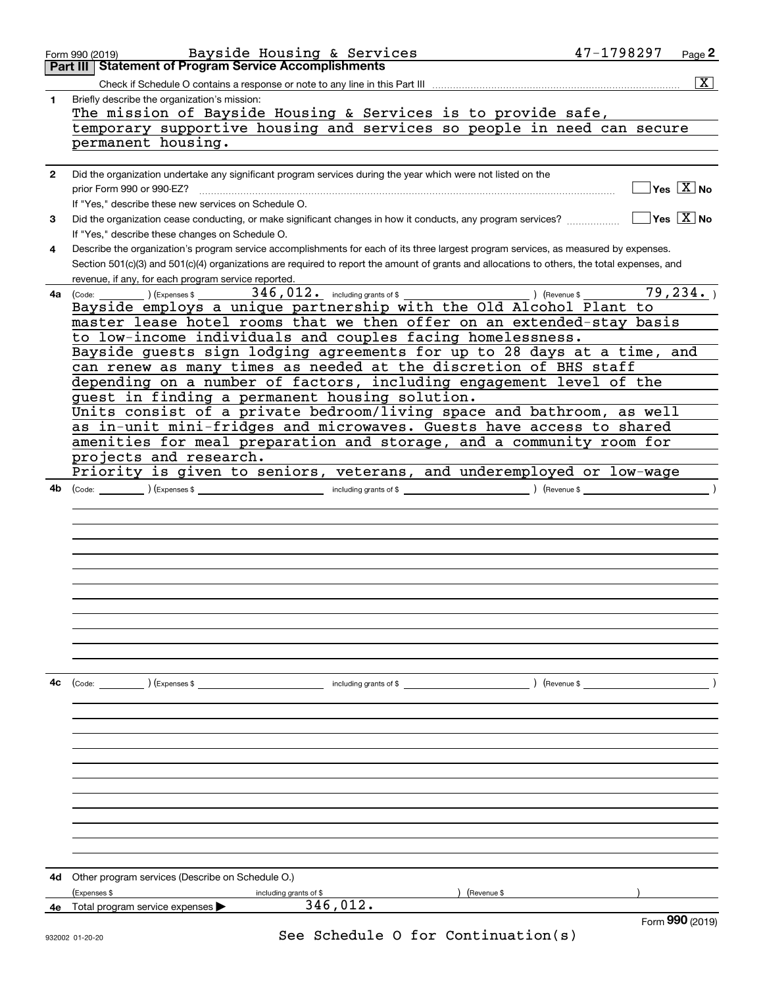| 1  | Bayside Housing & Services<br>Form 990 (2019)<br>Part III   Statement of Program Service Accomplishments                                     |                                        | Page 2             |
|----|----------------------------------------------------------------------------------------------------------------------------------------------|----------------------------------------|--------------------|
|    |                                                                                                                                              |                                        |                    |
|    |                                                                                                                                              |                                        | $\boxed{\text{X}}$ |
|    | Briefly describe the organization's mission:                                                                                                 |                                        |                    |
|    | The mission of Bayside Housing & Services is to provide safe,                                                                                |                                        |                    |
|    | temporary supportive housing and services so people in need can secure                                                                       |                                        |                    |
|    | permanent housing.                                                                                                                           |                                        |                    |
|    |                                                                                                                                              |                                        |                    |
| 2  | Did the organization undertake any significant program services during the year which were not listed on the                                 |                                        |                    |
|    |                                                                                                                                              | $\sqrt{}$ Yes $\sqrt{}$ X $\sqrt{}$ No |                    |
|    | prior Form 990 or 990-EZ?                                                                                                                    |                                        |                    |
|    | If "Yes," describe these new services on Schedule O.                                                                                         |                                        |                    |
| 3  | Did the organization cease conducting, or make significant changes in how it conducts, any program services?                                 | $\Box$ Yes $\Box$ No                   |                    |
|    | If "Yes," describe these changes on Schedule O.                                                                                              |                                        |                    |
| 4  | Describe the organization's program service accomplishments for each of its three largest program services, as measured by expenses.         |                                        |                    |
|    | Section 501(c)(3) and 501(c)(4) organizations are required to report the amount of grants and allocations to others, the total expenses, and |                                        |                    |
|    | revenue, if any, for each program service reported.                                                                                          |                                        |                    |
| 4a |                                                                                                                                              | 79, 234.                               |                    |
|    | Bayside employs a unique partnership with the Old Alcohol Plant to                                                                           |                                        |                    |
|    | master lease hotel rooms that we then offer on an extended-stay basis                                                                        |                                        |                    |
|    | to low-income individuals and couples facing homelessness.                                                                                   |                                        |                    |
|    | Bayside guests sign lodging agreements for up to 28 days at a time, and                                                                      |                                        |                    |
|    | can renew as many times as needed at the discretion of BHS staff                                                                             |                                        |                    |
|    | depending on a number of factors, including engagement level of the                                                                          |                                        |                    |
|    | guest in finding a permanent housing solution.                                                                                               |                                        |                    |
|    | Units consist of a private bedroom/living space and bathroom, as well                                                                        |                                        |                    |
|    | as in-unit mini-fridges and microwaves. Guests have access to shared                                                                         |                                        |                    |
|    | amenities for meal preparation and storage, and a community room for                                                                         |                                        |                    |
|    | projects and research.                                                                                                                       |                                        |                    |
|    | Priority is given to seniors, veterans, and underemployed or low-wage                                                                        |                                        |                    |
|    |                                                                                                                                              |                                        |                    |
| 4b |                                                                                                                                              |                                        |                    |
|    |                                                                                                                                              |                                        |                    |
|    |                                                                                                                                              |                                        |                    |
|    |                                                                                                                                              |                                        |                    |
|    |                                                                                                                                              |                                        |                    |
|    |                                                                                                                                              |                                        |                    |
|    |                                                                                                                                              |                                        |                    |
|    |                                                                                                                                              |                                        |                    |
|    |                                                                                                                                              |                                        |                    |
|    |                                                                                                                                              |                                        |                    |
|    |                                                                                                                                              |                                        |                    |
|    |                                                                                                                                              |                                        |                    |
|    |                                                                                                                                              |                                        |                    |
|    |                                                                                                                                              |                                        |                    |
| 4с |                                                                                                                                              |                                        |                    |
|    | ) (Revenue \$                                                                                                                                |                                        |                    |
|    |                                                                                                                                              |                                        |                    |
|    |                                                                                                                                              |                                        |                    |
|    |                                                                                                                                              |                                        |                    |
|    |                                                                                                                                              |                                        |                    |
|    |                                                                                                                                              |                                        |                    |
|    |                                                                                                                                              |                                        |                    |
|    |                                                                                                                                              |                                        |                    |
|    |                                                                                                                                              |                                        |                    |
|    |                                                                                                                                              |                                        |                    |
|    |                                                                                                                                              |                                        |                    |
|    |                                                                                                                                              |                                        |                    |
|    |                                                                                                                                              |                                        |                    |
| 4d | Other program services (Describe on Schedule O.)                                                                                             |                                        |                    |
|    | (Expenses \$<br>) (Revenue \$<br>including grants of \$                                                                                      |                                        |                    |
| 4e | 346,012.<br>Total program service expenses                                                                                                   |                                        |                    |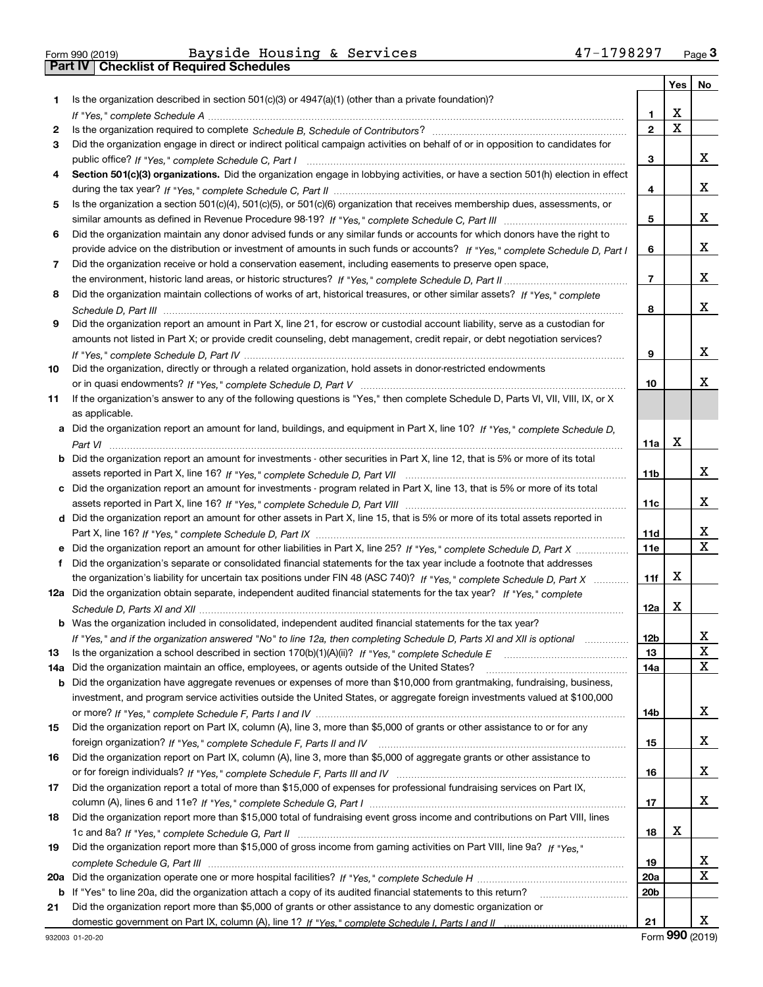|  | Form 990 (2019) |  |
|--|-----------------|--|

|     |                                                                                                                                                                                                                                                   |                 | Yes | No |
|-----|---------------------------------------------------------------------------------------------------------------------------------------------------------------------------------------------------------------------------------------------------|-----------------|-----|----|
| 1   | Is the organization described in section $501(c)(3)$ or $4947(a)(1)$ (other than a private foundation)?                                                                                                                                           |                 |     |    |
|     |                                                                                                                                                                                                                                                   | 1               | X   |    |
| 2   |                                                                                                                                                                                                                                                   | $\mathbf{2}$    | X   |    |
| 3   | Did the organization engage in direct or indirect political campaign activities on behalf of or in opposition to candidates for                                                                                                                   |                 |     |    |
|     |                                                                                                                                                                                                                                                   | 3               |     | X. |
| 4   | Section 501(c)(3) organizations. Did the organization engage in lobbying activities, or have a section 501(h) election in effect                                                                                                                  |                 |     |    |
|     |                                                                                                                                                                                                                                                   | 4               |     | x  |
| 5   | Is the organization a section 501(c)(4), 501(c)(5), or 501(c)(6) organization that receives membership dues, assessments, or                                                                                                                      |                 |     |    |
|     |                                                                                                                                                                                                                                                   | 5               |     | x  |
| 6   | Did the organization maintain any donor advised funds or any similar funds or accounts for which donors have the right to                                                                                                                         |                 |     |    |
|     | provide advice on the distribution or investment of amounts in such funds or accounts? If "Yes," complete Schedule D, Part I                                                                                                                      | 6               |     | X. |
| 7   | Did the organization receive or hold a conservation easement, including easements to preserve open space,                                                                                                                                         |                 |     |    |
|     |                                                                                                                                                                                                                                                   | $\overline{7}$  |     | X. |
| 8   | Did the organization maintain collections of works of art, historical treasures, or other similar assets? If "Yes," complete                                                                                                                      |                 |     |    |
|     |                                                                                                                                                                                                                                                   | 8               |     | X. |
| 9   | Did the organization report an amount in Part X, line 21, for escrow or custodial account liability, serve as a custodian for                                                                                                                     |                 |     |    |
|     | amounts not listed in Part X; or provide credit counseling, debt management, credit repair, or debt negotiation services?                                                                                                                         |                 |     |    |
|     |                                                                                                                                                                                                                                                   | 9               |     | x  |
| 10  | Did the organization, directly or through a related organization, hold assets in donor-restricted endowments                                                                                                                                      |                 |     |    |
|     |                                                                                                                                                                                                                                                   | 10              |     | x  |
| 11  | If the organization's answer to any of the following questions is "Yes," then complete Schedule D, Parts VI, VII, VIII, IX, or X                                                                                                                  |                 |     |    |
|     | as applicable.                                                                                                                                                                                                                                    |                 |     |    |
|     | a Did the organization report an amount for land, buildings, and equipment in Part X, line 10? If "Yes," complete Schedule D,                                                                                                                     |                 |     |    |
|     |                                                                                                                                                                                                                                                   | 11a             | х   |    |
|     | <b>b</b> Did the organization report an amount for investments - other securities in Part X, line 12, that is 5% or more of its total                                                                                                             |                 |     |    |
|     |                                                                                                                                                                                                                                                   | 11 <sub>b</sub> |     | x  |
|     | c Did the organization report an amount for investments - program related in Part X, line 13, that is 5% or more of its total                                                                                                                     |                 |     |    |
|     |                                                                                                                                                                                                                                                   | 11c             |     | X  |
|     | d Did the organization report an amount for other assets in Part X, line 15, that is 5% or more of its total assets reported in                                                                                                                   |                 |     | x  |
|     |                                                                                                                                                                                                                                                   | 11d             |     | X  |
|     | e Did the organization report an amount for other liabilities in Part X, line 25? If "Yes," complete Schedule D, Part X                                                                                                                           | <b>11e</b>      |     |    |
| f   | Did the organization's separate or consolidated financial statements for the tax year include a footnote that addresses                                                                                                                           |                 | x   |    |
|     | the organization's liability for uncertain tax positions under FIN 48 (ASC 740)? If "Yes," complete Schedule D, Part X<br>12a Did the organization obtain separate, independent audited financial statements for the tax year? If "Yes," complete | 11f             |     |    |
|     |                                                                                                                                                                                                                                                   | 12a             | x   |    |
|     | <b>b</b> Was the organization included in consolidated, independent audited financial statements for the tax year?                                                                                                                                |                 |     |    |
|     | If "Yes," and if the organization answered "No" to line 12a, then completing Schedule D, Parts XI and XII is optional                                                                                                                             | 12 <sub>b</sub> |     |    |
| 13  | Is the organization a school described in section $170(b)(1)(A)(ii)?$ If "Yes," complete Schedule E                                                                                                                                               | 13              |     | X  |
| 14a | Did the organization maintain an office, employees, or agents outside of the United States?                                                                                                                                                       | 14a             |     | x  |
| b   | Did the organization have aggregate revenues or expenses of more than \$10,000 from grantmaking, fundraising, business,                                                                                                                           |                 |     |    |
|     | investment, and program service activities outside the United States, or aggregate foreign investments valued at \$100,000                                                                                                                        |                 |     |    |
|     |                                                                                                                                                                                                                                                   | 14b             |     | x  |
| 15  | Did the organization report on Part IX, column (A), line 3, more than \$5,000 of grants or other assistance to or for any                                                                                                                         |                 |     |    |
|     |                                                                                                                                                                                                                                                   | 15              |     | x  |
| 16  | Did the organization report on Part IX, column (A), line 3, more than \$5,000 of aggregate grants or other assistance to                                                                                                                          |                 |     |    |
|     |                                                                                                                                                                                                                                                   | 16              |     | x  |
| 17  | Did the organization report a total of more than \$15,000 of expenses for professional fundraising services on Part IX,                                                                                                                           |                 |     |    |
|     |                                                                                                                                                                                                                                                   | 17              |     | x  |
| 18  | Did the organization report more than \$15,000 total of fundraising event gross income and contributions on Part VIII, lines                                                                                                                      |                 |     |    |
|     |                                                                                                                                                                                                                                                   | 18              | х   |    |
| 19  | Did the organization report more than \$15,000 of gross income from gaming activities on Part VIII, line 9a? If "Yes."                                                                                                                            |                 |     |    |
|     |                                                                                                                                                                                                                                                   | 19              |     | X  |
| 20a |                                                                                                                                                                                                                                                   | 20a             |     | x  |
|     | b If "Yes" to line 20a, did the organization attach a copy of its audited financial statements to this return?                                                                                                                                    | 20 <sub>b</sub> |     |    |
| 21  | Did the organization report more than \$5,000 of grants or other assistance to any domestic organization or                                                                                                                                       |                 |     |    |
|     |                                                                                                                                                                                                                                                   | 21              |     | x  |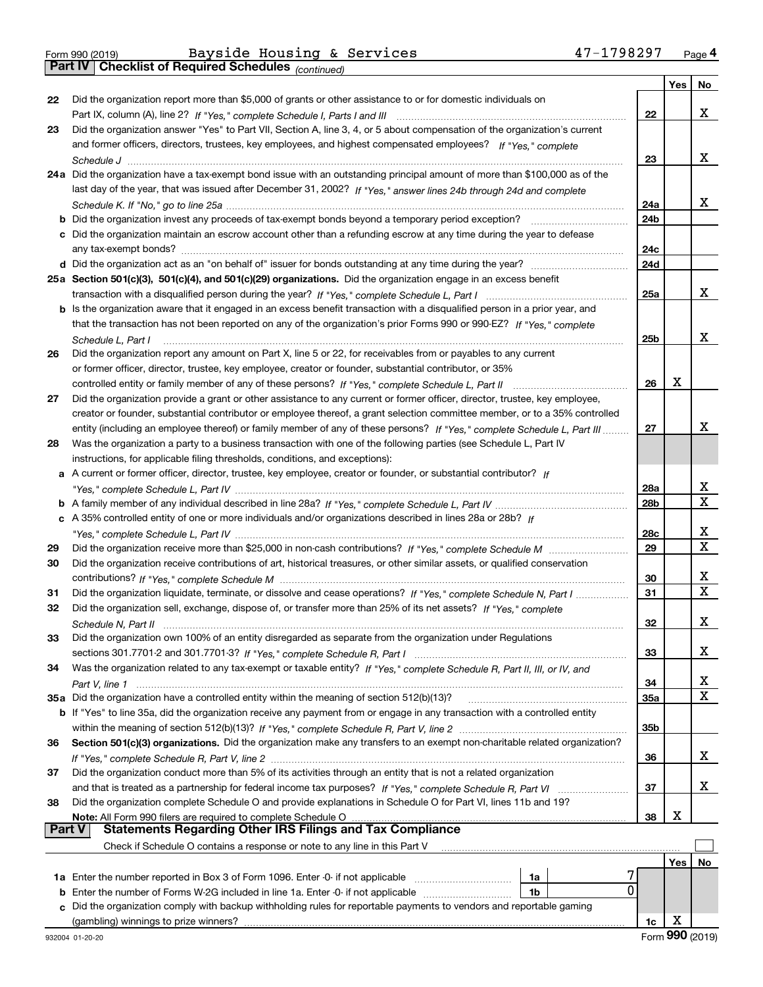*(continued)*

|        |                                                                                                                                                                                                       |                        | Yes | No     |
|--------|-------------------------------------------------------------------------------------------------------------------------------------------------------------------------------------------------------|------------------------|-----|--------|
| 22     | Did the organization report more than \$5,000 of grants or other assistance to or for domestic individuals on                                                                                         |                        |     |        |
|        |                                                                                                                                                                                                       | 22                     |     | x      |
| 23     | Did the organization answer "Yes" to Part VII, Section A, line 3, 4, or 5 about compensation of the organization's current                                                                            |                        |     |        |
|        | and former officers, directors, trustees, key employees, and highest compensated employees? If "Yes," complete                                                                                        |                        |     |        |
|        |                                                                                                                                                                                                       | 23                     |     | x      |
|        | 24a Did the organization have a tax-exempt bond issue with an outstanding principal amount of more than \$100,000 as of the                                                                           |                        |     |        |
|        | last day of the year, that was issued after December 31, 2002? If "Yes," answer lines 24b through 24d and complete                                                                                    |                        |     | x      |
|        |                                                                                                                                                                                                       | 24a<br>24 <sub>b</sub> |     |        |
|        | c Did the organization maintain an escrow account other than a refunding escrow at any time during the year to defease                                                                                |                        |     |        |
|        |                                                                                                                                                                                                       | 24c                    |     |        |
|        |                                                                                                                                                                                                       | 24d                    |     |        |
|        | 25a Section 501(c)(3), 501(c)(4), and 501(c)(29) organizations. Did the organization engage in an excess benefit                                                                                      |                        |     |        |
|        |                                                                                                                                                                                                       | 25a                    |     | x      |
|        | b Is the organization aware that it engaged in an excess benefit transaction with a disqualified person in a prior year, and                                                                          |                        |     |        |
|        | that the transaction has not been reported on any of the organization's prior Forms 990 or 990-EZ? If "Yes," complete                                                                                 |                        |     |        |
|        | Schedule L. Part I                                                                                                                                                                                    | 25 <sub>b</sub>        |     | x      |
| 26     | Did the organization report any amount on Part X, line 5 or 22, for receivables from or payables to any current                                                                                       |                        |     |        |
|        | or former officer, director, trustee, key employee, creator or founder, substantial contributor, or 35%                                                                                               |                        |     |        |
|        | controlled entity or family member of any of these persons? If "Yes," complete Schedule L, Part II                                                                                                    | 26                     | X   |        |
| 27     | Did the organization provide a grant or other assistance to any current or former officer, director, trustee, key employee,                                                                           |                        |     |        |
|        | creator or founder, substantial contributor or employee thereof, a grant selection committee member, or to a 35% controlled                                                                           |                        |     |        |
|        | entity (including an employee thereof) or family member of any of these persons? If "Yes," complete Schedule L, Part III                                                                              | 27                     |     | x      |
| 28     | Was the organization a party to a business transaction with one of the following parties (see Schedule L, Part IV                                                                                     |                        |     |        |
|        | instructions, for applicable filing thresholds, conditions, and exceptions):                                                                                                                          |                        |     |        |
|        | a A current or former officer, director, trustee, key employee, creator or founder, or substantial contributor? If                                                                                    |                        |     |        |
|        |                                                                                                                                                                                                       | 28a                    |     | х      |
|        |                                                                                                                                                                                                       | 28 <sub>b</sub>        |     | X      |
|        | c A 35% controlled entity of one or more individuals and/or organizations described in lines 28a or 28b? If                                                                                           |                        |     |        |
|        |                                                                                                                                                                                                       | 28c                    |     | х<br>X |
| 29     |                                                                                                                                                                                                       | 29                     |     |        |
| 30     | Did the organization receive contributions of art, historical treasures, or other similar assets, or qualified conservation                                                                           | 30                     |     | х      |
| 31     | Did the organization liquidate, terminate, or dissolve and cease operations? If "Yes," complete Schedule N, Part I                                                                                    | 31                     |     | X      |
| 32     | Did the organization sell, exchange, dispose of, or transfer more than 25% of its net assets? If "Yes," complete                                                                                      |                        |     |        |
|        |                                                                                                                                                                                                       | 32                     |     | х      |
| 33     | Did the organization own 100% of an entity disregarded as separate from the organization under Regulations                                                                                            |                        |     |        |
|        |                                                                                                                                                                                                       | 33                     |     | x      |
| 34     | Was the organization related to any tax-exempt or taxable entity? If "Yes," complete Schedule R, Part II, III, or IV, and                                                                             |                        |     |        |
|        |                                                                                                                                                                                                       | 34                     |     | X      |
|        | 35a Did the organization have a controlled entity within the meaning of section 512(b)(13)?                                                                                                           | 35a                    |     | х      |
|        | <b>b</b> If "Yes" to line 35a, did the organization receive any payment from or engage in any transaction with a controlled entity                                                                    |                        |     |        |
|        |                                                                                                                                                                                                       | 35b                    |     |        |
| 36     | Section 501(c)(3) organizations. Did the organization make any transfers to an exempt non-charitable related organization?                                                                            |                        |     |        |
|        |                                                                                                                                                                                                       | 36                     |     | x      |
| 37     | Did the organization conduct more than 5% of its activities through an entity that is not a related organization                                                                                      |                        |     |        |
|        | and that is treated as a partnership for federal income tax purposes? If "Yes," complete Schedule R, Part VI                                                                                          | 37                     |     | x      |
| 38     | Did the organization complete Schedule O and provide explanations in Schedule O for Part VI, lines 11b and 19?                                                                                        |                        |     |        |
|        | Note: All Form 990 filers are required to complete Schedule O                                                                                                                                         | 38                     | х   |        |
| Part V | <b>Statements Regarding Other IRS Filings and Tax Compliance</b>                                                                                                                                      |                        |     |        |
|        | Check if Schedule O contains a response or note to any line in this Part V                                                                                                                            |                        |     |        |
|        |                                                                                                                                                                                                       |                        | Yes | No     |
|        | 1a Enter the number reported in Box 3 of Form 1096. Enter -0- if not applicable<br>1a<br>0<br>1b                                                                                                      |                        |     |        |
| b      | Enter the number of Forms W-2G included in line 1a. Enter -0- if not applicable<br>Did the organization comply with backup withholding rules for reportable payments to vendors and reportable gaming |                        |     |        |
|        |                                                                                                                                                                                                       | 1c                     | х   |        |
|        |                                                                                                                                                                                                       |                        |     |        |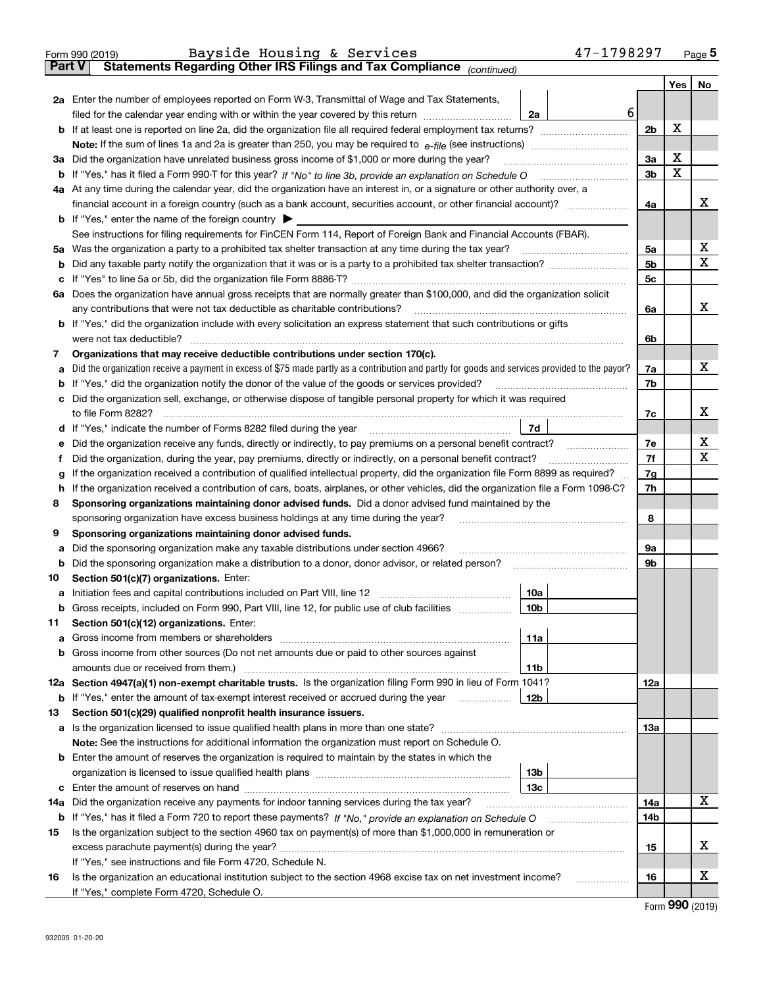|               | 47-1798297<br>Bayside Housing & Services<br>Form 990 (2019)                                                                                     |                |     | $_{\text{Page}}$ 5             |
|---------------|-------------------------------------------------------------------------------------------------------------------------------------------------|----------------|-----|--------------------------------|
| <b>Part V</b> | Statements Regarding Other IRS Filings and Tax Compliance (continued)                                                                           |                |     |                                |
|               |                                                                                                                                                 |                | Yes | No                             |
|               | 2a Enter the number of employees reported on Form W-3, Transmittal of Wage and Tax Statements,                                                  |                |     |                                |
|               | filed for the calendar year ending with or within the year covered by this return<br>2a                                                         | 6              |     |                                |
| b             |                                                                                                                                                 | 2b             | X   |                                |
|               |                                                                                                                                                 |                |     |                                |
|               | 3a Did the organization have unrelated business gross income of \$1,000 or more during the year?                                                | 3a             | X   |                                |
| b             |                                                                                                                                                 | 3 <sub>b</sub> | X   |                                |
|               | 4a At any time during the calendar year, did the organization have an interest in, or a signature or other authority over, a                    |                |     |                                |
|               |                                                                                                                                                 | 4a             |     | х                              |
|               | <b>b</b> If "Yes," enter the name of the foreign country $\triangleright$                                                                       |                |     |                                |
|               | See instructions for filing requirements for FinCEN Form 114, Report of Foreign Bank and Financial Accounts (FBAR).                             |                |     |                                |
| 5a            |                                                                                                                                                 | 5a             |     | х                              |
| b             |                                                                                                                                                 | 5b             |     | X                              |
| с             |                                                                                                                                                 | 5 <sub>c</sub> |     |                                |
|               | 6a Does the organization have annual gross receipts that are normally greater than \$100,000, and did the organization solicit                  |                |     |                                |
|               | any contributions that were not tax deductible as charitable contributions?                                                                     | 6a             |     | x                              |
| b             | If "Yes," did the organization include with every solicitation an express statement that such contributions or gifts                            |                |     |                                |
|               | were not tax deductible?                                                                                                                        | 6b             |     |                                |
| 7             | Organizations that may receive deductible contributions under section 170(c).                                                                   |                |     |                                |
| а             | Did the organization receive a payment in excess of \$75 made partly as a contribution and partly for goods and services provided to the payor? | 7a             |     | х                              |
| b             | If "Yes," did the organization notify the donor of the value of the goods or services provided?                                                 | 7b             |     |                                |
| c             | Did the organization sell, exchange, or otherwise dispose of tangible personal property for which it was required                               |                |     |                                |
|               | to file Form 8282?                                                                                                                              | 7c             |     | x                              |
| d             | 7d                                                                                                                                              |                |     |                                |
| е             | Did the organization receive any funds, directly or indirectly, to pay premiums on a personal benefit contract?                                 | 7e             |     | х                              |
| f             | Did the organization, during the year, pay premiums, directly or indirectly, on a personal benefit contract?                                    | 7f             |     | х                              |
| g             | If the organization received a contribution of qualified intellectual property, did the organization file Form 8899 as required?                | 7g             |     |                                |
| h             | If the organization received a contribution of cars, boats, airplanes, or other vehicles, did the organization file a Form 1098-C?              | 7h             |     |                                |
| 8             | Sponsoring organizations maintaining donor advised funds. Did a donor advised fund maintained by the                                            |                |     |                                |
|               | sponsoring organization have excess business holdings at any time during the year?                                                              | 8              |     |                                |
| 9             | Sponsoring organizations maintaining donor advised funds.                                                                                       |                |     |                                |
| а             | Did the sponsoring organization make any taxable distributions under section 4966?                                                              | 9а<br>9b       |     |                                |
| b<br>10       | Section 501(c)(7) organizations. Enter:                                                                                                         |                |     |                                |
|               | 10a                                                                                                                                             |                |     |                                |
| а             | 10b <br>Gross receipts, included on Form 990, Part VIII, line 12, for public use of club facilities                                             |                |     |                                |
| 11            | Section 501(c)(12) organizations. Enter:                                                                                                        |                |     |                                |
| а             | Gross income from members or shareholders<br>11a                                                                                                |                |     |                                |
| b             | Gross income from other sources (Do not net amounts due or paid to other sources against                                                        |                |     |                                |
|               | 11 <sub>b</sub><br>amounts due or received from them.)                                                                                          |                |     |                                |
|               | 12a Section 4947(a)(1) non-exempt charitable trusts. Is the organization filing Form 990 in lieu of Form 1041?                                  | 12a            |     |                                |
|               | 12 <sub>b</sub><br><b>b</b> If "Yes," enter the amount of tax-exempt interest received or accrued during the year <i>manument</i>               |                |     |                                |
| 13            | Section 501(c)(29) qualified nonprofit health insurance issuers.                                                                                |                |     |                                |
| a             | Is the organization licensed to issue qualified health plans in more than one state?                                                            | 13a            |     |                                |
|               | Note: See the instructions for additional information the organization must report on Schedule O.                                               |                |     |                                |
| b             | Enter the amount of reserves the organization is required to maintain by the states in which the                                                |                |     |                                |
|               | 13 <sub>b</sub>                                                                                                                                 |                |     |                                |
| c             | 13 <sub>c</sub>                                                                                                                                 |                |     |                                |
| 14a           | Did the organization receive any payments for indoor tanning services during the tax year?                                                      | 14a            |     | х                              |
|               | <b>b</b> If "Yes," has it filed a Form 720 to report these payments? If "No," provide an explanation on Schedule O                              | 14b            |     |                                |
| 15            | Is the organization subject to the section 4960 tax on payment(s) of more than \$1,000,000 in remuneration or                                   |                |     |                                |
|               | excess parachute payment(s) during the year?                                                                                                    | 15             |     | х                              |
|               | If "Yes," see instructions and file Form 4720, Schedule N.                                                                                      |                |     |                                |
| 16            | Is the organization an educational institution subject to the section 4968 excise tax on net investment income?                                 | 16             |     | х                              |
|               | If "Yes," complete Form 4720, Schedule O.                                                                                                       |                |     | $T_{\text{max}}$ QQQ $(0.010)$ |
|               |                                                                                                                                                 |                |     |                                |

Form (2019) **990**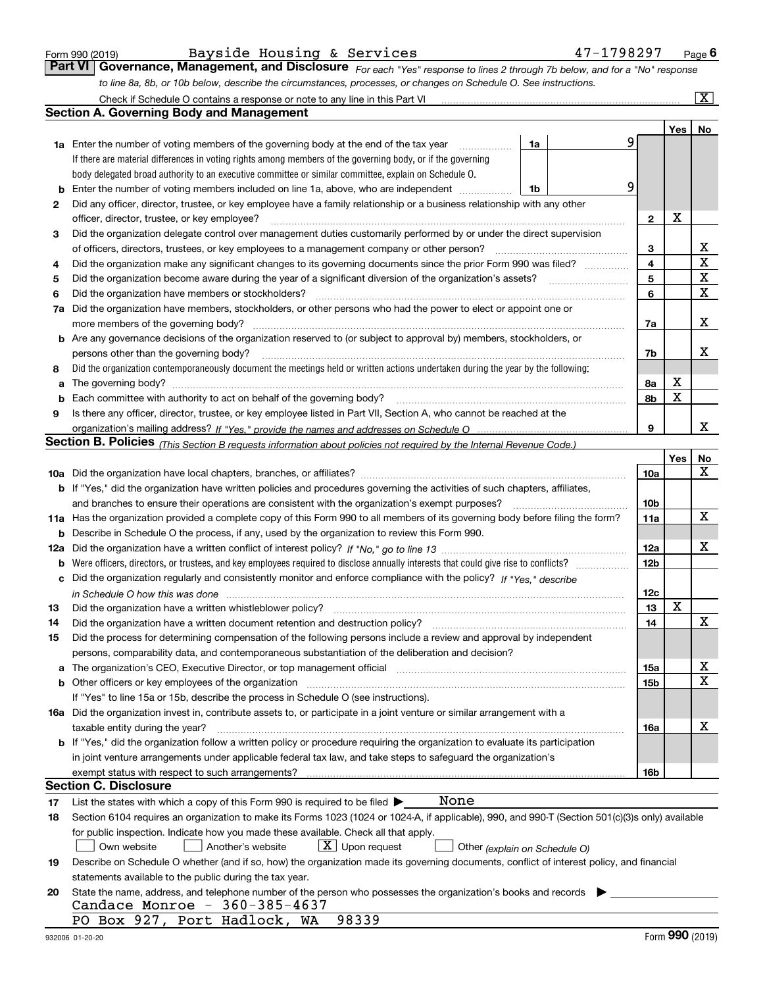| Form 990 (2019) |  |  |
|-----------------|--|--|
|                 |  |  |

*For each "Yes" response to lines 2 through 7b below, and for a "No" response to line 8a, 8b, or 10b below, describe the circumstances, processes, or changes on Schedule O. See instructions.* Form 990 (2019) Page **6Part VI Governance, Management, and Disclosure**  Bayside Housing & Services 47-1798297

|     | Check if Schedule O contains a response or note to any line in this Part VI                                                                                                                                                   |                               |                 |     | $\boxed{\text{X}}$ |
|-----|-------------------------------------------------------------------------------------------------------------------------------------------------------------------------------------------------------------------------------|-------------------------------|-----------------|-----|--------------------|
|     | <b>Section A. Governing Body and Management</b>                                                                                                                                                                               |                               |                 |     |                    |
|     |                                                                                                                                                                                                                               |                               |                 | Yes | No                 |
|     | <b>1a</b> Enter the number of voting members of the governing body at the end of the tax year                                                                                                                                 | 1a                            | 9               |     |                    |
|     | If there are material differences in voting rights among members of the governing body, or if the governing                                                                                                                   |                               |                 |     |                    |
|     | body delegated broad authority to an executive committee or similar committee, explain on Schedule O.                                                                                                                         |                               |                 |     |                    |
| b   | Enter the number of voting members included on line 1a, above, who are independent                                                                                                                                            | 1b                            | 9               |     |                    |
| 2   | Did any officer, director, trustee, or key employee have a family relationship or a business relationship with any other                                                                                                      |                               |                 |     |                    |
|     | officer, director, trustee, or key employee?                                                                                                                                                                                  |                               | $\mathbf{2}$    | х   |                    |
| 3   | Did the organization delegate control over management duties customarily performed by or under the direct supervision                                                                                                         |                               |                 |     |                    |
|     | of officers, directors, trustees, or key employees to a management company or other person?                                                                                                                                   |                               | 3               |     | х                  |
| 4   | Did the organization make any significant changes to its governing documents since the prior Form 990 was filed?                                                                                                              |                               | 4               |     | $\mathbf X$        |
| 5   |                                                                                                                                                                                                                               |                               | 5               |     | $\mathbf X$        |
| 6   | Did the organization have members or stockholders?                                                                                                                                                                            |                               | 6               |     | $\mathbf X$        |
| 7a  | Did the organization have members, stockholders, or other persons who had the power to elect or appoint one or                                                                                                                |                               |                 |     |                    |
|     | more members of the governing body?                                                                                                                                                                                           |                               | 7a              |     | х                  |
|     | <b>b</b> Are any governance decisions of the organization reserved to (or subject to approval by) members, stockholders, or                                                                                                   |                               |                 |     |                    |
|     | persons other than the governing body?                                                                                                                                                                                        |                               | 7b              |     | х                  |
| 8   | Did the organization contemporaneously document the meetings held or written actions undertaken during the year by the following:                                                                                             |                               |                 |     |                    |
| a   |                                                                                                                                                                                                                               |                               | 8a              | X   |                    |
| b   | Each committee with authority to act on behalf of the governing body?                                                                                                                                                         |                               | 8b              | X   |                    |
| 9   | Is there any officer, director, trustee, or key employee listed in Part VII, Section A, who cannot be reached at the                                                                                                          |                               |                 |     |                    |
|     |                                                                                                                                                                                                                               |                               | 9               |     | х                  |
|     | Section B. Policies <sub>(This Section B requests information about policies not required by the Internal Revenue Code.)</sub>                                                                                                |                               |                 |     |                    |
|     |                                                                                                                                                                                                                               |                               |                 | Yes | No                 |
|     |                                                                                                                                                                                                                               |                               | 10a             |     | $\mathbf X$        |
|     | <b>b</b> If "Yes," did the organization have written policies and procedures governing the activities of such chapters, affiliates,                                                                                           |                               |                 |     |                    |
|     | and branches to ensure their operations are consistent with the organization's exempt purposes?                                                                                                                               |                               | 10 <sub>b</sub> |     |                    |
|     | 11a Has the organization provided a complete copy of this Form 990 to all members of its governing body before filing the form?                                                                                               |                               | 11a             |     | $\mathbf X$        |
| b   | Describe in Schedule O the process, if any, used by the organization to review this Form 990.                                                                                                                                 |                               |                 |     |                    |
| 12a |                                                                                                                                                                                                                               |                               | <b>12a</b>      |     | X                  |
| b   | Were officers, directors, or trustees, and key employees required to disclose annually interests that could give rise to conflicts?                                                                                           |                               | 12 <sub>b</sub> |     |                    |
| с   | Did the organization regularly and consistently monitor and enforce compliance with the policy? If "Yes." describe                                                                                                            |                               |                 |     |                    |
|     | in Schedule O how this was done measured and contained a state of the state of the state of the state of the s                                                                                                                |                               | 12c             |     |                    |
| 13  | Did the organization have a written whistleblower policy?                                                                                                                                                                     |                               | 13              | X   |                    |
| 14  | Did the organization have a written document retention and destruction policy?                                                                                                                                                |                               | 14              |     | X                  |
| 15  | Did the process for determining compensation of the following persons include a review and approval by independent                                                                                                            |                               |                 |     |                    |
|     | persons, comparability data, and contemporaneous substantiation of the deliberation and decision?                                                                                                                             |                               |                 |     |                    |
| a   | The organization's CEO, Executive Director, or top management official manufactured content content of the organization's CEO, Executive Director, or top management official manufactured content of the organization's CEO, |                               | 15a             |     | х                  |
|     | <b>b</b> Other officers or key employees of the organization                                                                                                                                                                  |                               | 15b             |     | $\mathbf X$        |
|     | If "Yes" to line 15a or 15b, describe the process in Schedule O (see instructions).                                                                                                                                           |                               |                 |     |                    |
|     | 16a Did the organization invest in, contribute assets to, or participate in a joint venture or similar arrangement with a                                                                                                     |                               |                 |     |                    |
|     | taxable entity during the year?                                                                                                                                                                                               |                               | 16a             |     | х                  |
|     | b If "Yes," did the organization follow a written policy or procedure requiring the organization to evaluate its participation                                                                                                |                               |                 |     |                    |
|     | in joint venture arrangements under applicable federal tax law, and take steps to safeguard the organization's                                                                                                                |                               |                 |     |                    |
|     | exempt status with respect to such arrangements?                                                                                                                                                                              |                               | 16b             |     |                    |
|     | <b>Section C. Disclosure</b>                                                                                                                                                                                                  |                               |                 |     |                    |
| 17  | None<br>List the states with which a copy of this Form 990 is required to be filed $\blacktriangleright$                                                                                                                      |                               |                 |     |                    |
| 18  | Section 6104 requires an organization to make its Forms 1023 (1024 or 1024-A, if applicable), 990, and 990-T (Section 501(c)(3)s only) available                                                                              |                               |                 |     |                    |
|     | for public inspection. Indicate how you made these available. Check all that apply.                                                                                                                                           |                               |                 |     |                    |
|     | $X$ Upon request<br>Own website<br>Another's website                                                                                                                                                                          | Other (explain on Schedule O) |                 |     |                    |
| 19  | Describe on Schedule O whether (and if so, how) the organization made its governing documents, conflict of interest policy, and financial                                                                                     |                               |                 |     |                    |
|     | statements available to the public during the tax year.                                                                                                                                                                       |                               |                 |     |                    |
| 20  | State the name, address, and telephone number of the person who possesses the organization's books and records                                                                                                                |                               |                 |     |                    |
|     | Candace Monroe - 360-385-4637                                                                                                                                                                                                 |                               |                 |     |                    |
|     | PO Box 927, Port Hadlock, WA<br>98339                                                                                                                                                                                         |                               |                 |     |                    |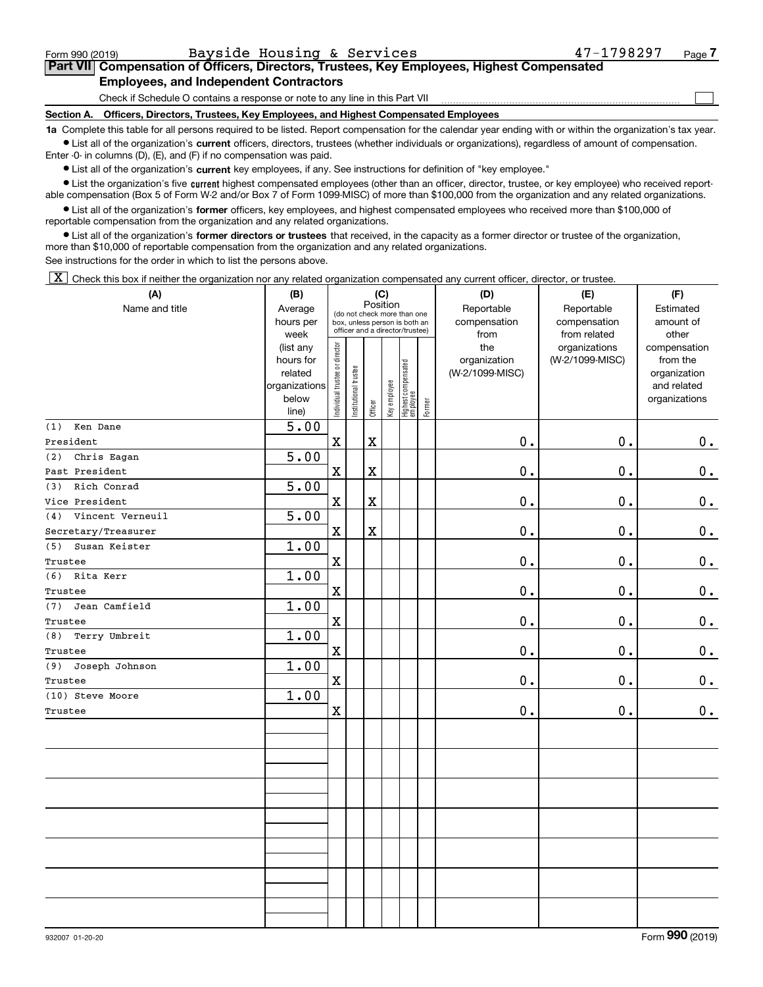$\mathcal{L}^{\text{max}}$ 

# **7Part VII Compensation of Officers, Directors, Trustees, Key Employees, Highest Compensated Employees, and Independent Contractors**

Check if Schedule O contains a response or note to any line in this Part VII

**Section A. Officers, Directors, Trustees, Key Employees, and Highest Compensated Employees**

**1a**  Complete this table for all persons required to be listed. Report compensation for the calendar year ending with or within the organization's tax year. **•** List all of the organization's current officers, directors, trustees (whether individuals or organizations), regardless of amount of compensation.

Enter -0- in columns (D), (E), and (F) if no compensation was paid.

 $\bullet$  List all of the organization's  $\,$ current key employees, if any. See instructions for definition of "key employee."

**•** List the organization's five current highest compensated employees (other than an officer, director, trustee, or key employee) who received reportable compensation (Box 5 of Form W-2 and/or Box 7 of Form 1099-MISC) of more than \$100,000 from the organization and any related organizations.

**•** List all of the organization's former officers, key employees, and highest compensated employees who received more than \$100,000 of reportable compensation from the organization and any related organizations.

**former directors or trustees**  ¥ List all of the organization's that received, in the capacity as a former director or trustee of the organization, more than \$10,000 of reportable compensation from the organization and any related organizations.

See instructions for the order in which to list the persons above.

 $\boxed{\textbf{X}}$  Check this box if neither the organization nor any related organization compensated any current officer, director, or trustee.

| (A)                     | (B)                                                                  |                                |                                                                                                 |                         | (C)          |                                   |        | (D)                                    | (E)                                        | (F)                                                                      |
|-------------------------|----------------------------------------------------------------------|--------------------------------|-------------------------------------------------------------------------------------------------|-------------------------|--------------|-----------------------------------|--------|----------------------------------------|--------------------------------------------|--------------------------------------------------------------------------|
| Name and title          | Average<br>hours per<br>week                                         |                                | (do not check more than one<br>box, unless person is both an<br>officer and a director/trustee) | Position                |              |                                   |        | Reportable<br>compensation<br>from     | Reportable<br>compensation<br>from related | Estimated<br>amount of<br>other                                          |
|                         | (list any<br>hours for<br>related<br>organizations<br>below<br>line) | Individual trustee or director | Institutional trustee                                                                           | Officer                 | Key employee | Highest compensated<br>  employee | Former | the<br>organization<br>(W-2/1099-MISC) | organizations<br>(W-2/1099-MISC)           | compensation<br>from the<br>organization<br>and related<br>organizations |
| Ken Dane<br>(1)         | 5.00                                                                 |                                |                                                                                                 |                         |              |                                   |        |                                        |                                            |                                                                          |
| President               |                                                                      | $\mathbf X$                    |                                                                                                 | $\mathbf X$             |              |                                   |        | $0$ .                                  | 0.                                         | $0_{.}$                                                                  |
| Chris Eagan<br>(2)      | 5.00                                                                 |                                |                                                                                                 |                         |              |                                   |        |                                        |                                            |                                                                          |
| Past President          |                                                                      | $\mathbf X$                    |                                                                                                 | $\overline{\mathbf{X}}$ |              |                                   |        | 0.                                     | 0.                                         | $0$ .                                                                    |
| Rich Conrad<br>(3)      | 5.00                                                                 |                                |                                                                                                 |                         |              |                                   |        |                                        |                                            |                                                                          |
| Vice President          |                                                                      | $\mathbf X$                    |                                                                                                 | $\mathbf X$             |              |                                   |        | 0.                                     | $\mathbf 0$ .                              | $\mathbf 0$ .                                                            |
| Vincent Verneuil<br>(4) | 5.00                                                                 |                                |                                                                                                 |                         |              |                                   |        |                                        |                                            |                                                                          |
| Secretary/Treasurer     |                                                                      | $\mathbf X$                    |                                                                                                 | $\mathbf X$             |              |                                   |        | $\mathbf 0$ .                          | 0.                                         | 0.                                                                       |
| Susan Keister<br>(5)    | 1.00                                                                 |                                |                                                                                                 |                         |              |                                   |        |                                        |                                            |                                                                          |
| Trustee                 |                                                                      | $\mathbf X$                    |                                                                                                 |                         |              |                                   |        | $0$ .                                  | $\mathbf 0$ .                              | $\mathbf 0$ .                                                            |
| (6) Rita Kerr           | 1.00                                                                 |                                |                                                                                                 |                         |              |                                   |        |                                        |                                            |                                                                          |
| Trustee                 |                                                                      | $\mathbf X$                    |                                                                                                 |                         |              |                                   |        | 0.                                     | 0.                                         | $\mathbf 0$ .                                                            |
| Jean Camfield<br>(7)    | 1.00                                                                 |                                |                                                                                                 |                         |              |                                   |        |                                        |                                            |                                                                          |
| Trustee                 |                                                                      | $\mathbf X$                    |                                                                                                 |                         |              |                                   |        | 0.                                     | $\mathbf 0$ .                              | $\mathbf 0$ .                                                            |
| Terry Umbreit<br>(8)    | 1.00                                                                 |                                |                                                                                                 |                         |              |                                   |        |                                        |                                            |                                                                          |
| Trustee                 |                                                                      | $\mathbf x$                    |                                                                                                 |                         |              |                                   |        | 0.                                     | 0.                                         | $0$ .                                                                    |
| Joseph Johnson<br>(9)   | 1.00                                                                 |                                |                                                                                                 |                         |              |                                   |        |                                        |                                            |                                                                          |
| Trustee                 |                                                                      | $\mathbf X$                    |                                                                                                 |                         |              |                                   |        | 0.                                     | 0.                                         | $\mathbf 0$ .                                                            |
| (10) Steve Moore        | 1.00                                                                 |                                |                                                                                                 |                         |              |                                   |        |                                        |                                            |                                                                          |
| Trustee                 |                                                                      | $\mathbf X$                    |                                                                                                 |                         |              |                                   |        | 0.                                     | $\mathbf 0$ .                              | $0_{.}$                                                                  |
|                         |                                                                      |                                |                                                                                                 |                         |              |                                   |        |                                        |                                            |                                                                          |
|                         |                                                                      |                                |                                                                                                 |                         |              |                                   |        |                                        |                                            |                                                                          |
|                         |                                                                      |                                |                                                                                                 |                         |              |                                   |        |                                        |                                            |                                                                          |
|                         |                                                                      |                                |                                                                                                 |                         |              |                                   |        |                                        |                                            |                                                                          |
|                         |                                                                      |                                |                                                                                                 |                         |              |                                   |        |                                        |                                            |                                                                          |
|                         |                                                                      |                                |                                                                                                 |                         |              |                                   |        |                                        |                                            |                                                                          |
|                         |                                                                      |                                |                                                                                                 |                         |              |                                   |        |                                        |                                            |                                                                          |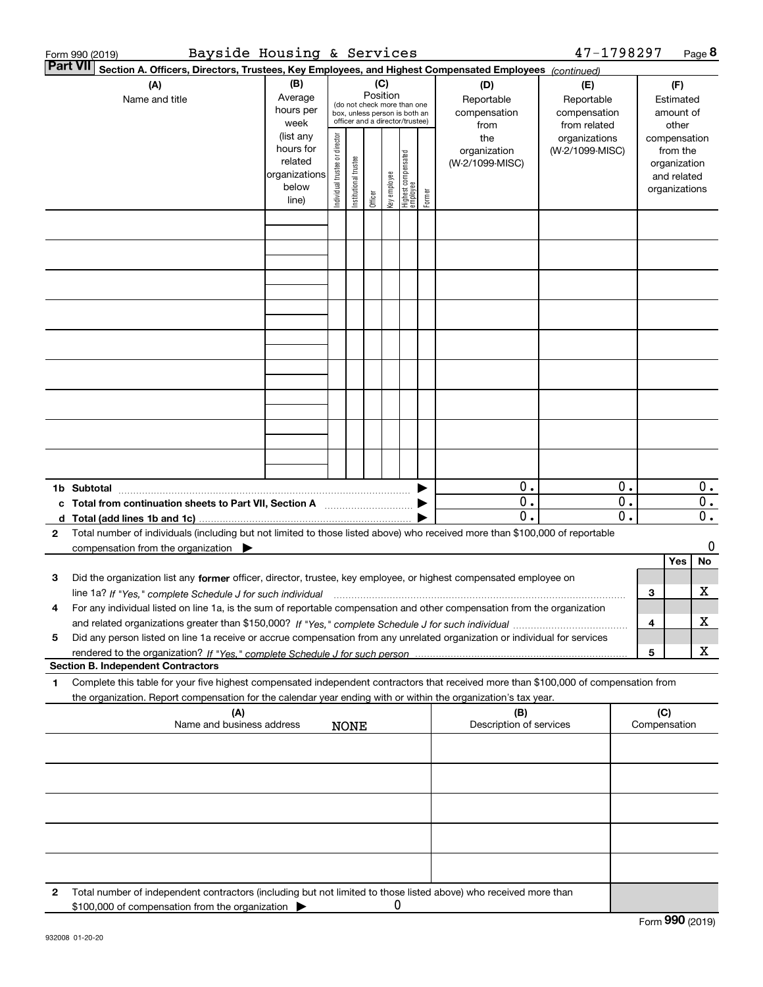|   | Bayside Housing & Services<br>Form 990 (2019)                                                                                                                                                                                                                       |                                                                      |                                |                       |                 |                                                                                                                                                                                                                                                                                                 |                                                                                                 |        |                                           | 47-1798297                                        |                             |     |                                                                          | Page 8           |
|---|---------------------------------------------------------------------------------------------------------------------------------------------------------------------------------------------------------------------------------------------------------------------|----------------------------------------------------------------------|--------------------------------|-----------------------|-----------------|-------------------------------------------------------------------------------------------------------------------------------------------------------------------------------------------------------------------------------------------------------------------------------------------------|-------------------------------------------------------------------------------------------------|--------|-------------------------------------------|---------------------------------------------------|-----------------------------|-----|--------------------------------------------------------------------------|------------------|
|   | <b>Part VII</b><br>Section A. Officers, Directors, Trustees, Key Employees, and Highest Compensated Employees (continued)                                                                                                                                           |                                                                      |                                |                       |                 |                                                                                                                                                                                                                                                                                                 |                                                                                                 |        |                                           |                                                   |                             |     |                                                                          |                  |
|   | (A)<br>Name and title                                                                                                                                                                                                                                               | (B)<br>Average<br>hours per<br>week                                  |                                |                       | (C)<br>Position |                                                                                                                                                                                                                                                                                                 | (do not check more than one<br>box, unless person is both an<br>officer and a director/trustee) |        | (D)<br>Reportable<br>compensation<br>from | (E)<br>Reportable<br>compensation<br>from related |                             |     | (F)<br>Estimated<br>amount of<br>other                                   |                  |
|   |                                                                                                                                                                                                                                                                     | (list any<br>hours for<br>related<br>organizations<br>below<br>line) | Individual trustee or director | Institutional trustee | Officer         | <ey employee<="" td=""><td>Highest compensated<br/>employee</td><td>Former</td><td>the<br/>organization<br/>(W-2/1099-MISC)</td><td>organizations<br/>(W-2/1099-MISC)</td><td></td><td></td><td>compensation<br/>from the<br/>organization<br/>and related<br/>organizations</td><td></td></ey> | Highest compensated<br>employee                                                                 | Former | the<br>organization<br>(W-2/1099-MISC)    | organizations<br>(W-2/1099-MISC)                  |                             |     | compensation<br>from the<br>organization<br>and related<br>organizations |                  |
|   |                                                                                                                                                                                                                                                                     |                                                                      |                                |                       |                 |                                                                                                                                                                                                                                                                                                 |                                                                                                 |        |                                           |                                                   |                             |     |                                                                          |                  |
|   |                                                                                                                                                                                                                                                                     |                                                                      |                                |                       |                 |                                                                                                                                                                                                                                                                                                 |                                                                                                 |        |                                           |                                                   |                             |     |                                                                          |                  |
|   |                                                                                                                                                                                                                                                                     |                                                                      |                                |                       |                 |                                                                                                                                                                                                                                                                                                 |                                                                                                 |        |                                           |                                                   |                             |     |                                                                          |                  |
|   |                                                                                                                                                                                                                                                                     |                                                                      |                                |                       |                 |                                                                                                                                                                                                                                                                                                 |                                                                                                 |        |                                           |                                                   |                             |     |                                                                          |                  |
|   |                                                                                                                                                                                                                                                                     |                                                                      |                                |                       |                 |                                                                                                                                                                                                                                                                                                 |                                                                                                 |        |                                           |                                                   |                             |     |                                                                          |                  |
|   |                                                                                                                                                                                                                                                                     |                                                                      |                                |                       |                 |                                                                                                                                                                                                                                                                                                 |                                                                                                 |        |                                           |                                                   |                             |     |                                                                          |                  |
|   |                                                                                                                                                                                                                                                                     |                                                                      |                                |                       |                 |                                                                                                                                                                                                                                                                                                 |                                                                                                 |        |                                           |                                                   |                             |     |                                                                          |                  |
|   |                                                                                                                                                                                                                                                                     |                                                                      |                                |                       |                 |                                                                                                                                                                                                                                                                                                 |                                                                                                 |        |                                           |                                                   |                             |     |                                                                          |                  |
|   |                                                                                                                                                                                                                                                                     |                                                                      |                                |                       |                 |                                                                                                                                                                                                                                                                                                 |                                                                                                 |        |                                           |                                                   |                             |     |                                                                          |                  |
|   |                                                                                                                                                                                                                                                                     |                                                                      |                                |                       |                 |                                                                                                                                                                                                                                                                                                 |                                                                                                 |        | 0.                                        |                                                   | 0.                          |     |                                                                          | $0$ .            |
|   | 1b Subtotal<br>c Total from continuation sheets to Part VII, Section A manufactor continues                                                                                                                                                                         |                                                                      |                                |                       |                 |                                                                                                                                                                                                                                                                                                 |                                                                                                 |        | $\overline{0}$ .                          |                                                   | $\overline{0}$ .            |     |                                                                          | $\overline{0}$ . |
| 2 | Total number of individuals (including but not limited to those listed above) who received more than \$100,000 of reportable                                                                                                                                        |                                                                      |                                |                       |                 |                                                                                                                                                                                                                                                                                                 |                                                                                                 |        | $\overline{0}$ .                          |                                                   | $\overline{\mathfrak{o}}$ . |     |                                                                          | $\overline{0}$ . |
|   | compensation from the organization $\blacktriangleright$                                                                                                                                                                                                            |                                                                      |                                |                       |                 |                                                                                                                                                                                                                                                                                                 |                                                                                                 |        |                                           |                                                   |                             |     | <b>Yes</b>                                                               | 0<br>No          |
| з | Did the organization list any former officer, director, trustee, key employee, or highest compensated employee on                                                                                                                                                   |                                                                      |                                |                       |                 |                                                                                                                                                                                                                                                                                                 |                                                                                                 |        |                                           |                                                   |                             |     |                                                                          |                  |
| 4 | line 1a? If "Yes," complete Schedule J for such individual manufactured contained and the Yes," complete Schedule J for such individual<br>For any individual listed on line 1a, is the sum of reportable compensation and other compensation from the organization |                                                                      |                                |                       |                 |                                                                                                                                                                                                                                                                                                 |                                                                                                 |        |                                           |                                                   |                             | 3   |                                                                          | х                |
| 5 | Did any person listed on line 1a receive or accrue compensation from any unrelated organization or individual for services                                                                                                                                          |                                                                      |                                |                       |                 |                                                                                                                                                                                                                                                                                                 |                                                                                                 |        |                                           |                                                   |                             | 4   |                                                                          | х                |
|   | <b>Section B. Independent Contractors</b>                                                                                                                                                                                                                           |                                                                      |                                |                       |                 |                                                                                                                                                                                                                                                                                                 |                                                                                                 |        |                                           |                                                   |                             | 5   |                                                                          | X                |
| 1 | Complete this table for your five highest compensated independent contractors that received more than \$100,000 of compensation from                                                                                                                                |                                                                      |                                |                       |                 |                                                                                                                                                                                                                                                                                                 |                                                                                                 |        |                                           |                                                   |                             |     |                                                                          |                  |
|   | the organization. Report compensation for the calendar year ending with or within the organization's tax year.<br>(A)                                                                                                                                               |                                                                      |                                |                       |                 |                                                                                                                                                                                                                                                                                                 |                                                                                                 |        | (B)                                       |                                                   |                             | (C) |                                                                          |                  |
|   | Name and business address                                                                                                                                                                                                                                           |                                                                      |                                | <b>NONE</b>           |                 |                                                                                                                                                                                                                                                                                                 |                                                                                                 |        | Description of services                   |                                                   |                             |     | Compensation                                                             |                  |
|   |                                                                                                                                                                                                                                                                     |                                                                      |                                |                       |                 |                                                                                                                                                                                                                                                                                                 |                                                                                                 |        |                                           |                                                   |                             |     |                                                                          |                  |
|   |                                                                                                                                                                                                                                                                     |                                                                      |                                |                       |                 |                                                                                                                                                                                                                                                                                                 |                                                                                                 |        |                                           |                                                   |                             |     |                                                                          |                  |
|   |                                                                                                                                                                                                                                                                     |                                                                      |                                |                       |                 |                                                                                                                                                                                                                                                                                                 |                                                                                                 |        |                                           |                                                   |                             |     |                                                                          |                  |
|   |                                                                                                                                                                                                                                                                     |                                                                      |                                |                       |                 |                                                                                                                                                                                                                                                                                                 |                                                                                                 |        |                                           |                                                   |                             |     |                                                                          |                  |
| 2 | Total number of independent contractors (including but not limited to those listed above) who received more than                                                                                                                                                    |                                                                      |                                |                       |                 |                                                                                                                                                                                                                                                                                                 |                                                                                                 |        |                                           |                                                   |                             |     |                                                                          |                  |
|   | \$100,000 of compensation from the organization                                                                                                                                                                                                                     |                                                                      |                                |                       |                 | 0                                                                                                                                                                                                                                                                                               |                                                                                                 |        |                                           |                                                   |                             |     |                                                                          |                  |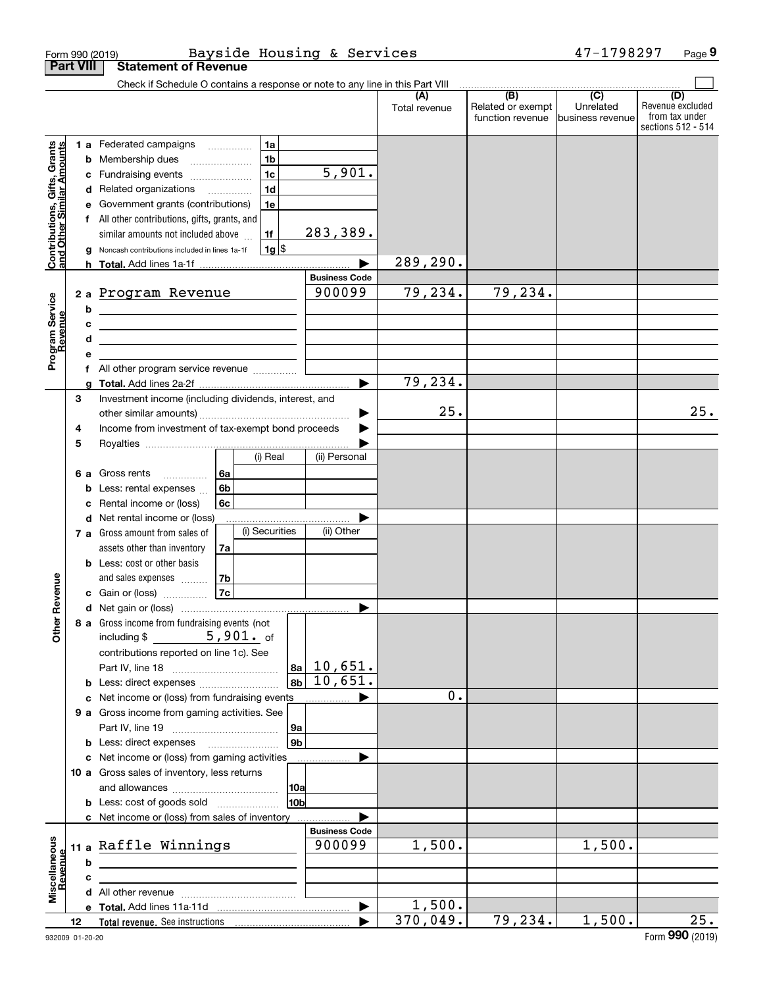|                                                           |                  | Form 990 (2019)                                                                                                       |                |                    |                      | Bayside Housing & Services |                      |                          | 47-1798297                  | Page 9                               |
|-----------------------------------------------------------|------------------|-----------------------------------------------------------------------------------------------------------------------|----------------|--------------------|----------------------|----------------------------|----------------------|--------------------------|-----------------------------|--------------------------------------|
|                                                           | <b>Part VIII</b> | <b>Statement of Revenue</b>                                                                                           |                |                    |                      |                            |                      |                          |                             |                                      |
|                                                           |                  | Check if Schedule O contains a response or note to any line in this Part VIII                                         |                |                    |                      |                            | (A)<br>Total revenue | (B)<br>Related or exempt | $\overline{C}$<br>Unrelated | (D)<br>Revenue excluded              |
|                                                           |                  |                                                                                                                       |                |                    |                      |                            |                      | function revenue         | business revenue            | from tax under<br>sections 512 - 514 |
|                                                           |                  | 1 a Federated campaigns                                                                                               |                | 1a                 |                      |                            |                      |                          |                             |                                      |
| Contributions, Gifts, Grants<br>and Other Similar Amounts | b                | Membership dues<br>$\ldots \ldots \ldots \ldots \ldots$                                                               |                | 1 <sub>b</sub>     |                      |                            |                      |                          |                             |                                      |
|                                                           | c                | Fundraising events                                                                                                    |                | 1 <sub>c</sub>     |                      | 5,901.                     |                      |                          |                             |                                      |
|                                                           | d                | Related organizations <i>mimiming</i>                                                                                 |                | 1 <sub>d</sub>     |                      |                            |                      |                          |                             |                                      |
|                                                           | е                | Government grants (contributions)                                                                                     |                | 1e                 |                      |                            |                      |                          |                             |                                      |
|                                                           |                  | All other contributions, gifts, grants, and                                                                           |                |                    |                      |                            |                      |                          |                             |                                      |
|                                                           |                  | similar amounts not included above                                                                                    |                | 1f                 |                      | 283,389.                   |                      |                          |                             |                                      |
|                                                           |                  | Noncash contributions included in lines 1a-1f                                                                         |                | $1g$ $\frac{1}{3}$ |                      |                            |                      |                          |                             |                                      |
|                                                           |                  |                                                                                                                       |                |                    |                      |                            | 289,290.             |                          |                             |                                      |
|                                                           |                  |                                                                                                                       |                |                    |                      | <b>Business Code</b>       |                      |                          |                             |                                      |
| Program Service<br>Revenue                                |                  | 2 a Program Revenue                                                                                                   |                |                    |                      | 900099                     | 79,234.              | 79,234.                  |                             |                                      |
|                                                           | b                | <u> 1980 - Johann Barn, mars ann an t-Amhair an t-Amhair an t-Amhair an t-Amhair an t-Amhair an t-Amhair an t-Amh</u> |                |                    |                      |                            |                      |                          |                             |                                      |
|                                                           | c                | <u> 1989 - Johann Stein, mars an deutscher Stein und der Stein und der Stein und der Stein und der Stein und der</u>  |                |                    |                      |                            |                      |                          |                             |                                      |
|                                                           | d                | the control of the control of the control of the control of the control of the control of                             |                |                    |                      |                            |                      |                          |                             |                                      |
|                                                           | е<br>f           | All other program service revenue                                                                                     |                |                    |                      |                            |                      |                          |                             |                                      |
|                                                           | a                |                                                                                                                       |                |                    |                      |                            | 79,234.              |                          |                             |                                      |
|                                                           | 3                | Investment income (including dividends, interest, and                                                                 |                |                    |                      |                            |                      |                          |                             |                                      |
|                                                           |                  |                                                                                                                       |                |                    |                      |                            | 25.                  |                          |                             | 25.                                  |
|                                                           | 4                | Income from investment of tax-exempt bond proceeds                                                                    |                |                    |                      |                            |                      |                          |                             |                                      |
|                                                           | 5                |                                                                                                                       |                |                    |                      |                            |                      |                          |                             |                                      |
|                                                           |                  |                                                                                                                       |                | (i) Real           |                      | (ii) Personal              |                      |                          |                             |                                      |
|                                                           | 6а               | Gross rents                                                                                                           | 6a             |                    |                      |                            |                      |                          |                             |                                      |
|                                                           | b                | Less: rental expenses                                                                                                 | 6 <sub>b</sub> |                    |                      |                            |                      |                          |                             |                                      |
|                                                           | c                | Rental income or (loss)                                                                                               | 6c             |                    |                      |                            |                      |                          |                             |                                      |
|                                                           |                  | d Net rental income or (loss)                                                                                         |                |                    |                      |                            |                      |                          |                             |                                      |
|                                                           |                  | 7 a Gross amount from sales of                                                                                        |                | (i) Securities     |                      | (ii) Other                 |                      |                          |                             |                                      |
|                                                           |                  | assets other than inventory                                                                                           | 7a             |                    |                      |                            |                      |                          |                             |                                      |
|                                                           |                  | <b>b</b> Less: cost or other basis                                                                                    |                |                    |                      |                            |                      |                          |                             |                                      |
|                                                           |                  | and sales expenses                                                                                                    | 7b             |                    |                      |                            |                      |                          |                             |                                      |
| evenue                                                    |                  | c Gain or (loss)                                                                                                      | 7c             |                    |                      |                            |                      |                          |                             |                                      |
| Œ                                                         |                  |                                                                                                                       |                |                    |                      |                            |                      |                          |                             |                                      |
| Other                                                     |                  | 8 a Gross income from fundraising events (not                                                                         |                |                    |                      |                            |                      |                          |                             |                                      |
|                                                           |                  | including $$5,901.$ of                                                                                                |                |                    |                      |                            |                      |                          |                             |                                      |
|                                                           |                  | contributions reported on line 1c). See                                                                               |                |                    |                      |                            |                      |                          |                             |                                      |
|                                                           |                  |                                                                                                                       |                |                    | 8a                   | 10,651.                    |                      |                          |                             |                                      |
|                                                           |                  | <b>b</b> Less: direct expenses <i></i>                                                                                |                |                    | 8b                   | 10,651.                    | 0.                   |                          |                             |                                      |
|                                                           |                  | c Net income or (loss) from fundraising events                                                                        |                |                    |                      |                            |                      |                          |                             |                                      |
|                                                           |                  | 9 a Gross income from gaming activities. See                                                                          |                |                    |                      |                            |                      |                          |                             |                                      |
|                                                           |                  |                                                                                                                       |                |                    | 9а<br>9 <sub>b</sub> |                            |                      |                          |                             |                                      |
|                                                           |                  | c Net income or (loss) from gaming activities                                                                         |                |                    |                      |                            |                      |                          |                             |                                      |
|                                                           |                  | 10 a Gross sales of inventory, less returns                                                                           |                |                    |                      |                            |                      |                          |                             |                                      |
|                                                           |                  |                                                                                                                       |                |                    | 10a                  |                            |                      |                          |                             |                                      |
|                                                           |                  | <b>b</b> Less: cost of goods sold                                                                                     |                |                    | 10 <sub>b</sub>      |                            |                      |                          |                             |                                      |
|                                                           |                  | c Net income or (loss) from sales of inventory                                                                        |                |                    |                      |                            |                      |                          |                             |                                      |
|                                                           |                  |                                                                                                                       |                |                    |                      | <b>Business Code</b>       |                      |                          |                             |                                      |
|                                                           |                  | 11 a Raffle Winnings                                                                                                  |                |                    |                      | 900099                     | 1,500.               |                          | 1,500.                      |                                      |
| Revenue                                                   | b                |                                                                                                                       |                |                    |                      |                            |                      |                          |                             |                                      |
| Miscellaneous                                             | c                |                                                                                                                       |                |                    |                      |                            |                      |                          |                             |                                      |
|                                                           |                  |                                                                                                                       |                |                    |                      |                            |                      |                          |                             |                                      |
|                                                           |                  |                                                                                                                       |                |                    |                      |                            | 1,500.               |                          |                             |                                      |
|                                                           | 12               |                                                                                                                       |                |                    |                      |                            | 370,049.             | 79,234.                  | 1,500.                      | $\overline{25}$ .                    |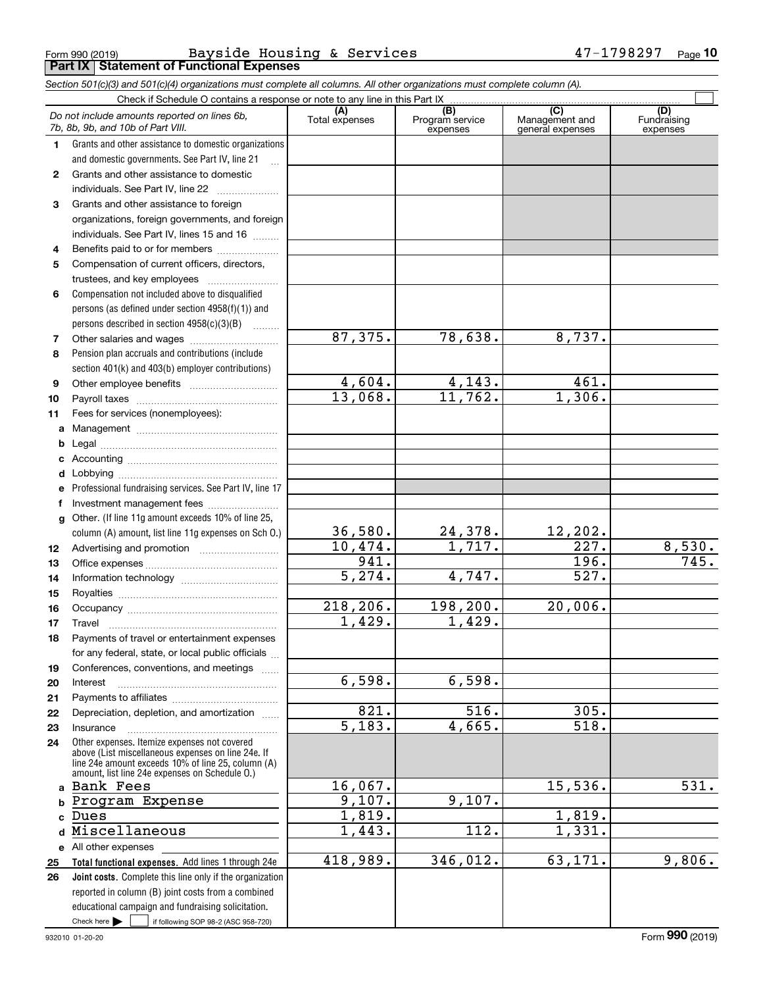Form 990 (2019) Page **Part IX Statement of Functional Expenses** Bayside Housing & Services 47-1798297

*Section 501(c)(3) and 501(c)(4) organizations must complete all columns. All other organizations must complete column (A).*

|              | Do not include amounts reported on lines 6b,<br>7b, 8b, 9b, and 10b of Part VIII.                    | (A)<br>Total expenses | (B)<br>Program service<br>expenses | (C)<br>Management and<br>general expenses | (D)<br>Fundraising<br>expenses |
|--------------|------------------------------------------------------------------------------------------------------|-----------------------|------------------------------------|-------------------------------------------|--------------------------------|
| 1.           | Grants and other assistance to domestic organizations                                                |                       |                                    |                                           |                                |
|              | and domestic governments. See Part IV, line 21                                                       |                       |                                    |                                           |                                |
| $\mathbf{2}$ | Grants and other assistance to domestic                                                              |                       |                                    |                                           |                                |
|              | individuals. See Part IV, line 22                                                                    |                       |                                    |                                           |                                |
| 3            | Grants and other assistance to foreign                                                               |                       |                                    |                                           |                                |
|              | organizations, foreign governments, and foreign                                                      |                       |                                    |                                           |                                |
|              | individuals. See Part IV, lines 15 and 16                                                            |                       |                                    |                                           |                                |
| 4            | Benefits paid to or for members                                                                      |                       |                                    |                                           |                                |
| 5            | Compensation of current officers, directors,                                                         |                       |                                    |                                           |                                |
|              | trustees, and key employees                                                                          |                       |                                    |                                           |                                |
| 6            | Compensation not included above to disqualified                                                      |                       |                                    |                                           |                                |
|              | persons (as defined under section 4958(f)(1)) and                                                    |                       |                                    |                                           |                                |
|              | persons described in section 4958(c)(3)(B)                                                           |                       |                                    |                                           |                                |
| 7            |                                                                                                      | 87,375.               | 78,638.                            | 8,737.                                    |                                |
| 8            | Pension plan accruals and contributions (include                                                     |                       |                                    |                                           |                                |
|              | section 401(k) and 403(b) employer contributions)                                                    |                       |                                    |                                           |                                |
| 9            |                                                                                                      | 4,604.                | 4,143.                             | 461.                                      |                                |
| 10           |                                                                                                      | 13,068.               | 11,762.                            | 1,306.                                    |                                |
| 11           | Fees for services (nonemployees):                                                                    |                       |                                    |                                           |                                |
| a            |                                                                                                      |                       |                                    |                                           |                                |
| b            |                                                                                                      |                       |                                    |                                           |                                |
| c            |                                                                                                      |                       |                                    |                                           |                                |
| d            |                                                                                                      |                       |                                    |                                           |                                |
| е            | Professional fundraising services. See Part IV, line 17                                              |                       |                                    |                                           |                                |
| f            | Investment management fees                                                                           |                       |                                    |                                           |                                |
| g            | Other. (If line 11g amount exceeds 10% of line 25,                                                   |                       |                                    |                                           |                                |
|              | column (A) amount, list line 11g expenses on Sch O.)                                                 | 36,580.               | 24,378.                            | 12,202.                                   |                                |
| 12           |                                                                                                      | 10,474.               | 1,717.                             | $\overline{227}$ .                        | 8,530.                         |
| 13           |                                                                                                      | 941.                  |                                    | $\overline{196}$ .                        | 745.                           |
| 14           |                                                                                                      | 5,274.                | 4,747.                             | 527.                                      |                                |
| 15           |                                                                                                      |                       |                                    |                                           |                                |
| 16           |                                                                                                      | 218,206.              | 198,200.                           | 20,006.                                   |                                |
| 17           | Travel                                                                                               | 1,429.                | 1,429.                             |                                           |                                |
| 18           | Payments of travel or entertainment expenses                                                         |                       |                                    |                                           |                                |
|              | for any federal, state, or local public officials                                                    |                       |                                    |                                           |                                |
| 19           | Conferences, conventions, and meetings                                                               |                       |                                    |                                           |                                |
| 20           | Interest                                                                                             | 6,598.                | 6,598.                             |                                           |                                |
| 21           |                                                                                                      |                       |                                    |                                           |                                |
| 22           | Depreciation, depletion, and amortization                                                            | 821.                  | 516.                               | 305.                                      |                                |
| 23           | Insurance                                                                                            | $\overline{5,183}$ .  | 4,665.                             | 518.                                      |                                |
| 24           | Other expenses. Itemize expenses not covered                                                         |                       |                                    |                                           |                                |
|              | above (List miscellaneous expenses on line 24e. If                                                   |                       |                                    |                                           |                                |
|              | line 24e amount exceeds 10% of line 25, column (A)<br>amount, list line 24e expenses on Schedule O.) |                       |                                    |                                           |                                |
|              | a Bank Fees                                                                                          | 16,067.               |                                    | 15,536.                                   | 531.                           |
| b            | Program Expense                                                                                      | 9,107.                | 9,107.                             |                                           |                                |
| c            | Dues                                                                                                 | $\overline{1,819}$ .  |                                    | 1,819.                                    |                                |
| d            | Miscellaneous                                                                                        | 1,443.                | 112.                               | 1,331.                                    |                                |
|              | e All other expenses                                                                                 |                       |                                    |                                           |                                |
| 25           | Total functional expenses. Add lines 1 through 24e                                                   | 418,989.              | 346,012.                           | 63,171.                                   | 9,806.                         |
| 26           | Joint costs. Complete this line only if the organization                                             |                       |                                    |                                           |                                |
|              | reported in column (B) joint costs from a combined                                                   |                       |                                    |                                           |                                |
|              | educational campaign and fundraising solicitation.                                                   |                       |                                    |                                           |                                |
|              | Check here $\blacktriangleright$<br>if following SOP 98-2 (ASC 958-720)                              |                       |                                    |                                           |                                |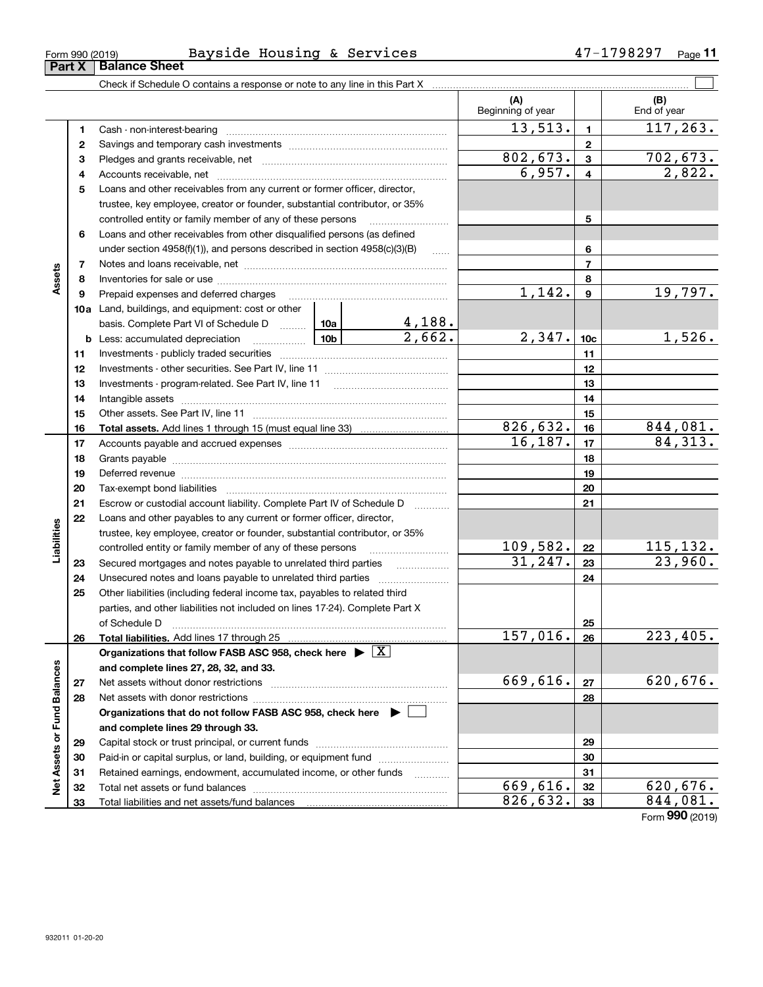| Form 990 (2019) |  | $- -$<br>Bavside | Housing | $\alpha$ | Services | ת מי<br>ິ | Page |
|-----------------|--|------------------|---------|----------|----------|-----------|------|
|                 |  |                  |         |          |          |           |      |

|                             |              |                                                                                       |  |                       | (A)<br>Beginning of year |                         | (B)<br>End of year     |
|-----------------------------|--------------|---------------------------------------------------------------------------------------|--|-----------------------|--------------------------|-------------------------|------------------------|
|                             | 1            |                                                                                       |  |                       | 13,513.                  | $\blacksquare$          | 117, 263.              |
|                             | $\mathbf{2}$ |                                                                                       |  |                       |                          | $\mathbf{2}$            |                        |
|                             | 3            |                                                                                       |  |                       | 802,673.                 | 3                       | 702,673.               |
|                             | 4            |                                                                                       |  |                       | 6,957.                   | $\overline{\mathbf{4}}$ | 2,822.                 |
|                             | 5            | Loans and other receivables from any current or former officer, director,             |  |                       |                          |                         |                        |
|                             |              | trustee, key employee, creator or founder, substantial contributor, or 35%            |  |                       |                          |                         |                        |
|                             |              | controlled entity or family member of any of these persons                            |  |                       |                          | 5                       |                        |
|                             | 6            | Loans and other receivables from other disqualified persons (as defined               |  |                       |                          |                         |                        |
|                             |              | under section $4958(f)(1)$ , and persons described in section $4958(c)(3)(B)$         |  | 6                     |                          |                         |                        |
|                             | 7            |                                                                                       |  |                       |                          | $\overline{7}$          |                        |
| Assets                      | 8            |                                                                                       |  |                       |                          | 8                       |                        |
|                             | 9            |                                                                                       |  |                       | 1,142.                   | $\boldsymbol{9}$        | 19,797.                |
|                             |              | 10a Land, buildings, and equipment: cost or other                                     |  |                       |                          |                         |                        |
|                             |              | basis. Complete Part VI of Schedule D  10a                                            |  | $\frac{4,188}{2,662}$ |                          |                         |                        |
|                             |              | <b>b</b> Less: accumulated depreciation                                               |  |                       | 2,347.                   | 10 <sub>c</sub>         | 1,526.                 |
|                             | 11           |                                                                                       |  |                       |                          | 11                      |                        |
|                             | 12           |                                                                                       |  |                       |                          | 12                      |                        |
|                             | 13           |                                                                                       |  |                       |                          | 13                      |                        |
|                             | 14           |                                                                                       |  |                       |                          | 14                      |                        |
|                             | 15           |                                                                                       |  |                       |                          | 15                      |                        |
|                             | 16           |                                                                                       |  |                       | 826,632.                 | 16                      | 844,081.               |
|                             | 17           |                                                                                       |  |                       | 16, 187.                 | 17                      | 84,313.                |
|                             | 18           |                                                                                       |  |                       |                          | 18                      |                        |
|                             | 19           |                                                                                       |  | 19                    |                          |                         |                        |
|                             | 20           |                                                                                       |  |                       | 20                       |                         |                        |
|                             | 21           | Escrow or custodial account liability. Complete Part IV of Schedule D                 |  |                       | 21                       |                         |                        |
|                             | 22           | Loans and other payables to any current or former officer, director,                  |  |                       |                          |                         |                        |
| Liabilities                 |              | trustee, key employee, creator or founder, substantial contributor, or 35%            |  |                       |                          |                         |                        |
|                             |              | controlled entity or family member of any of these persons                            |  |                       | 109,582.                 | 22                      | <u> 115,132.</u>       |
|                             | 23           | Secured mortgages and notes payable to unrelated third parties                        |  |                       | 31, 247.                 | 23                      | 23,960.                |
|                             | 24           |                                                                                       |  |                       |                          | 24                      |                        |
|                             | 25           | Other liabilities (including federal income tax, payables to related third            |  |                       |                          |                         |                        |
|                             |              | parties, and other liabilities not included on lines 17-24). Complete Part X          |  |                       |                          |                         |                        |
|                             |              | of Schedule D                                                                         |  |                       |                          | 25                      |                        |
|                             | 26           |                                                                                       |  |                       | 157,016.                 | 26                      | $\overline{223,405}$ . |
|                             |              | Organizations that follow FASB ASC 958, check here $\triangleright \lfloor X \rfloor$ |  |                       |                          |                         |                        |
|                             |              | and complete lines 27, 28, 32, and 33.                                                |  |                       |                          |                         |                        |
|                             | 27           |                                                                                       |  |                       | 669,616.                 | 27                      | 620,676.               |
|                             | 28           |                                                                                       |  |                       |                          | 28                      |                        |
|                             |              | Organizations that do not follow FASB ASC 958, check here $\blacktriangleright$       |  |                       |                          |                         |                        |
| Net Assets or Fund Balances |              | and complete lines 29 through 33.                                                     |  |                       |                          |                         |                        |
|                             | 29           |                                                                                       |  |                       |                          | 29                      |                        |
|                             | 30           | Paid-in or capital surplus, or land, building, or equipment fund                      |  |                       |                          | 30                      |                        |
|                             | 31           | Retained earnings, endowment, accumulated income, or other funds                      |  |                       |                          | 31                      |                        |
|                             | 32           |                                                                                       |  |                       | 669,616.                 | 32                      | 620,676.               |
|                             | 33           |                                                                                       |  |                       | 826,632.                 | 33                      | 844,081.               |

Form (2019) **990**

# **Part X Balance Sheet**

| Form 990 (2019 |  |  |
|----------------|--|--|

 $\overline{a}$ 

 $\overline{\phantom{a}}$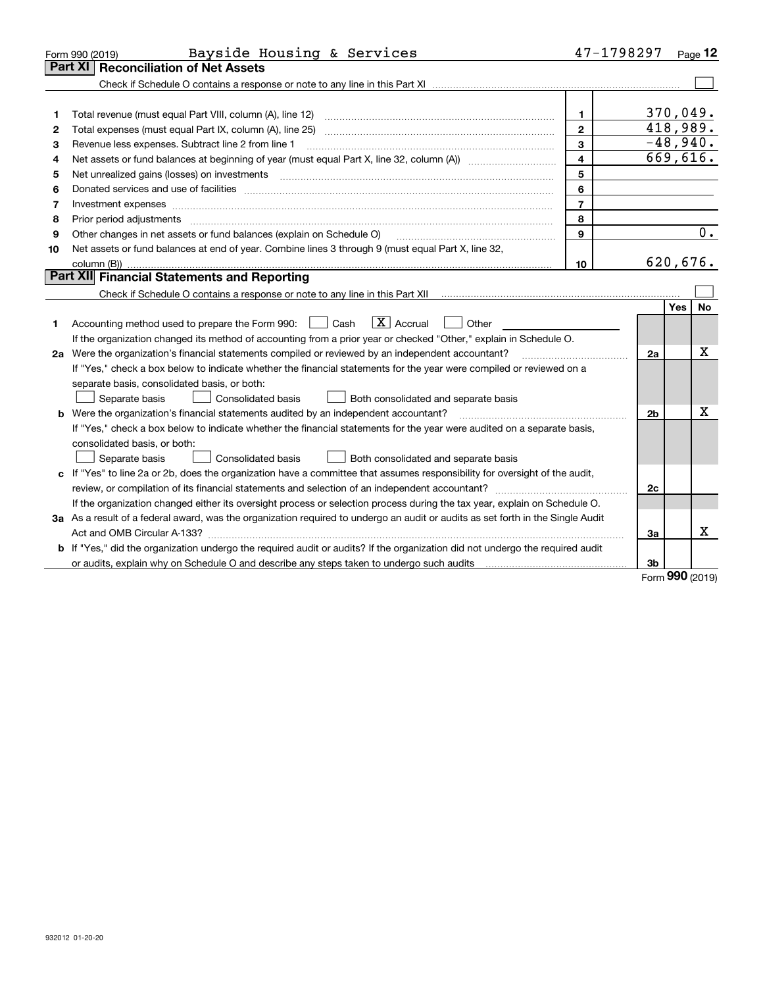|    | Bayside Housing & Services<br>Form 990 (2019)                                                                                                                                                                                  |                | 47-1798297 |     | Page $12$ |
|----|--------------------------------------------------------------------------------------------------------------------------------------------------------------------------------------------------------------------------------|----------------|------------|-----|-----------|
|    | Part XI<br><b>Reconciliation of Net Assets</b>                                                                                                                                                                                 |                |            |     |           |
|    |                                                                                                                                                                                                                                |                |            |     |           |
|    |                                                                                                                                                                                                                                |                |            |     |           |
| 1  |                                                                                                                                                                                                                                | $\mathbf{1}$   | 370,049.   |     |           |
| 2  |                                                                                                                                                                                                                                | $\mathbf{2}$   | 418,989.   |     |           |
| 3  | Revenue less expenses. Subtract line 2 from line 1                                                                                                                                                                             | 3              | $-48,940.$ |     |           |
| 4  |                                                                                                                                                                                                                                | $\overline{4}$ | 669,616.   |     |           |
| 5  |                                                                                                                                                                                                                                | 5              |            |     |           |
| 6  | Donated services and use of facilities [111] matter contracts and the service of facilities [11] matter contracts and use of facilities [11] matter contracts and the service of facilities [11] matter contracts and the serv | 6              |            |     |           |
| 7  | Investment expenses www.communication.com/www.communication.com/www.communication.com/www.com                                                                                                                                  | $\overline{7}$ |            |     |           |
| 8  | Prior period adjustments                                                                                                                                                                                                       | 8              |            |     |           |
| 9  | Other changes in net assets or fund balances (explain on Schedule O)                                                                                                                                                           | 9              |            |     | 0.        |
| 10 | Net assets or fund balances at end of year. Combine lines 3 through 9 (must equal Part X, line 32,                                                                                                                             |                |            |     |           |
|    |                                                                                                                                                                                                                                | 10             | 620, 676.  |     |           |
|    | Part XII Financial Statements and Reporting                                                                                                                                                                                    |                |            |     |           |
|    | Check if Schedule O contains a response or note to any line in this Part XII [11] [11] [11] [11] [11] [11] Check if Schedule O contains a response or note to any line in this Part XII                                        |                |            |     |           |
|    |                                                                                                                                                                                                                                |                |            | Yes | <b>No</b> |
| 1  | $\boxed{\mathbf{X}}$ Accrual<br>Accounting method used to prepare the Form 990: <u>June</u> Cash<br>Other                                                                                                                      |                |            |     |           |
|    | If the organization changed its method of accounting from a prior year or checked "Other," explain in Schedule O.                                                                                                              |                |            |     |           |
|    | 2a Were the organization's financial statements compiled or reviewed by an independent accountant?                                                                                                                             |                | 2a         |     | x         |
|    | If "Yes," check a box below to indicate whether the financial statements for the year were compiled or reviewed on a                                                                                                           |                |            |     |           |
|    | separate basis, consolidated basis, or both:                                                                                                                                                                                   |                |            |     |           |
|    | Separate basis<br>Consolidated basis<br>Both consolidated and separate basis                                                                                                                                                   |                |            |     |           |
|    | <b>b</b> Were the organization's financial statements audited by an independent accountant?                                                                                                                                    |                | 2b         |     | x         |
|    | If "Yes," check a box below to indicate whether the financial statements for the year were audited on a separate basis,                                                                                                        |                |            |     |           |
|    | consolidated basis, or both:                                                                                                                                                                                                   |                |            |     |           |
|    | <b>Consolidated basis</b><br>Separate basis<br>Both consolidated and separate basis                                                                                                                                            |                |            |     |           |
| c  | If "Yes" to line 2a or 2b, does the organization have a committee that assumes responsibility for oversight of the audit,                                                                                                      |                |            |     |           |
|    |                                                                                                                                                                                                                                |                | 2c         |     |           |
|    | If the organization changed either its oversight process or selection process during the tax year, explain on Schedule O.                                                                                                      |                |            |     |           |
|    | 3a As a result of a federal award, was the organization required to undergo an audit or audits as set forth in the Single Audit                                                                                                |                |            |     |           |
|    |                                                                                                                                                                                                                                |                | За         |     | x         |
|    | <b>b</b> If "Yes," did the organization undergo the required audit or audits? If the organization did not undergo the required audit                                                                                           |                |            |     |           |
|    |                                                                                                                                                                                                                                |                | 3b         |     |           |

Form (2019) **990**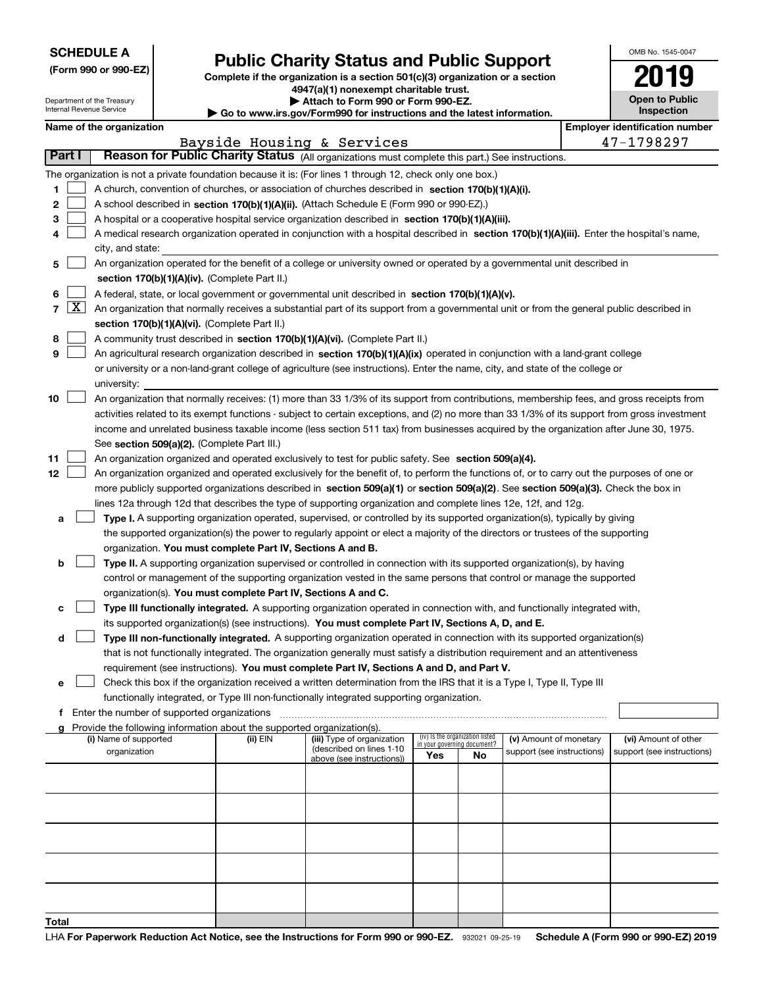| <b>SCHEDULE A</b> |  |  |  |  |  |  |
|-------------------|--|--|--|--|--|--|
|-------------------|--|--|--|--|--|--|

Department of the Treasury Internal Revenue Service

|  |  |  | (Form 990 or 990-EZ) |  |
|--|--|--|----------------------|--|
|--|--|--|----------------------|--|

# **Public Charity Status and Public Support**

**Complete if the organization is a section 501(c)(3) organization or a section 4947(a)(1) nonexempt charitable trust. | Attach to Form 990 or Form 990-EZ.** 

| $\blacktriangleright$ and a control of the set of the set of the set of $\blacktriangleright$ |
|-----------------------------------------------------------------------------------------------|
| ▶ Go to www.irs.gov/Form990 for instructions and the latest information.                      |
|                                                                                               |

| 2019                                |  |
|-------------------------------------|--|
| <b>Open to Public</b><br>Inspection |  |

OMB No. 1545-0047

|  | Name of the organization |
|--|--------------------------|
|  |                          |

| Name of the organization |  | <b>Employer identification number</b> |
|--------------------------|--|---------------------------------------|
|                          |  |                                       |

|                  |                    |                                                                                                                                                                                                                                                                                                                                                                                                                                                                                                                                                                 |          | Bayside Housing & Services                             |                                    |                                       |                                                      | 47-1798297                                         |
|------------------|--------------------|-----------------------------------------------------------------------------------------------------------------------------------------------------------------------------------------------------------------------------------------------------------------------------------------------------------------------------------------------------------------------------------------------------------------------------------------------------------------------------------------------------------------------------------------------------------------|----------|--------------------------------------------------------|------------------------------------|---------------------------------------|------------------------------------------------------|----------------------------------------------------|
|                  | Part I             | Reason for Public Charity Status (All organizations must complete this part.) See instructions.                                                                                                                                                                                                                                                                                                                                                                                                                                                                 |          |                                                        |                                    |                                       |                                                      |                                                    |
| 1<br>2<br>з<br>4 |                    | The organization is not a private foundation because it is: (For lines 1 through 12, check only one box.)<br>A church, convention of churches, or association of churches described in section 170(b)(1)(A)(i).<br>A school described in section 170(b)(1)(A)(ii). (Attach Schedule E (Form 990 or 990-EZ).)<br>A hospital or a cooperative hospital service organization described in section 170(b)(1)(A)(iii).<br>A medical research organization operated in conjunction with a hospital described in section 170(b)(1)(A)(iii). Enter the hospital's name, |          |                                                        |                                    |                                       |                                                      |                                                    |
|                  |                    | city, and state:                                                                                                                                                                                                                                                                                                                                                                                                                                                                                                                                                |          |                                                        |                                    |                                       |                                                      |                                                    |
| 5                |                    | An organization operated for the benefit of a college or university owned or operated by a governmental unit described in<br>section 170(b)(1)(A)(iv). (Complete Part II.)                                                                                                                                                                                                                                                                                                                                                                                      |          |                                                        |                                    |                                       |                                                      |                                                    |
| 6<br>7           | $\boxed{\text{X}}$ | A federal, state, or local government or governmental unit described in section 170(b)(1)(A)(v).<br>An organization that normally receives a substantial part of its support from a governmental unit or from the general public described in<br>section 170(b)(1)(A)(vi). (Complete Part II.)                                                                                                                                                                                                                                                                  |          |                                                        |                                    |                                       |                                                      |                                                    |
| 8<br>9           |                    | A community trust described in section 170(b)(1)(A)(vi). (Complete Part II.)<br>An agricultural research organization described in section 170(b)(1)(A)(ix) operated in conjunction with a land-grant college<br>or university or a non-land-grant college of agriculture (see instructions). Enter the name, city, and state of the college or<br>university:                                                                                                                                                                                                  |          |                                                        |                                    |                                       |                                                      |                                                    |
| 10               |                    | An organization that normally receives: (1) more than 33 1/3% of its support from contributions, membership fees, and gross receipts from<br>activities related to its exempt functions - subject to certain exceptions, and (2) no more than 33 1/3% of its support from gross investment<br>income and unrelated business taxable income (less section 511 tax) from businesses acquired by the organization after June 30, 1975.<br>See section 509(a)(2). (Complete Part III.)                                                                              |          |                                                        |                                    |                                       |                                                      |                                                    |
| 11<br>12         |                    | An organization organized and operated exclusively to test for public safety. See section 509(a)(4).<br>An organization organized and operated exclusively for the benefit of, to perform the functions of, or to carry out the purposes of one or<br>more publicly supported organizations described in section 509(a)(1) or section 509(a)(2). See section 509(a)(3). Check the box in<br>lines 12a through 12d that describes the type of supporting organization and complete lines 12e, 12f, and 12g.                                                      |          |                                                        |                                    |                                       |                                                      |                                                    |
| a<br>b           |                    | Type I. A supporting organization operated, supervised, or controlled by its supported organization(s), typically by giving<br>the supported organization(s) the power to regularly appoint or elect a majority of the directors or trustees of the supporting<br>organization. You must complete Part IV, Sections A and B.<br>Type II. A supporting organization supervised or controlled in connection with its supported organization(s), by having                                                                                                         |          |                                                        |                                    |                                       |                                                      |                                                    |
|                  |                    | control or management of the supporting organization vested in the same persons that control or manage the supported<br>organization(s). You must complete Part IV, Sections A and C.                                                                                                                                                                                                                                                                                                                                                                           |          |                                                        |                                    |                                       |                                                      |                                                    |
| c                |                    | Type III functionally integrated. A supporting organization operated in connection with, and functionally integrated with,                                                                                                                                                                                                                                                                                                                                                                                                                                      |          |                                                        |                                    |                                       |                                                      |                                                    |
| d                |                    | its supported organization(s) (see instructions). You must complete Part IV, Sections A, D, and E.<br>Type III non-functionally integrated. A supporting organization operated in connection with its supported organization(s)<br>that is not functionally integrated. The organization generally must satisfy a distribution requirement and an attentiveness<br>requirement (see instructions). You must complete Part IV, Sections A and D, and Part V.                                                                                                     |          |                                                        |                                    |                                       |                                                      |                                                    |
| е                |                    | Check this box if the organization received a written determination from the IRS that it is a Type I, Type II, Type III<br>functionally integrated, or Type III non-functionally integrated supporting organization.                                                                                                                                                                                                                                                                                                                                            |          |                                                        |                                    |                                       |                                                      |                                                    |
|                  |                    | f Enter the number of supported organizations                                                                                                                                                                                                                                                                                                                                                                                                                                                                                                                   |          |                                                        |                                    |                                       |                                                      |                                                    |
|                  |                    | Provide the following information about the supported organization(s).<br>(i) Name of supported<br>organization                                                                                                                                                                                                                                                                                                                                                                                                                                                 | (ii) EIN | (iii) Type of organization<br>(described on lines 1-10 | in your governing document?<br>Yes | (iv) Is the organization listed<br>No | (v) Amount of monetary<br>support (see instructions) | (vi) Amount of other<br>support (see instructions) |
|                  |                    |                                                                                                                                                                                                                                                                                                                                                                                                                                                                                                                                                                 |          | above (see instructions))                              |                                    |                                       |                                                      |                                                    |
|                  |                    |                                                                                                                                                                                                                                                                                                                                                                                                                                                                                                                                                                 |          |                                                        |                                    |                                       |                                                      |                                                    |
|                  |                    |                                                                                                                                                                                                                                                                                                                                                                                                                                                                                                                                                                 |          |                                                        |                                    |                                       |                                                      |                                                    |
|                  |                    |                                                                                                                                                                                                                                                                                                                                                                                                                                                                                                                                                                 |          |                                                        |                                    |                                       |                                                      |                                                    |
| Total            |                    |                                                                                                                                                                                                                                                                                                                                                                                                                                                                                                                                                                 |          |                                                        |                                    |                                       |                                                      |                                                    |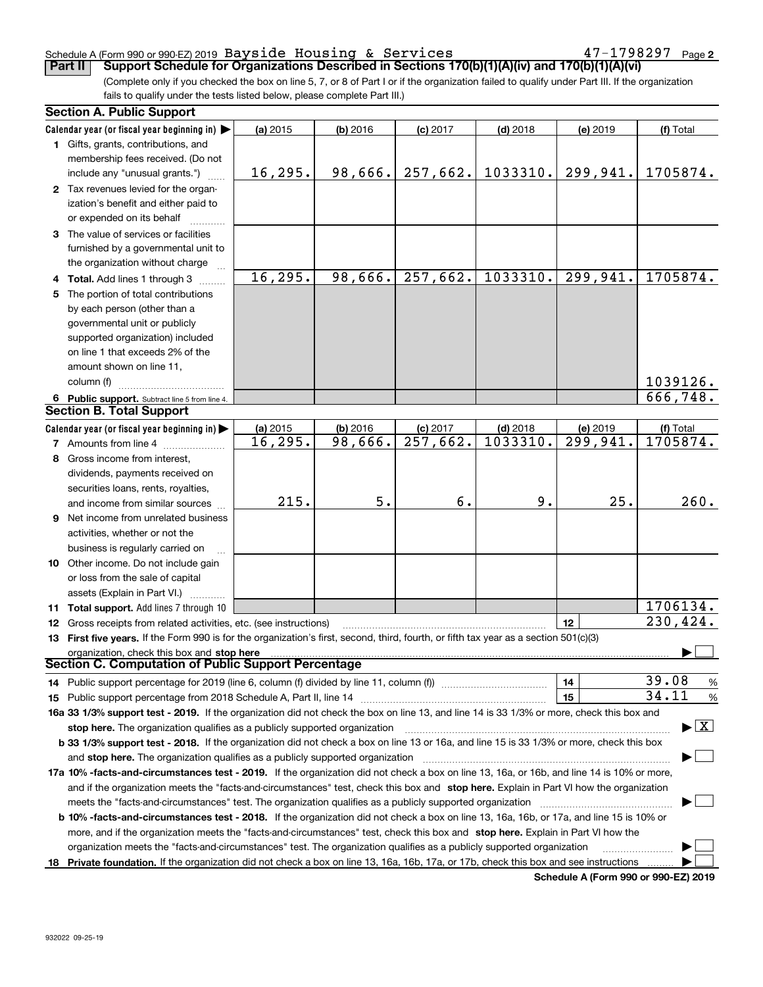### Schedule A (Form 990 or 990-EZ) 2019 Page Bayside Housing & Services 47-1798297

**2**

(Complete only if you checked the box on line 5, 7, or 8 of Part I or if the organization failed to qualify under Part III. If the organization fails to qualify under the tests listed below, please complete Part III.) **Part II Support Schedule for Organizations Described in Sections 170(b)(1)(A)(iv) and 170(b)(1)(A)(vi)** 

| <b>Section A. Public Support</b>                                                                                                               |          |            |                        |            |                        |                                          |
|------------------------------------------------------------------------------------------------------------------------------------------------|----------|------------|------------------------|------------|------------------------|------------------------------------------|
| Calendar year (or fiscal year beginning in) $\blacktriangleright$                                                                              | (a) 2015 | $(b)$ 2016 | $(c)$ 2017             | $(d)$ 2018 | (e) 2019               | (f) Total                                |
| <b>1</b> Gifts, grants, contributions, and                                                                                                     |          |            |                        |            |                        |                                          |
| membership fees received. (Do not                                                                                                              |          |            |                        |            |                        |                                          |
| include any "unusual grants.")                                                                                                                 | 16, 295. | 98,666.    | 257,662.               | 1033310.   | 299,941.               | 1705874.                                 |
| 2 Tax revenues levied for the organ-                                                                                                           |          |            |                        |            |                        |                                          |
| ization's benefit and either paid to                                                                                                           |          |            |                        |            |                        |                                          |
| or expended on its behalf                                                                                                                      |          |            |                        |            |                        |                                          |
| 3 The value of services or facilities                                                                                                          |          |            |                        |            |                        |                                          |
| furnished by a governmental unit to                                                                                                            |          |            |                        |            |                        |                                          |
| the organization without charge                                                                                                                |          |            |                        |            |                        |                                          |
| 4 Total. Add lines 1 through 3                                                                                                                 | 16,295.  | 98,666.    | 257,662.               | 1033310.   | 299,941.               | 1705874.                                 |
| 5 The portion of total contributions                                                                                                           |          |            |                        |            |                        |                                          |
| by each person (other than a                                                                                                                   |          |            |                        |            |                        |                                          |
| governmental unit or publicly                                                                                                                  |          |            |                        |            |                        |                                          |
| supported organization) included                                                                                                               |          |            |                        |            |                        |                                          |
| on line 1 that exceeds 2% of the                                                                                                               |          |            |                        |            |                        |                                          |
| amount shown on line 11,                                                                                                                       |          |            |                        |            |                        |                                          |
| column (f)                                                                                                                                     |          |            |                        |            |                        | 1039126.                                 |
| 6 Public support. Subtract line 5 from line 4.                                                                                                 |          |            |                        |            |                        | 666,748.                                 |
| <b>Section B. Total Support</b>                                                                                                                |          |            |                        |            |                        |                                          |
| Calendar year (or fiscal year beginning in)                                                                                                    | (a) 2015 | (b) 2016   | $(c)$ 2017             | $(d)$ 2018 | (e) 2019               | (f) Total                                |
| <b>7</b> Amounts from line 4                                                                                                                   | 16,295.  | 98,666.    | $\overline{257,662}$ . | 1033310.   | $\overline{299,941}$ . | 1705874.                                 |
| 8 Gross income from interest,                                                                                                                  |          |            |                        |            |                        |                                          |
| dividends, payments received on                                                                                                                |          |            |                        |            |                        |                                          |
| securities loans, rents, royalties,                                                                                                            |          |            |                        |            |                        |                                          |
| and income from similar sources                                                                                                                | 215.     | 5.         | б.                     | 9.         | 25.                    | 260.                                     |
| 9 Net income from unrelated business                                                                                                           |          |            |                        |            |                        |                                          |
| activities, whether or not the                                                                                                                 |          |            |                        |            |                        |                                          |
| business is regularly carried on                                                                                                               |          |            |                        |            |                        |                                          |
| 10 Other income. Do not include gain                                                                                                           |          |            |                        |            |                        |                                          |
| or loss from the sale of capital                                                                                                               |          |            |                        |            |                        |                                          |
| assets (Explain in Part VI.)                                                                                                                   |          |            |                        |            |                        |                                          |
| 11 Total support. Add lines 7 through 10                                                                                                       |          |            |                        |            |                        | 1706134.                                 |
| <b>12</b> Gross receipts from related activities, etc. (see instructions)                                                                      |          |            |                        |            | 12                     | 230,424.                                 |
| 13 First five years. If the Form 990 is for the organization's first, second, third, fourth, or fifth tax year as a section 501(c)(3)          |          |            |                        |            |                        |                                          |
| organization, check this box and stop here                                                                                                     |          |            |                        |            |                        |                                          |
| Section C. Computation of Public Support Percentage                                                                                            |          |            |                        |            |                        |                                          |
| 14 Public support percentage for 2019 (line 6, column (f) divided by line 11, column (f) <i>mummention</i>                                     |          |            |                        |            | 14                     | 39.08<br>%                               |
|                                                                                                                                                |          |            |                        |            | 15                     | 34.11<br>%                               |
| 16a 33 1/3% support test - 2019. If the organization did not check the box on line 13, and line 14 is 33 1/3% or more, check this box and      |          |            |                        |            |                        |                                          |
| stop here. The organization qualifies as a publicly supported organization                                                                     |          |            |                        |            |                        | $\blacktriangleright$ $\boxed{\text{X}}$ |
| b 33 1/3% support test - 2018. If the organization did not check a box on line 13 or 16a, and line 15 is 33 1/3% or more, check this box       |          |            |                        |            |                        |                                          |
| and stop here. The organization qualifies as a publicly supported organization                                                                 |          |            |                        |            |                        |                                          |
| 17a 10% -facts-and-circumstances test - 2019. If the organization did not check a box on line 13, 16a, or 16b, and line 14 is 10% or more,     |          |            |                        |            |                        |                                          |
| and if the organization meets the "facts-and-circumstances" test, check this box and stop here. Explain in Part VI how the organization        |          |            |                        |            |                        |                                          |
| meets the "facts-and-circumstances" test. The organization qualifies as a publicly supported organization                                      |          |            |                        |            |                        |                                          |
| <b>b 10% -facts-and-circumstances test - 2018.</b> If the organization did not check a box on line 13, 16a, 16b, or 17a, and line 15 is 10% or |          |            |                        |            |                        |                                          |
| more, and if the organization meets the "facts-and-circumstances" test, check this box and stop here. Explain in Part VI how the               |          |            |                        |            |                        |                                          |
| organization meets the "facts-and-circumstances" test. The organization qualifies as a publicly supported organization                         |          |            |                        |            |                        |                                          |
| 18 Private foundation. If the organization did not check a box on line 13, 16a, 16b, 17a, or 17b, check this box and see instructions          |          |            |                        |            |                        |                                          |

**Schedule A (Form 990 or 990-EZ) 2019**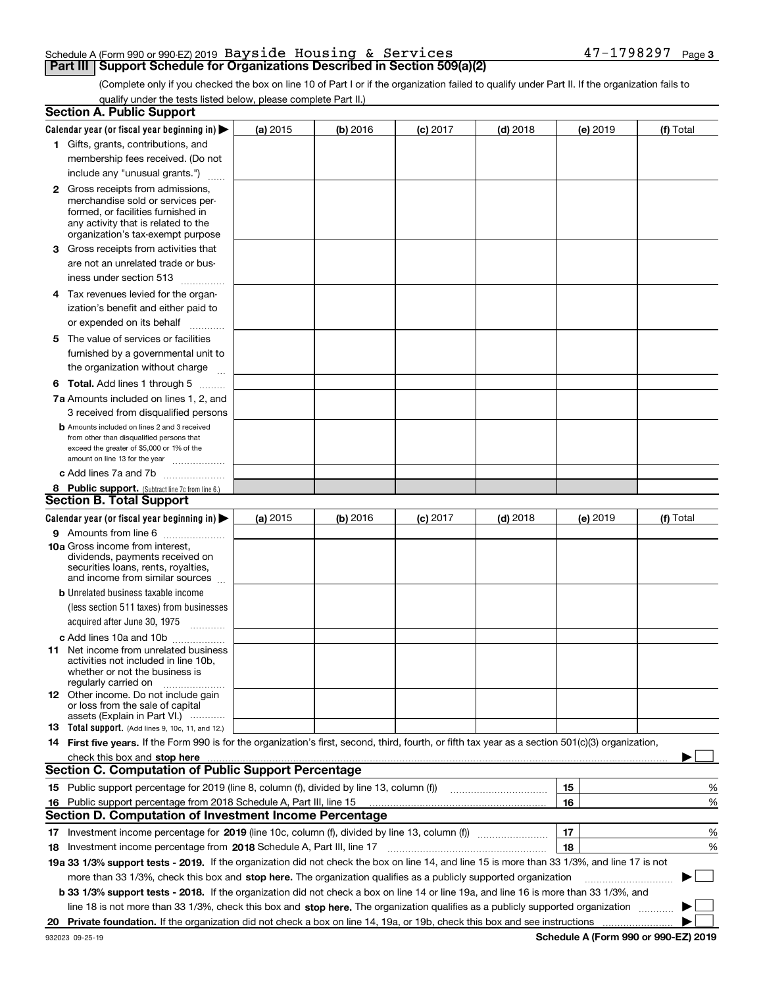### Schedule A (Form 990 or 990-EZ) 2019 Page Bayside Housing & Services 47-1798297**Part III Support Schedule for Organizations Described in Section 509(a)(2)**

(Complete only if you checked the box on line 10 of Part I or if the organization failed to qualify under Part II. If the organization fails to qualify under the tests listed below, please complete Part II.)

|    | <b>Section A. Public Support</b>                                                                                                                    |          |          |            |            |    |          |             |   |
|----|-----------------------------------------------------------------------------------------------------------------------------------------------------|----------|----------|------------|------------|----|----------|-------------|---|
|    | Calendar year (or fiscal year beginning in) $\blacktriangleright$                                                                                   | (a) 2015 | (b) 2016 | $(c)$ 2017 | $(d)$ 2018 |    | (e) 2019 | (f) Total   |   |
|    | 1 Gifts, grants, contributions, and                                                                                                                 |          |          |            |            |    |          |             |   |
|    | membership fees received. (Do not                                                                                                                   |          |          |            |            |    |          |             |   |
|    | include any "unusual grants.")                                                                                                                      |          |          |            |            |    |          |             |   |
|    | <b>2</b> Gross receipts from admissions,                                                                                                            |          |          |            |            |    |          |             |   |
|    | merchandise sold or services per-                                                                                                                   |          |          |            |            |    |          |             |   |
|    | formed, or facilities furnished in                                                                                                                  |          |          |            |            |    |          |             |   |
|    | any activity that is related to the<br>organization's tax-exempt purpose                                                                            |          |          |            |            |    |          |             |   |
|    | 3 Gross receipts from activities that                                                                                                               |          |          |            |            |    |          |             |   |
|    | are not an unrelated trade or bus-                                                                                                                  |          |          |            |            |    |          |             |   |
|    | iness under section 513                                                                                                                             |          |          |            |            |    |          |             |   |
|    |                                                                                                                                                     |          |          |            |            |    |          |             |   |
|    | 4 Tax revenues levied for the organ-                                                                                                                |          |          |            |            |    |          |             |   |
|    | ization's benefit and either paid to                                                                                                                |          |          |            |            |    |          |             |   |
|    | or expended on its behalf<br>.                                                                                                                      |          |          |            |            |    |          |             |   |
|    | 5 The value of services or facilities                                                                                                               |          |          |            |            |    |          |             |   |
|    | furnished by a governmental unit to                                                                                                                 |          |          |            |            |    |          |             |   |
|    | the organization without charge                                                                                                                     |          |          |            |            |    |          |             |   |
|    | <b>6 Total.</b> Add lines 1 through 5                                                                                                               |          |          |            |            |    |          |             |   |
|    | 7a Amounts included on lines 1, 2, and                                                                                                              |          |          |            |            |    |          |             |   |
|    | 3 received from disqualified persons                                                                                                                |          |          |            |            |    |          |             |   |
|    | <b>b</b> Amounts included on lines 2 and 3 received                                                                                                 |          |          |            |            |    |          |             |   |
|    | from other than disqualified persons that<br>exceed the greater of \$5,000 or 1% of the                                                             |          |          |            |            |    |          |             |   |
|    | amount on line 13 for the year                                                                                                                      |          |          |            |            |    |          |             |   |
|    | c Add lines 7a and 7b                                                                                                                               |          |          |            |            |    |          |             |   |
|    | 8 Public support. (Subtract line 7c from line 6.)                                                                                                   |          |          |            |            |    |          |             |   |
|    | <b>Section B. Total Support</b>                                                                                                                     |          |          |            |            |    |          |             |   |
|    | Calendar year (or fiscal year beginning in)                                                                                                         | (a) 2015 | (b) 2016 | $(c)$ 2017 | $(d)$ 2018 |    | (e) 2019 | (f) Total   |   |
|    | 9 Amounts from line 6                                                                                                                               |          |          |            |            |    |          |             |   |
|    | <b>10a</b> Gross income from interest,                                                                                                              |          |          |            |            |    |          |             |   |
|    | dividends, payments received on                                                                                                                     |          |          |            |            |    |          |             |   |
|    | securities loans, rents, royalties,<br>and income from similar sources                                                                              |          |          |            |            |    |          |             |   |
|    | <b>b</b> Unrelated business taxable income                                                                                                          |          |          |            |            |    |          |             |   |
|    | (less section 511 taxes) from businesses                                                                                                            |          |          |            |            |    |          |             |   |
|    | acquired after June 30, 1975 [10001]                                                                                                                |          |          |            |            |    |          |             |   |
|    |                                                                                                                                                     |          |          |            |            |    |          |             |   |
|    | c Add lines 10a and 10b<br>11 Net income from unrelated business                                                                                    |          |          |            |            |    |          |             |   |
|    | activities not included in line 10b,                                                                                                                |          |          |            |            |    |          |             |   |
|    | whether or not the business is                                                                                                                      |          |          |            |            |    |          |             |   |
|    | regularly carried on                                                                                                                                |          |          |            |            |    |          |             |   |
|    | <b>12</b> Other income. Do not include gain<br>or loss from the sale of capital                                                                     |          |          |            |            |    |          |             |   |
|    | assets (Explain in Part VI.)                                                                                                                        |          |          |            |            |    |          |             |   |
|    | <b>13</b> Total support. (Add lines 9, 10c, 11, and 12.)                                                                                            |          |          |            |            |    |          |             |   |
|    | 14 First five years. If the Form 990 is for the organization's first, second, third, fourth, or fifth tax year as a section 501(c)(3) organization, |          |          |            |            |    |          |             |   |
|    | check this box and stop here measurements are constructed as the state of the state of the state of the state o                                     |          |          |            |            |    |          |             |   |
|    | <b>Section C. Computation of Public Support Percentage</b>                                                                                          |          |          |            |            |    |          |             |   |
|    | 15 Public support percentage for 2019 (line 8, column (f), divided by line 13, column (f))                                                          |          |          |            |            | 15 |          |             | % |
|    | 16 Public support percentage from 2018 Schedule A, Part III, line 15                                                                                |          |          |            |            | 16 |          |             | % |
|    | <b>Section D. Computation of Investment Income Percentage</b>                                                                                       |          |          |            |            |    |          |             |   |
|    | 17 Investment income percentage for 2019 (line 10c, column (f), divided by line 13, column (f))                                                     |          |          |            |            | 17 |          |             | % |
|    | <b>18</b> Investment income percentage from <b>2018</b> Schedule A, Part III, line 17                                                               |          |          |            |            | 18 |          |             | % |
|    | 19a 33 1/3% support tests - 2019. If the organization did not check the box on line 14, and line 15 is more than 33 1/3%, and line 17 is not        |          |          |            |            |    |          |             |   |
|    | more than 33 1/3%, check this box and stop here. The organization qualifies as a publicly supported organization                                    |          |          |            |            |    |          | $\sim$<br>▶ |   |
|    | b 33 1/3% support tests - 2018. If the organization did not check a box on line 14 or line 19a, and line 16 is more than 33 1/3%, and               |          |          |            |            |    |          |             |   |
|    | line 18 is not more than 33 1/3%, check this box and stop here. The organization qualifies as a publicly supported organization                     |          |          |            |            |    |          |             |   |
| 20 |                                                                                                                                                     |          |          |            |            |    |          |             |   |
|    |                                                                                                                                                     |          |          |            |            |    |          |             |   |

**Schedule A (Form 990 or 990-EZ) 2019**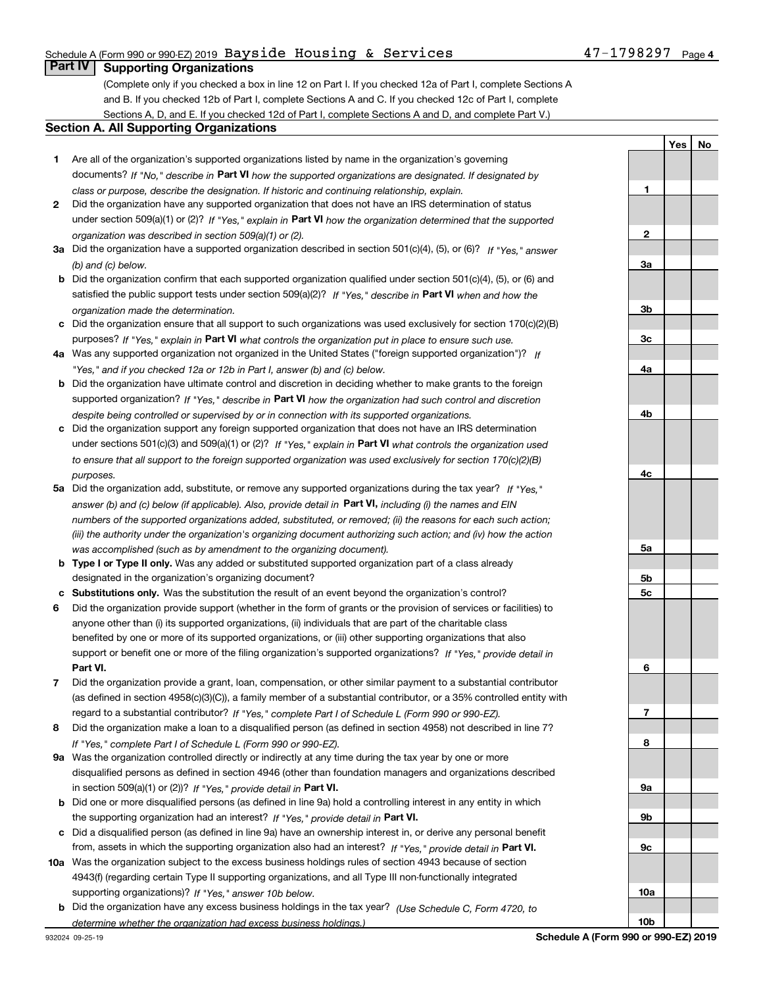### Schedule A (Form 990 or 990-EZ) 2019 Page Bayside Housing & Services 47-1798297

## **Part IV Supporting Organizations**

(Complete only if you checked a box in line 12 on Part I. If you checked 12a of Part I, complete Sections A and B. If you checked 12b of Part I, complete Sections A and C. If you checked 12c of Part I, complete Sections A, D, and E. If you checked 12d of Part I, complete Sections A and D, and complete Part V.)

### **Section A. All Supporting Organizations**

- **1** Are all of the organization's supported organizations listed by name in the organization's governing documents? If "No," describe in **Part VI** how the supported organizations are designated. If designated by *class or purpose, describe the designation. If historic and continuing relationship, explain.*
- **2** Did the organization have any supported organization that does not have an IRS determination of status under section 509(a)(1) or (2)? If "Yes," explain in Part VI how the organization determined that the supported *organization was described in section 509(a)(1) or (2).*
- **3a** Did the organization have a supported organization described in section 501(c)(4), (5), or (6)? If "Yes," answer *(b) and (c) below.*
- **b** Did the organization confirm that each supported organization qualified under section 501(c)(4), (5), or (6) and satisfied the public support tests under section 509(a)(2)? If "Yes," describe in **Part VI** when and how the *organization made the determination.*
- **c**Did the organization ensure that all support to such organizations was used exclusively for section 170(c)(2)(B) purposes? If "Yes," explain in **Part VI** what controls the organization put in place to ensure such use.
- **4a***If* Was any supported organization not organized in the United States ("foreign supported organization")? *"Yes," and if you checked 12a or 12b in Part I, answer (b) and (c) below.*
- **b** Did the organization have ultimate control and discretion in deciding whether to make grants to the foreign supported organization? If "Yes," describe in **Part VI** how the organization had such control and discretion *despite being controlled or supervised by or in connection with its supported organizations.*
- **c** Did the organization support any foreign supported organization that does not have an IRS determination under sections 501(c)(3) and 509(a)(1) or (2)? If "Yes," explain in **Part VI** what controls the organization used *to ensure that all support to the foreign supported organization was used exclusively for section 170(c)(2)(B) purposes.*
- **5a***If "Yes,"* Did the organization add, substitute, or remove any supported organizations during the tax year? answer (b) and (c) below (if applicable). Also, provide detail in **Part VI,** including (i) the names and EIN *numbers of the supported organizations added, substituted, or removed; (ii) the reasons for each such action; (iii) the authority under the organization's organizing document authorizing such action; and (iv) how the action was accomplished (such as by amendment to the organizing document).*
- **b** Type I or Type II only. Was any added or substituted supported organization part of a class already designated in the organization's organizing document?
- **cSubstitutions only.**  Was the substitution the result of an event beyond the organization's control?
- **6** Did the organization provide support (whether in the form of grants or the provision of services or facilities) to **Part VI.** *If "Yes," provide detail in* support or benefit one or more of the filing organization's supported organizations? anyone other than (i) its supported organizations, (ii) individuals that are part of the charitable class benefited by one or more of its supported organizations, or (iii) other supporting organizations that also
- **7**Did the organization provide a grant, loan, compensation, or other similar payment to a substantial contributor *If "Yes," complete Part I of Schedule L (Form 990 or 990-EZ).* regard to a substantial contributor? (as defined in section 4958(c)(3)(C)), a family member of a substantial contributor, or a 35% controlled entity with
- **8** Did the organization make a loan to a disqualified person (as defined in section 4958) not described in line 7? *If "Yes," complete Part I of Schedule L (Form 990 or 990-EZ).*
- **9a** Was the organization controlled directly or indirectly at any time during the tax year by one or more in section 509(a)(1) or (2))? If "Yes," *provide detail in* <code>Part VI.</code> disqualified persons as defined in section 4946 (other than foundation managers and organizations described
- **b** Did one or more disqualified persons (as defined in line 9a) hold a controlling interest in any entity in which the supporting organization had an interest? If "Yes," provide detail in P**art VI**.
- **c**Did a disqualified person (as defined in line 9a) have an ownership interest in, or derive any personal benefit from, assets in which the supporting organization also had an interest? If "Yes," provide detail in P**art VI.**
- **10a** Was the organization subject to the excess business holdings rules of section 4943 because of section supporting organizations)? If "Yes," answer 10b below. 4943(f) (regarding certain Type II supporting organizations, and all Type III non-functionally integrated
- **b** Did the organization have any excess business holdings in the tax year? (Use Schedule C, Form 4720, to *determine whether the organization had excess business holdings.)*

**3b3c4a4b4c5a5b5c6789a 9b9c10a10b**

**1**

**2**

**3a**

**YesNo**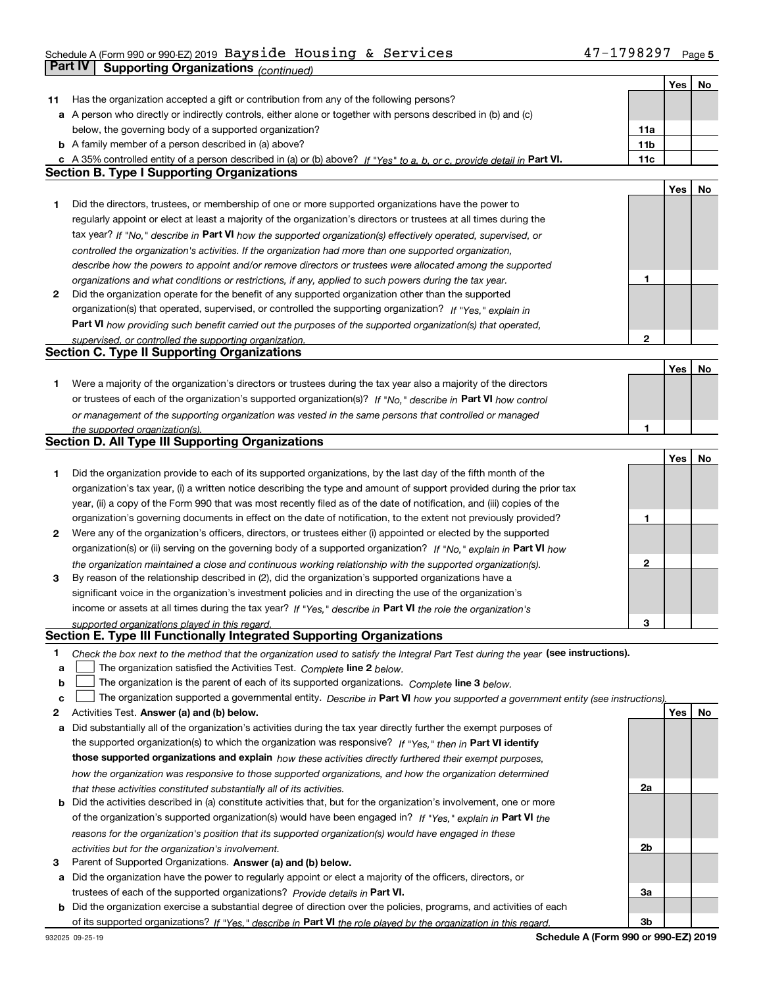## Schedule A (Form 990 or 990-EZ) 2019 Page Bayside Housing & Services 47-1798297**Part IV** Supporting Organizations (*continued*)

т

┱

|    |                                                                                                                                   |     | Yes | No |
|----|-----------------------------------------------------------------------------------------------------------------------------------|-----|-----|----|
| 11 | Has the organization accepted a gift or contribution from any of the following persons?                                           |     |     |    |
|    | a A person who directly or indirectly controls, either alone or together with persons described in (b) and (c)                    |     |     |    |
|    | below, the governing body of a supported organization?                                                                            | 11a |     |    |
|    | <b>b</b> A family member of a person described in (a) above?                                                                      | 11b |     |    |
|    | c A 35% controlled entity of a person described in (a) or (b) above? If "Yes" to a, b, or c, provide detail in Part VI.           | 11c |     |    |
|    | <b>Section B. Type I Supporting Organizations</b>                                                                                 |     |     |    |
|    |                                                                                                                                   |     | Yes | No |
| 1  | Did the directors, trustees, or membership of one or more supported organizations have the power to                               |     |     |    |
|    | regularly appoint or elect at least a majority of the organization's directors or trustees at all times during the                |     |     |    |
|    | tax year? If "No," describe in Part VI how the supported organization(s) effectively operated, supervised, or                     |     |     |    |
|    | controlled the organization's activities. If the organization had more than one supported organization,                           |     |     |    |
|    | describe how the powers to appoint and/or remove directors or trustees were allocated among the supported                         |     |     |    |
|    | organizations and what conditions or restrictions, if any, applied to such powers during the tax year.                            | 1   |     |    |
| 2  | Did the organization operate for the benefit of any supported organization other than the supported                               |     |     |    |
|    | organization(s) that operated, supervised, or controlled the supporting organization? If "Yes," explain in                        |     |     |    |
|    |                                                                                                                                   |     |     |    |
|    | Part VI how providing such benefit carried out the purposes of the supported organization(s) that operated,                       | 2   |     |    |
|    | supervised, or controlled the supporting organization.<br><b>Section C. Type II Supporting Organizations</b>                      |     |     |    |
|    |                                                                                                                                   |     |     |    |
|    |                                                                                                                                   |     | Yes | No |
| 1. | Were a majority of the organization's directors or trustees during the tax year also a majority of the directors                  |     |     |    |
|    | or trustees of each of the organization's supported organization(s)? If "No," describe in Part VI how control                     |     |     |    |
|    | or management of the supporting organization was vested in the same persons that controlled or managed                            |     |     |    |
|    | the supported organization(s).<br>Section D. All Type III Supporting Organizations                                                | 1   |     |    |
|    |                                                                                                                                   |     |     |    |
|    |                                                                                                                                   |     | Yes | No |
| 1  | Did the organization provide to each of its supported organizations, by the last day of the fifth month of the                    |     |     |    |
|    | organization's tax year, (i) a written notice describing the type and amount of support provided during the prior tax             |     |     |    |
|    | year, (ii) a copy of the Form 990 that was most recently filed as of the date of notification, and (iii) copies of the            |     |     |    |
|    | organization's governing documents in effect on the date of notification, to the extent not previously provided?                  | 1   |     |    |
| 2  | Were any of the organization's officers, directors, or trustees either (i) appointed or elected by the supported                  |     |     |    |
|    | organization(s) or (ii) serving on the governing body of a supported organization? If "No," explain in Part VI how                |     |     |    |
|    | the organization maintained a close and continuous working relationship with the supported organization(s).                       | 2   |     |    |
| 3  | By reason of the relationship described in (2), did the organization's supported organizations have a                             |     |     |    |
|    | significant voice in the organization's investment policies and in directing the use of the organization's                        |     |     |    |
|    | income or assets at all times during the tax year? If "Yes," describe in Part VI the role the organization's                      |     |     |    |
|    | supported organizations played in this regard.                                                                                    | 3   |     |    |
|    | Section E. Type III Functionally Integrated Supporting Organizations                                                              |     |     |    |
| 1  | Check the box next to the method that the organization used to satisfy the Integral Part Test during the year (see instructions). |     |     |    |
| a  | The organization satisfied the Activities Test. Complete line 2 below.                                                            |     |     |    |
| b  | The organization is the parent of each of its supported organizations. Complete line 3 below.                                     |     |     |    |
| с  | The organization supported a governmental entity. Describe in Part VI how you supported a government entity (see instructions),   |     |     |    |
| 2  | Activities Test. Answer (a) and (b) below.                                                                                        |     | Yes | No |
| а  | Did substantially all of the organization's activities during the tax year directly further the exempt purposes of                |     |     |    |
|    | the supported organization(s) to which the organization was responsive? If "Yes," then in Part VI identify                        |     |     |    |
|    | those supported organizations and explain how these activities directly furthered their exempt purposes,                          |     |     |    |
|    | how the organization was responsive to those supported organizations, and how the organization determined                         |     |     |    |
|    | that these activities constituted substantially all of its activities.                                                            | 2a  |     |    |
| b  | Did the activities described in (a) constitute activities that, but for the organization's involvement, one or more               |     |     |    |
|    | of the organization's supported organization(s) would have been engaged in? If "Yes," explain in Part VI the                      |     |     |    |
|    | reasons for the organization's position that its supported organization(s) would have engaged in these                            |     |     |    |
|    | activities but for the organization's involvement.                                                                                | 2b  |     |    |
| З  | Parent of Supported Organizations. Answer (a) and (b) below.                                                                      |     |     |    |
|    | a Did the organization have the power to regularly appoint or elect a majority of the officers, directors, or                     |     |     |    |
|    | trustees of each of the supported organizations? Provide details in Part VI.                                                      | За  |     |    |
|    | <b>b</b> Did the organization exercise a substantial degree of direction over the policies, programs, and activities of each      |     |     |    |
|    | of its supported organizations? If "Yes," describe in Part VI the role played by the organization in this regard.                 | 3b  |     |    |

**Schedule A (Form 990 or 990-EZ) 2019**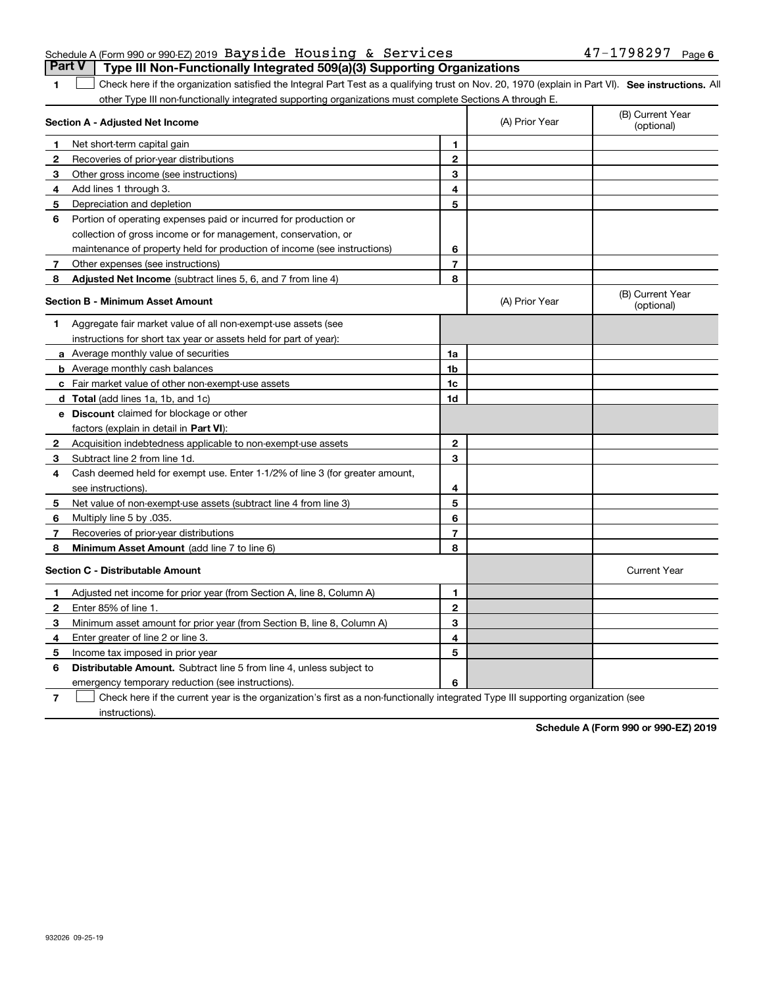### Schedule A (Form 990 or 990-EZ) 2019 Page Bayside Housing & Services 47-1798297**Part V** Type III Non-Functionally Integrated 509(a)(3) Supporting Organizations

**SEP 10. See instructions.** All antegral Part Test as a qualifying trust on Nov. 20, 1970 (explain in Part VI). See instructions. All other Type III non-functionally integrated supporting organizations must complete Sections A through E. ×.

|              | Section A - Adjusted Net Income                                              |                | (A) Prior Year | (B) Current Year<br>(optional) |
|--------------|------------------------------------------------------------------------------|----------------|----------------|--------------------------------|
| 1            | Net short-term capital gain                                                  | 1              |                |                                |
| 2            | Recoveries of prior-year distributions                                       | $\overline{2}$ |                |                                |
| 3            | Other gross income (see instructions)                                        | 3              |                |                                |
| 4            | Add lines 1 through 3.                                                       | 4              |                |                                |
| 5            | Depreciation and depletion                                                   | 5              |                |                                |
| 6            | Portion of operating expenses paid or incurred for production or             |                |                |                                |
|              | collection of gross income or for management, conservation, or               |                |                |                                |
|              | maintenance of property held for production of income (see instructions)     | 6              |                |                                |
| 7            | Other expenses (see instructions)                                            | $\overline{7}$ |                |                                |
| 8            | <b>Adjusted Net Income</b> (subtract lines 5, 6, and 7 from line 4)          | 8              |                |                                |
|              | <b>Section B - Minimum Asset Amount</b>                                      |                | (A) Prior Year | (B) Current Year<br>(optional) |
| 1.           | Aggregate fair market value of all non-exempt-use assets (see                |                |                |                                |
|              | instructions for short tax year or assets held for part of year):            |                |                |                                |
|              | a Average monthly value of securities                                        | 1a             |                |                                |
|              | <b>b</b> Average monthly cash balances                                       | 1b             |                |                                |
|              | c Fair market value of other non-exempt-use assets                           | 1c             |                |                                |
|              | d Total (add lines 1a, 1b, and 1c)                                           | 1d             |                |                                |
|              | e Discount claimed for blockage or other                                     |                |                |                                |
|              | factors (explain in detail in <b>Part VI</b> ):                              |                |                |                                |
| $\mathbf{2}$ | Acquisition indebtedness applicable to non-exempt-use assets                 | $\mathbf{2}$   |                |                                |
| 3            | Subtract line 2 from line 1d.                                                | 3              |                |                                |
| 4            | Cash deemed held for exempt use. Enter 1-1/2% of line 3 (for greater amount, |                |                |                                |
|              | see instructions).                                                           | 4              |                |                                |
| 5            | Net value of non-exempt-use assets (subtract line 4 from line 3)             | 5              |                |                                |
| 6            | Multiply line 5 by .035.                                                     | 6              |                |                                |
| 7            | Recoveries of prior-year distributions                                       | 7              |                |                                |
| 8            | Minimum Asset Amount (add line 7 to line 6)                                  | 8              |                |                                |
|              | <b>Section C - Distributable Amount</b>                                      |                |                | <b>Current Year</b>            |
| 1            | Adjusted net income for prior year (from Section A, line 8, Column A)        | 1              |                |                                |
| 2            | Enter 85% of line 1.                                                         | $\mathbf{2}$   |                |                                |
| 3            | Minimum asset amount for prior year (from Section B, line 8, Column A)       | 3              |                |                                |
| 4            | Enter greater of line 2 or line 3.                                           | 4              |                |                                |
| 5            | Income tax imposed in prior year                                             | 5              |                |                                |
| 6            | <b>Distributable Amount.</b> Subtract line 5 from line 4, unless subject to  |                |                |                                |
|              | emergency temporary reduction (see instructions).                            | 6              |                |                                |

**7**Check here if the current year is the organization's first as a non-functionally integrated Type III supporting organization (see instructions).

**Schedule A (Form 990 or 990-EZ) 2019**

**1**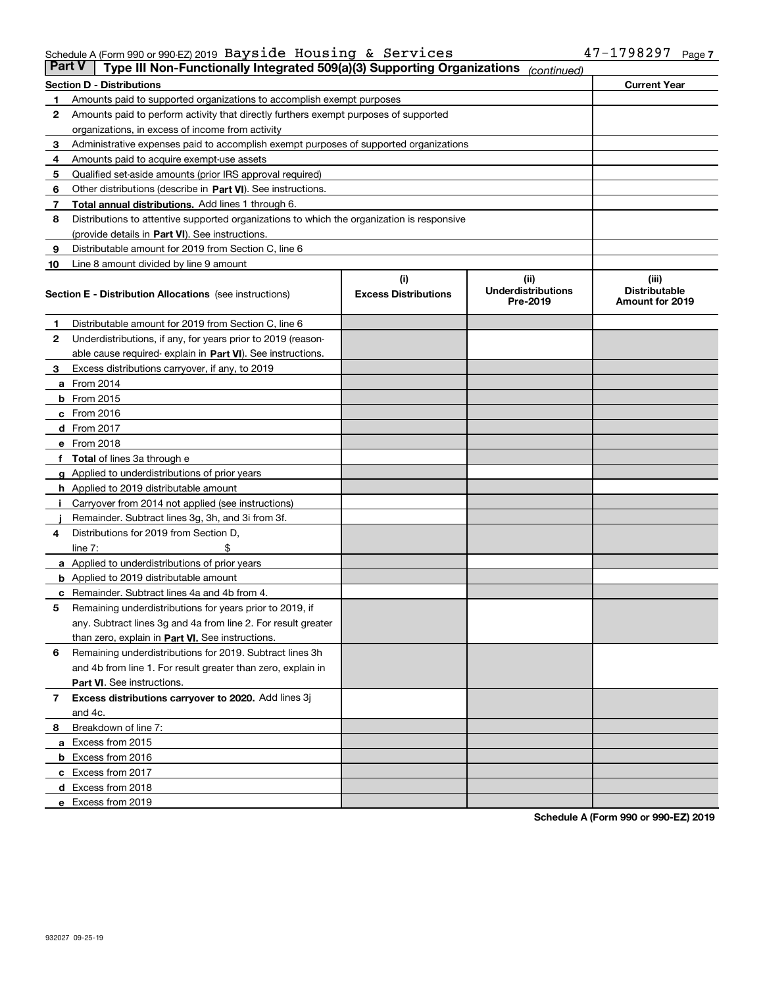### Schedule A (Form 990 or 990-EZ) 2019 Page Bayside Housing & Services 47-1798297

| <b>Part V</b> | Type III Non-Functionally Integrated 509(a)(3) Supporting Organizations                    |                             | (continued)                           |                                                |
|---------------|--------------------------------------------------------------------------------------------|-----------------------------|---------------------------------------|------------------------------------------------|
|               | Section D - Distributions                                                                  |                             |                                       | <b>Current Year</b>                            |
| 1             | Amounts paid to supported organizations to accomplish exempt purposes                      |                             |                                       |                                                |
| 2             | Amounts paid to perform activity that directly furthers exempt purposes of supported       |                             |                                       |                                                |
|               | organizations, in excess of income from activity                                           |                             |                                       |                                                |
| з             | Administrative expenses paid to accomplish exempt purposes of supported organizations      |                             |                                       |                                                |
| 4             | Amounts paid to acquire exempt-use assets                                                  |                             |                                       |                                                |
| 5             | Qualified set-aside amounts (prior IRS approval required)                                  |                             |                                       |                                                |
| 6             | Other distributions (describe in Part VI). See instructions.                               |                             |                                       |                                                |
| 7             | Total annual distributions. Add lines 1 through 6.                                         |                             |                                       |                                                |
| 8             | Distributions to attentive supported organizations to which the organization is responsive |                             |                                       |                                                |
|               | (provide details in Part VI). See instructions.                                            |                             |                                       |                                                |
| 9             | Distributable amount for 2019 from Section C, line 6                                       |                             |                                       |                                                |
| 10            | Line 8 amount divided by line 9 amount                                                     |                             |                                       |                                                |
|               |                                                                                            | (i)                         | (ii)                                  | (iii)                                          |
|               | Section E - Distribution Allocations (see instructions)                                    | <b>Excess Distributions</b> | <b>Underdistributions</b><br>Pre-2019 | <b>Distributable</b><br><b>Amount for 2019</b> |
| 1             | Distributable amount for 2019 from Section C, line 6                                       |                             |                                       |                                                |
| 2             | Underdistributions, if any, for years prior to 2019 (reason-                               |                             |                                       |                                                |
|               | able cause required- explain in Part VI). See instructions.                                |                             |                                       |                                                |
| З             | Excess distributions carryover, if any, to 2019                                            |                             |                                       |                                                |
|               | <b>a</b> From 2014                                                                         |                             |                                       |                                                |
|               | <b>b</b> From 2015                                                                         |                             |                                       |                                                |
|               | c From 2016                                                                                |                             |                                       |                                                |
|               | d From 2017                                                                                |                             |                                       |                                                |
|               | e From 2018                                                                                |                             |                                       |                                                |
|               | f Total of lines 3a through e                                                              |                             |                                       |                                                |
|               | <b>g</b> Applied to underdistributions of prior years                                      |                             |                                       |                                                |
|               | <b>h</b> Applied to 2019 distributable amount                                              |                             |                                       |                                                |
|               | Carryover from 2014 not applied (see instructions)                                         |                             |                                       |                                                |
|               | Remainder. Subtract lines 3g, 3h, and 3i from 3f.                                          |                             |                                       |                                                |
| 4             | Distributions for 2019 from Section D,                                                     |                             |                                       |                                                |
|               | line $7:$                                                                                  |                             |                                       |                                                |
|               | <b>a</b> Applied to underdistributions of prior years                                      |                             |                                       |                                                |
|               | <b>b</b> Applied to 2019 distributable amount                                              |                             |                                       |                                                |
| c             | Remainder. Subtract lines 4a and 4b from 4.                                                |                             |                                       |                                                |
| 5             | Remaining underdistributions for years prior to 2019, if                                   |                             |                                       |                                                |
|               | any. Subtract lines 3g and 4a from line 2. For result greater                              |                             |                                       |                                                |
|               | than zero, explain in Part VI. See instructions.                                           |                             |                                       |                                                |
| 6             | Remaining underdistributions for 2019. Subtract lines 3h                                   |                             |                                       |                                                |
|               | and 4b from line 1. For result greater than zero, explain in                               |                             |                                       |                                                |
|               | Part VI. See instructions.                                                                 |                             |                                       |                                                |
|               |                                                                                            |                             |                                       |                                                |
| 7             | Excess distributions carryover to 2020. Add lines 3j                                       |                             |                                       |                                                |
|               | and 4c.                                                                                    |                             |                                       |                                                |
| 8             | Breakdown of line 7:                                                                       |                             |                                       |                                                |
|               | a Excess from 2015                                                                         |                             |                                       |                                                |
|               | <b>b</b> Excess from 2016                                                                  |                             |                                       |                                                |
|               | c Excess from 2017                                                                         |                             |                                       |                                                |
|               | d Excess from 2018                                                                         |                             |                                       |                                                |
|               | e Excess from 2019                                                                         |                             |                                       |                                                |

**Schedule A (Form 990 or 990-EZ) 2019**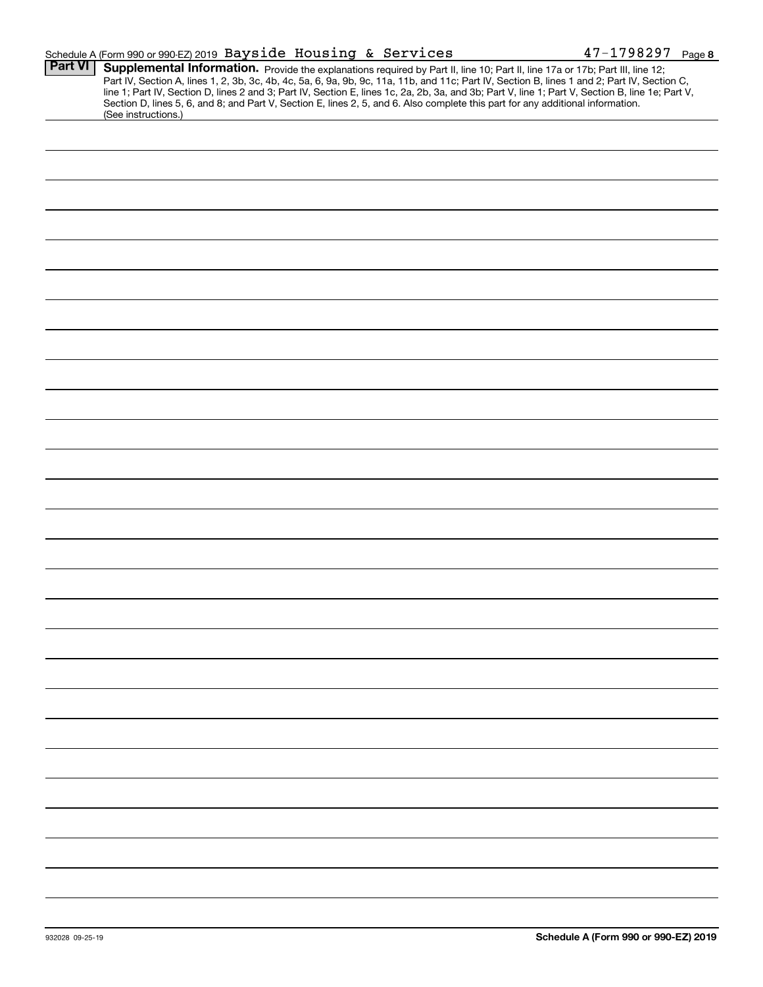|                | Schedule A (Form 990 or 990-EZ) 2019 Bayside Housing & Services                                                                                                                                                                                                                                                                                                                                                                                                                                                                                                                             | $47 - 1798297$ Page 8 |  |
|----------------|---------------------------------------------------------------------------------------------------------------------------------------------------------------------------------------------------------------------------------------------------------------------------------------------------------------------------------------------------------------------------------------------------------------------------------------------------------------------------------------------------------------------------------------------------------------------------------------------|-----------------------|--|
| <b>Part VI</b> | Supplemental Information. Provide the explanations required by Part II, line 10; Part II, line 17a or 17b; Part III, line 12;<br>Part IV, Section A, lines 1, 2, 3b, 3c, 4b, 4c, 5a, 6, 9a, 9b, 9c, 11a, 11b, and 11c; Part IV, Section B, lines 1 and 2; Part IV, Section C,<br>line 1; Part IV, Section D, lines 2 and 3; Part IV, Section E, lines 1c, 2a, 2b, 3a, and 3b; Part V, line 1; Part V, Section B, line 1e; Part V,<br>Section D, lines 5, 6, and 8; and Part V, Section E, lines 2, 5, and 6. Also complete this part for any additional information.<br>(See instructions.) |                       |  |
|                |                                                                                                                                                                                                                                                                                                                                                                                                                                                                                                                                                                                             |                       |  |
|                |                                                                                                                                                                                                                                                                                                                                                                                                                                                                                                                                                                                             |                       |  |
|                |                                                                                                                                                                                                                                                                                                                                                                                                                                                                                                                                                                                             |                       |  |
|                |                                                                                                                                                                                                                                                                                                                                                                                                                                                                                                                                                                                             |                       |  |
|                |                                                                                                                                                                                                                                                                                                                                                                                                                                                                                                                                                                                             |                       |  |
|                |                                                                                                                                                                                                                                                                                                                                                                                                                                                                                                                                                                                             |                       |  |
|                |                                                                                                                                                                                                                                                                                                                                                                                                                                                                                                                                                                                             |                       |  |
|                |                                                                                                                                                                                                                                                                                                                                                                                                                                                                                                                                                                                             |                       |  |
|                |                                                                                                                                                                                                                                                                                                                                                                                                                                                                                                                                                                                             |                       |  |
|                |                                                                                                                                                                                                                                                                                                                                                                                                                                                                                                                                                                                             |                       |  |
|                |                                                                                                                                                                                                                                                                                                                                                                                                                                                                                                                                                                                             |                       |  |
|                |                                                                                                                                                                                                                                                                                                                                                                                                                                                                                                                                                                                             |                       |  |
|                |                                                                                                                                                                                                                                                                                                                                                                                                                                                                                                                                                                                             |                       |  |
|                |                                                                                                                                                                                                                                                                                                                                                                                                                                                                                                                                                                                             |                       |  |
|                |                                                                                                                                                                                                                                                                                                                                                                                                                                                                                                                                                                                             |                       |  |
|                |                                                                                                                                                                                                                                                                                                                                                                                                                                                                                                                                                                                             |                       |  |
|                |                                                                                                                                                                                                                                                                                                                                                                                                                                                                                                                                                                                             |                       |  |
|                |                                                                                                                                                                                                                                                                                                                                                                                                                                                                                                                                                                                             |                       |  |
|                |                                                                                                                                                                                                                                                                                                                                                                                                                                                                                                                                                                                             |                       |  |
|                |                                                                                                                                                                                                                                                                                                                                                                                                                                                                                                                                                                                             |                       |  |
|                |                                                                                                                                                                                                                                                                                                                                                                                                                                                                                                                                                                                             |                       |  |
|                |                                                                                                                                                                                                                                                                                                                                                                                                                                                                                                                                                                                             |                       |  |
|                |                                                                                                                                                                                                                                                                                                                                                                                                                                                                                                                                                                                             |                       |  |
|                |                                                                                                                                                                                                                                                                                                                                                                                                                                                                                                                                                                                             |                       |  |
|                |                                                                                                                                                                                                                                                                                                                                                                                                                                                                                                                                                                                             |                       |  |
|                |                                                                                                                                                                                                                                                                                                                                                                                                                                                                                                                                                                                             |                       |  |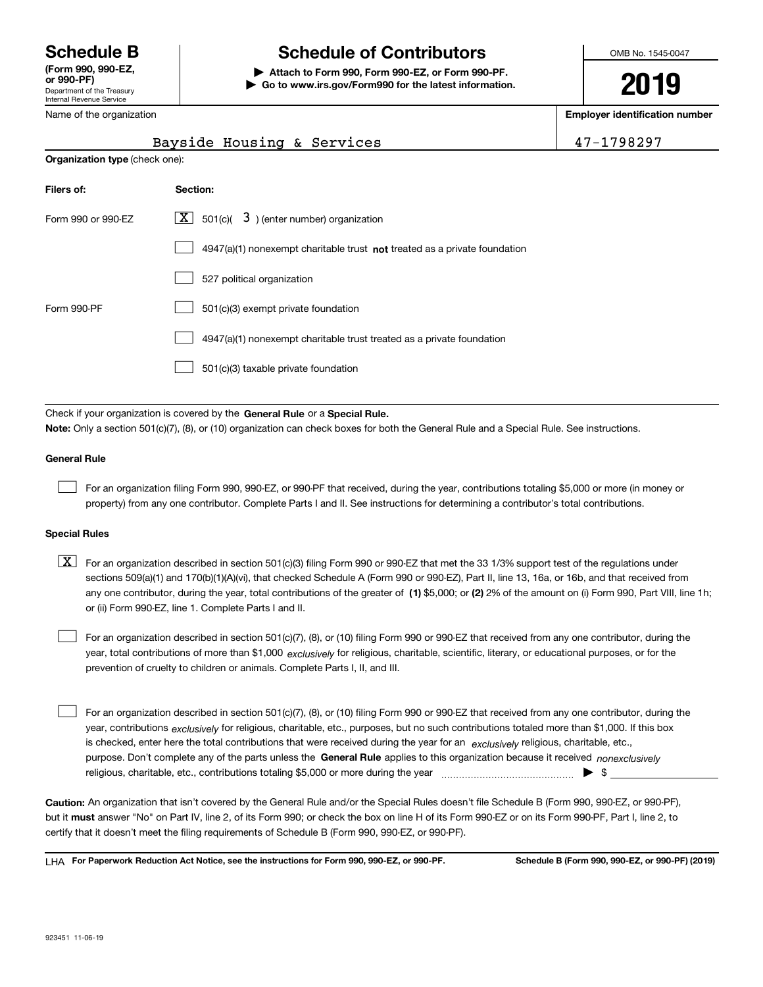Department of the Treasury Internal Revenue Service **(Form 990, 990-EZ, or 990-PF)** Name of the organization

# **Schedule B Schedule of Contributors**

**| Attach to Form 990, Form 990-EZ, or Form 990-PF. | Go to www.irs.gov/Form990 for the latest information.** OMB No. 1545-0047

**2019**

**Employer identification number**

|                                       | Bayside Housing & Services                                                | 47-1798297 |
|---------------------------------------|---------------------------------------------------------------------------|------------|
| <b>Organization type (check one):</b> |                                                                           |            |
| Filers of:                            | Section:                                                                  |            |
| Form 990 or 990-EZ                    | X  <br>501(c)( $\overline{3}$ ) (enter number) organization               |            |
|                                       | 4947(a)(1) nonexempt charitable trust not treated as a private foundation |            |
|                                       | 527 political organization                                                |            |
| Form 990-PF                           | 501(c)(3) exempt private foundation                                       |            |
|                                       | 4947(a)(1) nonexempt charitable trust treated as a private foundation     |            |
|                                       | 501(c)(3) taxable private foundation                                      |            |

Check if your organization is covered by the **General Rule** or a **Special Rule. Note:**  Only a section 501(c)(7), (8), or (10) organization can check boxes for both the General Rule and a Special Rule. See instructions.

### **General Rule**

 $\mathcal{L}^{\text{max}}$ 

For an organization filing Form 990, 990-EZ, or 990-PF that received, during the year, contributions totaling \$5,000 or more (in money or property) from any one contributor. Complete Parts I and II. See instructions for determining a contributor's total contributions.

### **Special Rules**

any one contributor, during the year, total contributions of the greater of  $\,$  (1) \$5,000; or **(2)** 2% of the amount on (i) Form 990, Part VIII, line 1h;  $\boxed{\textbf{X}}$  For an organization described in section 501(c)(3) filing Form 990 or 990-EZ that met the 33 1/3% support test of the regulations under sections 509(a)(1) and 170(b)(1)(A)(vi), that checked Schedule A (Form 990 or 990-EZ), Part II, line 13, 16a, or 16b, and that received from or (ii) Form 990-EZ, line 1. Complete Parts I and II.

year, total contributions of more than \$1,000 *exclusively* for religious, charitable, scientific, literary, or educational purposes, or for the For an organization described in section 501(c)(7), (8), or (10) filing Form 990 or 990-EZ that received from any one contributor, during the prevention of cruelty to children or animals. Complete Parts I, II, and III.  $\mathcal{L}^{\text{max}}$ 

purpose. Don't complete any of the parts unless the **General Rule** applies to this organization because it received *nonexclusively* year, contributions <sub>exclusively</sub> for religious, charitable, etc., purposes, but no such contributions totaled more than \$1,000. If this box is checked, enter here the total contributions that were received during the year for an  $\;$ exclusively religious, charitable, etc., For an organization described in section 501(c)(7), (8), or (10) filing Form 990 or 990-EZ that received from any one contributor, during the religious, charitable, etc., contributions totaling \$5,000 or more during the year  $\Box$ — $\Box$   $\Box$  $\mathcal{L}^{\text{max}}$ 

**Caution:**  An organization that isn't covered by the General Rule and/or the Special Rules doesn't file Schedule B (Form 990, 990-EZ, or 990-PF),  **must** but it answer "No" on Part IV, line 2, of its Form 990; or check the box on line H of its Form 990-EZ or on its Form 990-PF, Part I, line 2, to certify that it doesn't meet the filing requirements of Schedule B (Form 990, 990-EZ, or 990-PF).

**For Paperwork Reduction Act Notice, see the instructions for Form 990, 990-EZ, or 990-PF. Schedule B (Form 990, 990-EZ, or 990-PF) (2019)** LHA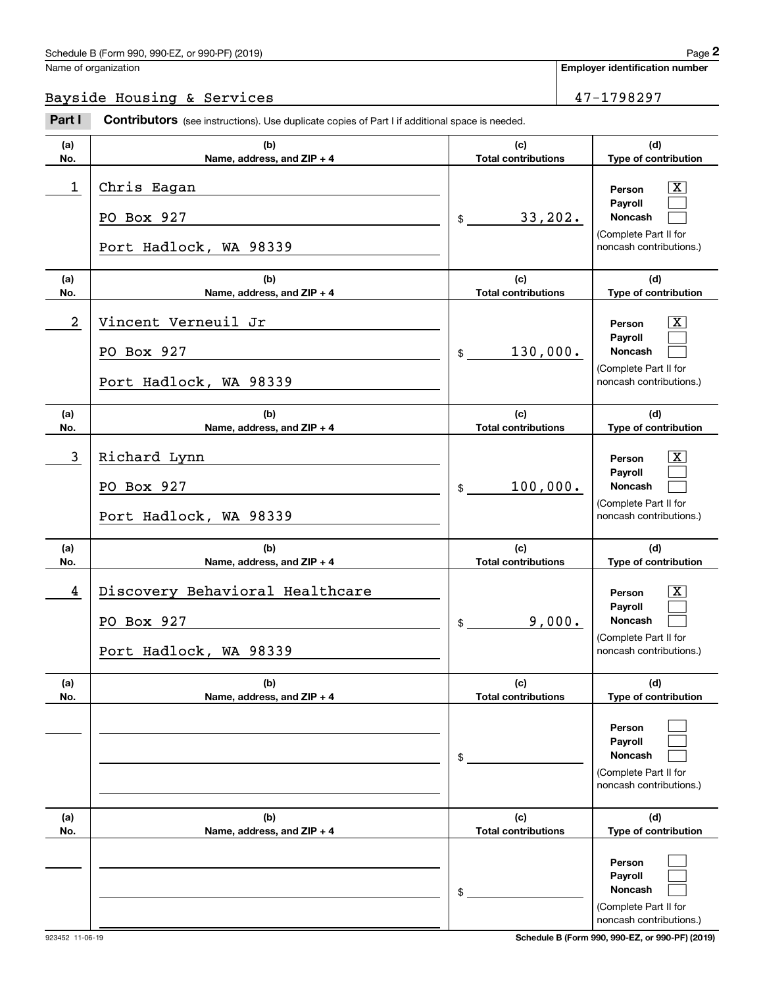Name of organization

**Employer identification number**

### Bayside Housing & Services 47-1798297

**(a)No.(b)Name, address, and ZIP + 4 (c)Total contributions (d)Type of contribution PersonPayrollNoncash (a)No.(b)Name, address, and ZIP + 4 (c)Total contributions (d)Type of contribution PersonPayrollNoncash (a)No.(b)Name, address, and ZIP + 4 (c)Total contributions (d)Type of contribution PersonPayrollNoncash (a) No.(b)Name, address, and ZIP + 4 (c) Total contributions (d) Type of contribution PersonPayrollNoncash (a)No.(b)Name, address, and ZIP + 4 (c)Total contributions (d)Type of contribution PersonPayrollNoncash (a)No.(b)Name, address, and ZIP + 4 (c)Total contributions (d)Type of contribution PersonPayrollNoncash Contributors** (see instructions). Use duplicate copies of Part I if additional space is needed. \$(Complete Part II for noncash contributions.) \$(Complete Part II for noncash contributions.)  $$$ (Complete Part II for noncash contributions.) \$(Complete Part II for noncash contributions.) \$(Complete Part II for noncash contributions.) \$(Complete Part II for Employer identification Page 2<br>
Jame of organization<br> **2Part I 2Part I Contributors** (see instructions). Use duplicate copies of Part I if additional space is needed.  $\lceil \text{X} \rceil$  $\mathcal{L}^{\text{max}}$  $\mathcal{L}^{\text{max}}$  $\boxed{\text{X}}$  $\mathcal{L}^{\text{max}}$  $\mathcal{L}^{\text{max}}$  $\lceil \text{X} \rceil$  $\mathcal{L}^{\text{max}}$  $\mathcal{L}^{\text{max}}$  $|X|$  $\mathcal{L}^{\text{max}}$  $\mathcal{L}^{\text{max}}$  $\mathcal{L}^{\text{max}}$  $\mathcal{L}^{\text{max}}$  $\mathcal{L}^{\text{max}}$  $\mathcal{L}^{\text{max}}$  $\mathcal{L}^{\text{max}}$  $\mathcal{L}^{\text{max}}$ 1 X Chris Eagan 33,202. PO Box 927 Port Hadlock, WA 98339 2 X Vincent Verneuil Jr 130,000. PO Box 927 Port Hadlock, WA 98339 3 X Richard Lynn 100,000. PO Box 927 Port Hadlock, WA 98339 4 Discovery Behavioral Healthcare Theory (Service Service Service Service Service Service Service Service Service S 9,000. PO Box 927 Port Hadlock, WA 98339

noncash contributions.)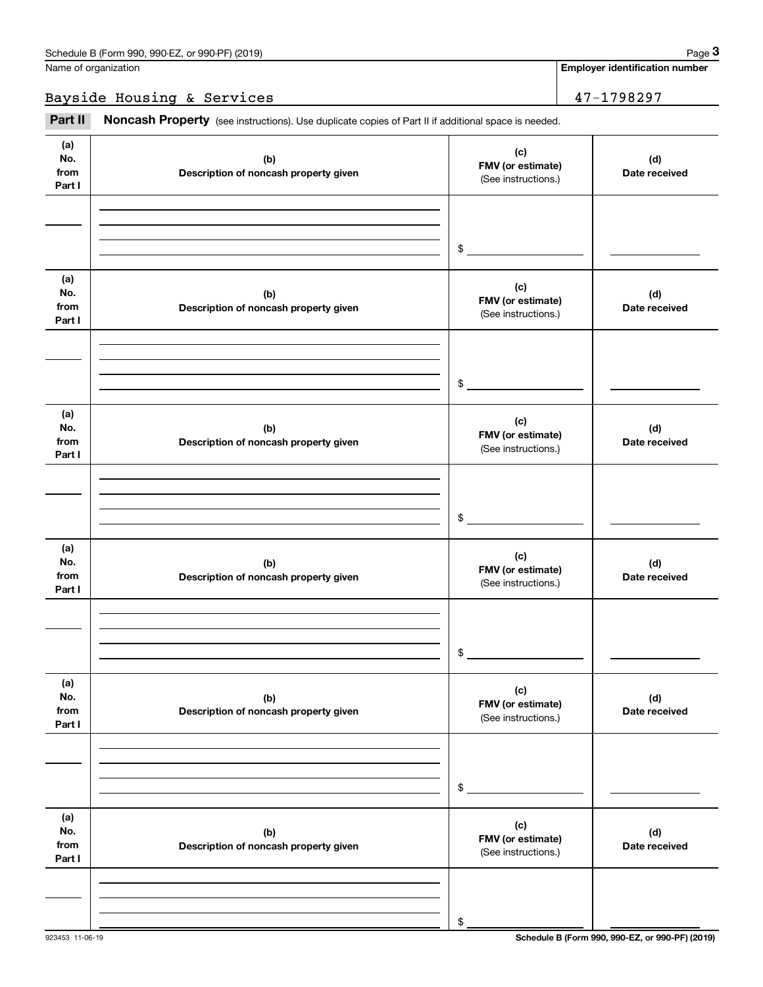Bayside Housing & Services 47-1798297

Fage 3 (schedule B (Form 990, 990-EZ, or 990-PF) (2019)<br>
Jame of organization<br> **3**<br> **2Part II if additional space is needed.**<br> **2Part II if additional space is needed.** 

| (a)<br>No.<br>from<br>Part I | (b)<br>Description of noncash property given | (c)<br>FMV (or estimate)<br>(See instructions.) | (d)<br>Date received |
|------------------------------|----------------------------------------------|-------------------------------------------------|----------------------|
|                              |                                              |                                                 |                      |
|                              |                                              | \$                                              |                      |
| (a)<br>No.<br>from<br>Part I | (b)<br>Description of noncash property given | (c)<br>FMV (or estimate)<br>(See instructions.) | (d)<br>Date received |
|                              |                                              |                                                 |                      |
|                              |                                              | \$                                              |                      |
| (a)<br>No.<br>from<br>Part I | (b)<br>Description of noncash property given | (c)<br>FMV (or estimate)<br>(See instructions.) | (d)<br>Date received |
|                              |                                              |                                                 |                      |
|                              |                                              | \$                                              |                      |
| (a)<br>No.<br>from<br>Part I | (b)<br>Description of noncash property given | (c)<br>FMV (or estimate)<br>(See instructions.) | (d)<br>Date received |
|                              |                                              |                                                 |                      |
|                              |                                              | \$                                              |                      |
| (a)<br>No.<br>from<br>Part I | (b)<br>Description of noncash property given | (c)<br>FMV (or estimate)<br>(See instructions.) | (d)<br>Date received |
|                              |                                              |                                                 |                      |
|                              |                                              | \$                                              |                      |
| (a)<br>No.<br>from<br>Part I | (b)<br>Description of noncash property given | (c)<br>FMV (or estimate)<br>(See instructions.) | (d)<br>Date received |
|                              |                                              |                                                 |                      |
|                              |                                              | \$                                              |                      |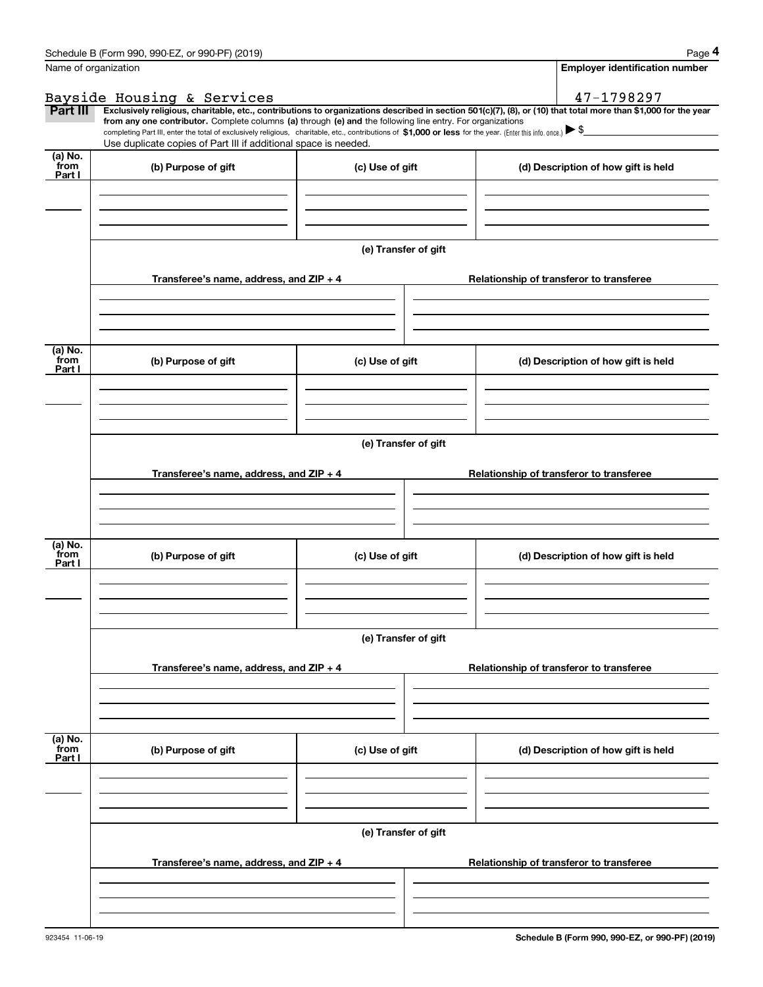|                 | Schedule B (Form 990, 990-EZ, or 990-PF) (2019)                                                                                                                                                                                                      |                      | Page 4                                                                                                                                                         |  |  |  |  |  |  |
|-----------------|------------------------------------------------------------------------------------------------------------------------------------------------------------------------------------------------------------------------------------------------------|----------------------|----------------------------------------------------------------------------------------------------------------------------------------------------------------|--|--|--|--|--|--|
|                 | Name of organization                                                                                                                                                                                                                                 |                      | <b>Employer identification number</b>                                                                                                                          |  |  |  |  |  |  |
|                 | Bayside Housing & Services                                                                                                                                                                                                                           |                      | 47-1798297                                                                                                                                                     |  |  |  |  |  |  |
| Part III        |                                                                                                                                                                                                                                                      |                      | Exclusively religious, charitable, etc., contributions to organizations described in section 501(c)(7), (8), or (10) that total more than \$1,000 for the year |  |  |  |  |  |  |
|                 | from any one contributor. Complete columns (a) through (e) and the following line entry. For organizations                                                                                                                                           |                      |                                                                                                                                                                |  |  |  |  |  |  |
|                 | completing Part III, enter the total of exclusively religious, charitable, etc., contributions of \$1,000 or less for the year. (Enter this info. once.) $\blacktriangleright$ \$<br>Use duplicate copies of Part III if additional space is needed. |                      |                                                                                                                                                                |  |  |  |  |  |  |
| (a) No.         |                                                                                                                                                                                                                                                      |                      |                                                                                                                                                                |  |  |  |  |  |  |
| from<br>Part I  | (b) Purpose of gift                                                                                                                                                                                                                                  | (c) Use of gift      | (d) Description of how gift is held                                                                                                                            |  |  |  |  |  |  |
|                 |                                                                                                                                                                                                                                                      |                      |                                                                                                                                                                |  |  |  |  |  |  |
|                 |                                                                                                                                                                                                                                                      |                      |                                                                                                                                                                |  |  |  |  |  |  |
|                 |                                                                                                                                                                                                                                                      |                      |                                                                                                                                                                |  |  |  |  |  |  |
|                 |                                                                                                                                                                                                                                                      |                      |                                                                                                                                                                |  |  |  |  |  |  |
|                 |                                                                                                                                                                                                                                                      | (e) Transfer of gift |                                                                                                                                                                |  |  |  |  |  |  |
|                 | Transferee's name, address, and ZIP + 4                                                                                                                                                                                                              |                      | Relationship of transferor to transferee                                                                                                                       |  |  |  |  |  |  |
|                 |                                                                                                                                                                                                                                                      |                      |                                                                                                                                                                |  |  |  |  |  |  |
|                 |                                                                                                                                                                                                                                                      |                      |                                                                                                                                                                |  |  |  |  |  |  |
|                 |                                                                                                                                                                                                                                                      |                      |                                                                                                                                                                |  |  |  |  |  |  |
|                 |                                                                                                                                                                                                                                                      |                      |                                                                                                                                                                |  |  |  |  |  |  |
| (a) No.<br>from | (b) Purpose of gift                                                                                                                                                                                                                                  | (c) Use of gift      | (d) Description of how gift is held                                                                                                                            |  |  |  |  |  |  |
| Part I          |                                                                                                                                                                                                                                                      |                      |                                                                                                                                                                |  |  |  |  |  |  |
|                 |                                                                                                                                                                                                                                                      |                      |                                                                                                                                                                |  |  |  |  |  |  |
|                 |                                                                                                                                                                                                                                                      |                      |                                                                                                                                                                |  |  |  |  |  |  |
|                 |                                                                                                                                                                                                                                                      |                      |                                                                                                                                                                |  |  |  |  |  |  |
|                 |                                                                                                                                                                                                                                                      | (e) Transfer of gift |                                                                                                                                                                |  |  |  |  |  |  |
|                 |                                                                                                                                                                                                                                                      |                      |                                                                                                                                                                |  |  |  |  |  |  |
|                 | Transferee's name, address, and $ZIP + 4$                                                                                                                                                                                                            |                      | Relationship of transferor to transferee                                                                                                                       |  |  |  |  |  |  |
|                 |                                                                                                                                                                                                                                                      |                      |                                                                                                                                                                |  |  |  |  |  |  |
|                 |                                                                                                                                                                                                                                                      |                      |                                                                                                                                                                |  |  |  |  |  |  |
|                 |                                                                                                                                                                                                                                                      |                      |                                                                                                                                                                |  |  |  |  |  |  |
| (a) No.<br>from | (b) Purpose of gift                                                                                                                                                                                                                                  | (c) Use of gift      | (d) Description of how gift is held                                                                                                                            |  |  |  |  |  |  |
| Part I          |                                                                                                                                                                                                                                                      |                      |                                                                                                                                                                |  |  |  |  |  |  |
|                 |                                                                                                                                                                                                                                                      |                      |                                                                                                                                                                |  |  |  |  |  |  |
|                 |                                                                                                                                                                                                                                                      |                      |                                                                                                                                                                |  |  |  |  |  |  |
|                 |                                                                                                                                                                                                                                                      |                      |                                                                                                                                                                |  |  |  |  |  |  |
|                 |                                                                                                                                                                                                                                                      | (e) Transfer of gift |                                                                                                                                                                |  |  |  |  |  |  |
|                 |                                                                                                                                                                                                                                                      |                      |                                                                                                                                                                |  |  |  |  |  |  |
|                 | Transferee's name, address, and ZIP + 4                                                                                                                                                                                                              |                      | Relationship of transferor to transferee                                                                                                                       |  |  |  |  |  |  |
|                 |                                                                                                                                                                                                                                                      |                      |                                                                                                                                                                |  |  |  |  |  |  |
|                 |                                                                                                                                                                                                                                                      |                      |                                                                                                                                                                |  |  |  |  |  |  |
|                 |                                                                                                                                                                                                                                                      |                      |                                                                                                                                                                |  |  |  |  |  |  |
| (a) No.<br>from |                                                                                                                                                                                                                                                      |                      |                                                                                                                                                                |  |  |  |  |  |  |
| Part I          | (b) Purpose of gift                                                                                                                                                                                                                                  | (c) Use of gift      | (d) Description of how gift is held                                                                                                                            |  |  |  |  |  |  |
|                 |                                                                                                                                                                                                                                                      |                      |                                                                                                                                                                |  |  |  |  |  |  |
|                 |                                                                                                                                                                                                                                                      |                      |                                                                                                                                                                |  |  |  |  |  |  |
|                 |                                                                                                                                                                                                                                                      |                      |                                                                                                                                                                |  |  |  |  |  |  |
|                 |                                                                                                                                                                                                                                                      |                      |                                                                                                                                                                |  |  |  |  |  |  |
|                 |                                                                                                                                                                                                                                                      | (e) Transfer of gift |                                                                                                                                                                |  |  |  |  |  |  |
|                 | Transferee's name, address, and $ZIP + 4$                                                                                                                                                                                                            |                      | Relationship of transferor to transferee                                                                                                                       |  |  |  |  |  |  |
|                 |                                                                                                                                                                                                                                                      |                      |                                                                                                                                                                |  |  |  |  |  |  |
|                 |                                                                                                                                                                                                                                                      |                      |                                                                                                                                                                |  |  |  |  |  |  |
|                 |                                                                                                                                                                                                                                                      |                      |                                                                                                                                                                |  |  |  |  |  |  |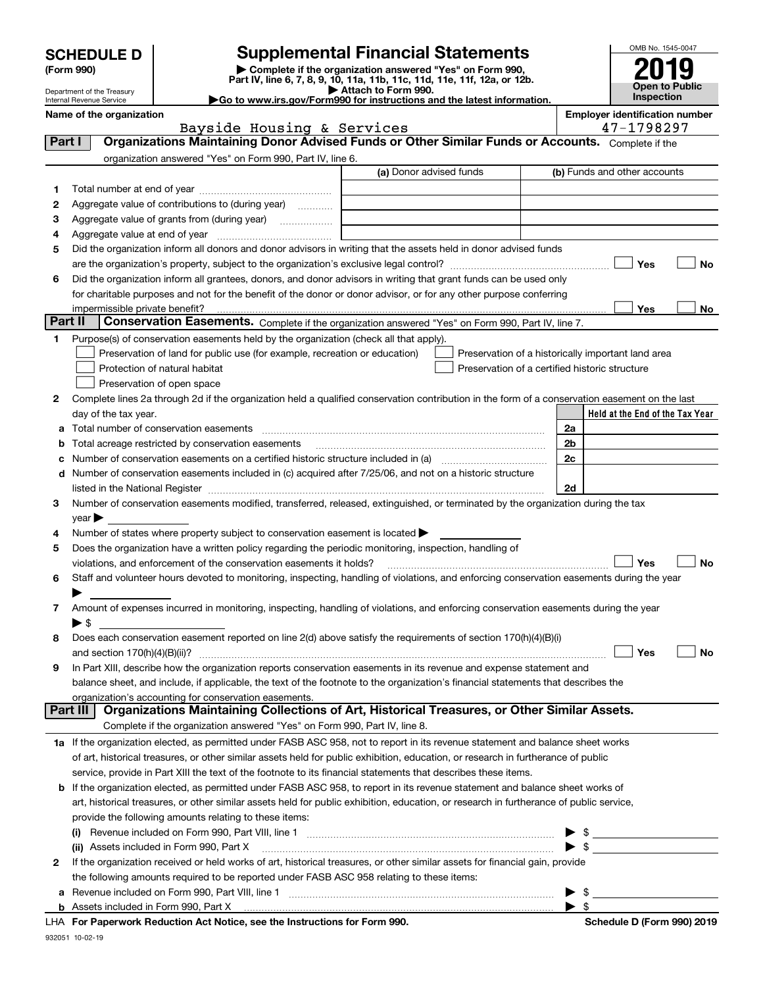| <b>SCHEDULE D</b> |  |
|-------------------|--|
|-------------------|--|

Department of the Treasury Internal Revenue Service

# **SCHEDULE D Supplemental Financial Statements**

(Form 990)<br>
Pepartment of the Treasury<br>
Department of the Treasury<br>
Department of the Treasury<br>
Department of the Treasury<br> **Co to www.irs.gov/Form990 for instructions and the latest information.**<br> **Co to www.irs.gov/Form9** 

| OMB No. 1545-0047     |  |  |
|-----------------------|--|--|
| 019                   |  |  |
| <b>Open to Public</b> |  |  |
| Inspection            |  |  |

|         | Name of the organization<br>Bayside Housing & Services                                                                                                                                                                                                                          | <b>Employer identification number</b><br>47-1798297 |
|---------|---------------------------------------------------------------------------------------------------------------------------------------------------------------------------------------------------------------------------------------------------------------------------------|-----------------------------------------------------|
| Part I  | Organizations Maintaining Donor Advised Funds or Other Similar Funds or Accounts. Complete if the                                                                                                                                                                               |                                                     |
|         | organization answered "Yes" on Form 990, Part IV, line 6.                                                                                                                                                                                                                       |                                                     |
|         | (a) Donor advised funds                                                                                                                                                                                                                                                         | (b) Funds and other accounts                        |
| 1.      |                                                                                                                                                                                                                                                                                 |                                                     |
| 2       | Aggregate value of contributions to (during year)                                                                                                                                                                                                                               |                                                     |
| з       | Aggregate value of grants from (during year)                                                                                                                                                                                                                                    |                                                     |
| 4       |                                                                                                                                                                                                                                                                                 |                                                     |
| 5       | Did the organization inform all donors and donor advisors in writing that the assets held in donor advised funds                                                                                                                                                                |                                                     |
|         |                                                                                                                                                                                                                                                                                 | Yes<br>No                                           |
| 6       | Did the organization inform all grantees, donors, and donor advisors in writing that grant funds can be used only                                                                                                                                                               |                                                     |
|         | for charitable purposes and not for the benefit of the donor or donor advisor, or for any other purpose conferring                                                                                                                                                              |                                                     |
|         |                                                                                                                                                                                                                                                                                 | Yes<br>No                                           |
| Part II | Conservation Easements. Complete if the organization answered "Yes" on Form 990, Part IV, line 7.                                                                                                                                                                               |                                                     |
| 1       | Purpose(s) of conservation easements held by the organization (check all that apply).                                                                                                                                                                                           |                                                     |
|         | Preservation of land for public use (for example, recreation or education)                                                                                                                                                                                                      | Preservation of a historically important land area  |
|         | Protection of natural habitat<br>Preservation of a certified historic structure                                                                                                                                                                                                 |                                                     |
|         | Preservation of open space                                                                                                                                                                                                                                                      |                                                     |
| 2       | Complete lines 2a through 2d if the organization held a qualified conservation contribution in the form of a conservation easement on the last                                                                                                                                  |                                                     |
|         | day of the tax year.                                                                                                                                                                                                                                                            | Held at the End of the Tax Year                     |
| a       | Total number of conservation easements                                                                                                                                                                                                                                          | 2a                                                  |
| b       | Total acreage restricted by conservation easements                                                                                                                                                                                                                              | 2 <sub>b</sub>                                      |
|         | Number of conservation easements on a certified historic structure included in (a) manufacture of conservation                                                                                                                                                                  | 2c                                                  |
|         | d Number of conservation easements included in (c) acquired after 7/25/06, and not on a historic structure                                                                                                                                                                      |                                                     |
|         | listed in the National Register [1,1,2000] [1,2000] [1,2000] [1,2000] [1,2000] [1,2000] [1,2000] [1,2000] [1,2000] [1,2000] [1,2000] [1,2000] [1,2000] [1,2000] [1,2000] [1,2000] [1,2000] [1,2000] [1,2000] [1,2000] [1,2000]                                                  | 2d                                                  |
| 3       | Number of conservation easements modified, transferred, released, extinguished, or terminated by the organization during the tax                                                                                                                                                |                                                     |
|         | $year \triangleright$                                                                                                                                                                                                                                                           |                                                     |
| 4       | Number of states where property subject to conservation easement is located >                                                                                                                                                                                                   |                                                     |
| 5       | Does the organization have a written policy regarding the periodic monitoring, inspection, handling of                                                                                                                                                                          |                                                     |
|         | violations, and enforcement of the conservation easements it holds?                                                                                                                                                                                                             | Yes<br>No                                           |
| 6       | Staff and volunteer hours devoted to monitoring, inspecting, handling of violations, and enforcing conservation easements during the year                                                                                                                                       |                                                     |
|         |                                                                                                                                                                                                                                                                                 |                                                     |
| 7       | Amount of expenses incurred in monitoring, inspecting, handling of violations, and enforcing conservation easements during the year                                                                                                                                             |                                                     |
|         | $\blacktriangleright$ \$                                                                                                                                                                                                                                                        |                                                     |
| 8       | Does each conservation easement reported on line 2(d) above satisfy the requirements of section 170(h)(4)(B)(i)                                                                                                                                                                 |                                                     |
|         | and section $170(h)(4)(B)(ii)?$                                                                                                                                                                                                                                                 | Yes<br>No                                           |
| 9       | In Part XIII, describe how the organization reports conservation easements in its revenue and expense statement and                                                                                                                                                             |                                                     |
|         | balance sheet, and include, if applicable, the text of the footnote to the organization's financial statements that describes the                                                                                                                                               |                                                     |
|         | organization's accounting for conservation easements.<br>Organizations Maintaining Collections of Art, Historical Treasures, or Other Similar Assets.<br>Part III                                                                                                               |                                                     |
|         | Complete if the organization answered "Yes" on Form 990, Part IV, line 8.                                                                                                                                                                                                       |                                                     |
|         |                                                                                                                                                                                                                                                                                 |                                                     |
|         | 1a If the organization elected, as permitted under FASB ASC 958, not to report in its revenue statement and balance sheet works                                                                                                                                                 |                                                     |
|         | of art, historical treasures, or other similar assets held for public exhibition, education, or research in furtherance of public                                                                                                                                               |                                                     |
|         | service, provide in Part XIII the text of the footnote to its financial statements that describes these items.                                                                                                                                                                  |                                                     |
|         | <b>b</b> If the organization elected, as permitted under FASB ASC 958, to report in its revenue statement and balance sheet works of<br>art, historical treasures, or other similar assets held for public exhibition, education, or research in furtherance of public service, |                                                     |
|         |                                                                                                                                                                                                                                                                                 |                                                     |
|         | provide the following amounts relating to these items:                                                                                                                                                                                                                          |                                                     |
|         | (i) Revenue included on Form 990, Part VIII, line 1 [2000] [2010] Revenue included on Form 990, Part VIII, line 1                                                                                                                                                               | $\blacktriangleright$ \$                            |
|         | (ii) Assets included in Form 990, Part X                                                                                                                                                                                                                                        | $\sim$                                              |
| 2       | If the organization received or held works of art, historical treasures, or other similar assets for financial gain, provide                                                                                                                                                    |                                                     |
|         | the following amounts required to be reported under FASB ASC 958 relating to these items:                                                                                                                                                                                       |                                                     |
|         | a Revenue included on Form 990, Part VIII, line 1 [2000] [2000] [2000] [2000] [2000] [2000] [2000] [2000] [2000<br><b>b</b> Assets included in Form 990, Part X                                                                                                                 | \$<br>► \$                                          |
|         |                                                                                                                                                                                                                                                                                 |                                                     |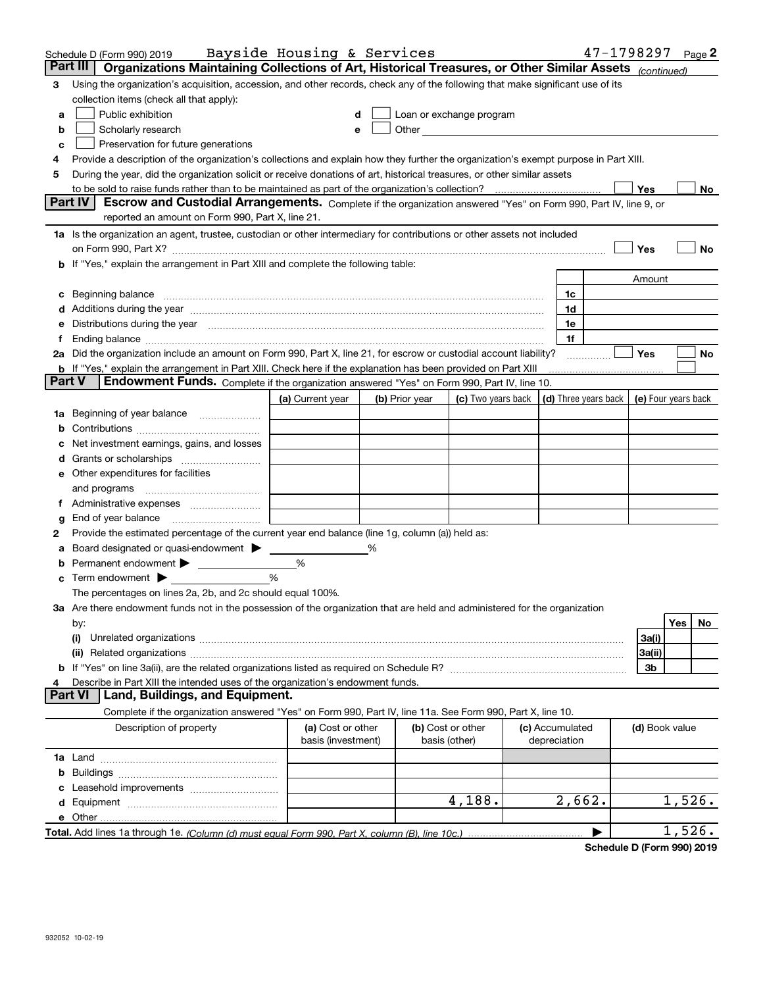|                | Schedule D (Form 990) 2019                                                                                                                                                                                                           | Bayside Housing & Services              |   |                |                                                                             |                                 | 47-1798297 Page 2 |                |        |    |
|----------------|--------------------------------------------------------------------------------------------------------------------------------------------------------------------------------------------------------------------------------------|-----------------------------------------|---|----------------|-----------------------------------------------------------------------------|---------------------------------|-------------------|----------------|--------|----|
| Part III       | Organizations Maintaining Collections of Art, Historical Treasures, or Other Similar Assets (continued)                                                                                                                              |                                         |   |                |                                                                             |                                 |                   |                |        |    |
| 3              | Using the organization's acquisition, accession, and other records, check any of the following that make significant use of its                                                                                                      |                                         |   |                |                                                                             |                                 |                   |                |        |    |
|                | collection items (check all that apply):                                                                                                                                                                                             |                                         |   |                |                                                                             |                                 |                   |                |        |    |
| a              | Public exhibition                                                                                                                                                                                                                    |                                         |   |                | Loan or exchange program                                                    |                                 |                   |                |        |    |
| b              | Scholarly research                                                                                                                                                                                                                   |                                         |   |                |                                                                             |                                 |                   |                |        |    |
| c              | Preservation for future generations                                                                                                                                                                                                  |                                         |   |                |                                                                             |                                 |                   |                |        |    |
|                | Provide a description of the organization's collections and explain how they further the organization's exempt purpose in Part XIII.                                                                                                 |                                         |   |                |                                                                             |                                 |                   |                |        |    |
| 5              | During the year, did the organization solicit or receive donations of art, historical treasures, or other similar assets                                                                                                             |                                         |   |                |                                                                             |                                 |                   |                |        |    |
|                | to be sold to raise funds rather than to be maintained as part of the organization's collection?                                                                                                                                     |                                         |   |                |                                                                             |                                 |                   | Yes            |        | No |
|                | <b>Part IV</b><br>Escrow and Custodial Arrangements. Complete if the organization answered "Yes" on Form 990, Part IV, line 9, or                                                                                                    |                                         |   |                |                                                                             |                                 |                   |                |        |    |
|                | reported an amount on Form 990, Part X, line 21.                                                                                                                                                                                     |                                         |   |                |                                                                             |                                 |                   |                |        |    |
|                | 1a Is the organization an agent, trustee, custodian or other intermediary for contributions or other assets not included                                                                                                             |                                         |   |                |                                                                             |                                 |                   |                |        |    |
|                |                                                                                                                                                                                                                                      |                                         |   |                |                                                                             |                                 |                   | Yes            |        | No |
|                | b If "Yes," explain the arrangement in Part XIII and complete the following table:                                                                                                                                                   |                                         |   |                |                                                                             |                                 |                   |                |        |    |
|                |                                                                                                                                                                                                                                      |                                         |   |                |                                                                             |                                 |                   | Amount         |        |    |
|                | Beginning balance                                                                                                                                                                                                                    |                                         |   |                |                                                                             | 1c                              |                   |                |        |    |
|                | Additions during the year manufactured and an annual contract of the year manufactured and all the year manufactured and all the year manufactured and all the year manufactured and all the year manufactured and all the yea       |                                         |   |                |                                                                             | 1d                              |                   |                |        |    |
|                | Distributions during the year measurement contained and all the state of the state of the state of the state of                                                                                                                      |                                         |   |                |                                                                             | 1e                              |                   |                |        |    |
|                | Ending balance manufactured and contract the contract of the contract of the contract of the contract of the contract of the contract of the contract of the contract of the contract of the contract of the contract of the c       |                                         |   |                |                                                                             | 1f                              |                   | Yes            |        |    |
|                | 2a Did the organization include an amount on Form 990, Part X, line 21, for escrow or custodial account liability?<br>b If "Yes," explain the arrangement in Part XIII. Check here if the explanation has been provided on Part XIII |                                         |   |                |                                                                             |                                 |                   |                |        | No |
| <b>Part V</b>  | <b>Endowment Funds.</b> Complete if the organization answered "Yes" on Form 990, Part IV, line 10.                                                                                                                                   |                                         |   |                |                                                                             |                                 |                   |                |        |    |
|                |                                                                                                                                                                                                                                      | (a) Current year                        |   | (b) Prior year | (c) Two years back $\vert$ (d) Three years back $\vert$ (e) Four years back |                                 |                   |                |        |    |
|                | 1a Beginning of year balance                                                                                                                                                                                                         |                                         |   |                |                                                                             |                                 |                   |                |        |    |
|                |                                                                                                                                                                                                                                      |                                         |   |                |                                                                             |                                 |                   |                |        |    |
|                | Net investment earnings, gains, and losses                                                                                                                                                                                           |                                         |   |                |                                                                             |                                 |                   |                |        |    |
|                |                                                                                                                                                                                                                                      |                                         |   |                |                                                                             |                                 |                   |                |        |    |
|                | e Other expenditures for facilities                                                                                                                                                                                                  |                                         |   |                |                                                                             |                                 |                   |                |        |    |
|                | and programs                                                                                                                                                                                                                         |                                         |   |                |                                                                             |                                 |                   |                |        |    |
|                |                                                                                                                                                                                                                                      |                                         |   |                |                                                                             |                                 |                   |                |        |    |
| g              | End of year balance                                                                                                                                                                                                                  |                                         |   |                |                                                                             |                                 |                   |                |        |    |
| 2              | Provide the estimated percentage of the current year end balance (line 1g, column (a)) held as:                                                                                                                                      |                                         |   |                |                                                                             |                                 |                   |                |        |    |
|                | Board designated or quasi-endowment                                                                                                                                                                                                  |                                         | % |                |                                                                             |                                 |                   |                |        |    |
| b              | Permanent endowment                                                                                                                                                                                                                  | %                                       |   |                |                                                                             |                                 |                   |                |        |    |
| c              | Term endowment $\blacktriangleright$                                                                                                                                                                                                 | %                                       |   |                |                                                                             |                                 |                   |                |        |    |
|                | The percentages on lines 2a, 2b, and 2c should equal 100%.                                                                                                                                                                           |                                         |   |                |                                                                             |                                 |                   |                |        |    |
|                | <b>3a</b> Are there endowment funds not in the possession of the organization that are held and administered for the organization                                                                                                    |                                         |   |                |                                                                             |                                 |                   |                |        |    |
|                | by:                                                                                                                                                                                                                                  |                                         |   |                |                                                                             |                                 |                   |                | Yes    | No |
|                | (i)                                                                                                                                                                                                                                  |                                         |   |                |                                                                             |                                 |                   | 3a(i)          |        |    |
|                |                                                                                                                                                                                                                                      |                                         |   |                |                                                                             |                                 |                   | 3a(ii)         |        |    |
|                |                                                                                                                                                                                                                                      |                                         |   |                |                                                                             |                                 |                   | 3b             |        |    |
|                | Describe in Part XIII the intended uses of the organization's endowment funds.<br>Land, Buildings, and Equipment.                                                                                                                    |                                         |   |                |                                                                             |                                 |                   |                |        |    |
| <b>Part VI</b> |                                                                                                                                                                                                                                      |                                         |   |                |                                                                             |                                 |                   |                |        |    |
|                | Complete if the organization answered "Yes" on Form 990, Part IV, line 11a. See Form 990, Part X, line 10.                                                                                                                           |                                         |   |                |                                                                             |                                 |                   |                |        |    |
|                | Description of property                                                                                                                                                                                                              | (a) Cost or other<br>basis (investment) |   | basis (other)  | (b) Cost or other                                                           | (c) Accumulated<br>depreciation |                   | (d) Book value |        |    |
|                |                                                                                                                                                                                                                                      |                                         |   |                |                                                                             |                                 |                   |                |        |    |
| b              |                                                                                                                                                                                                                                      |                                         |   |                |                                                                             |                                 |                   |                |        |    |
|                |                                                                                                                                                                                                                                      |                                         |   |                |                                                                             |                                 |                   |                |        |    |
|                |                                                                                                                                                                                                                                      |                                         |   |                | 4,188.                                                                      | 2,662.                          |                   |                | 1,526. |    |
|                | e Other.                                                                                                                                                                                                                             |                                         |   |                |                                                                             |                                 |                   |                |        |    |
|                |                                                                                                                                                                                                                                      |                                         |   |                |                                                                             |                                 |                   |                | 1,526. |    |

**Schedule D (Form 990) 2019**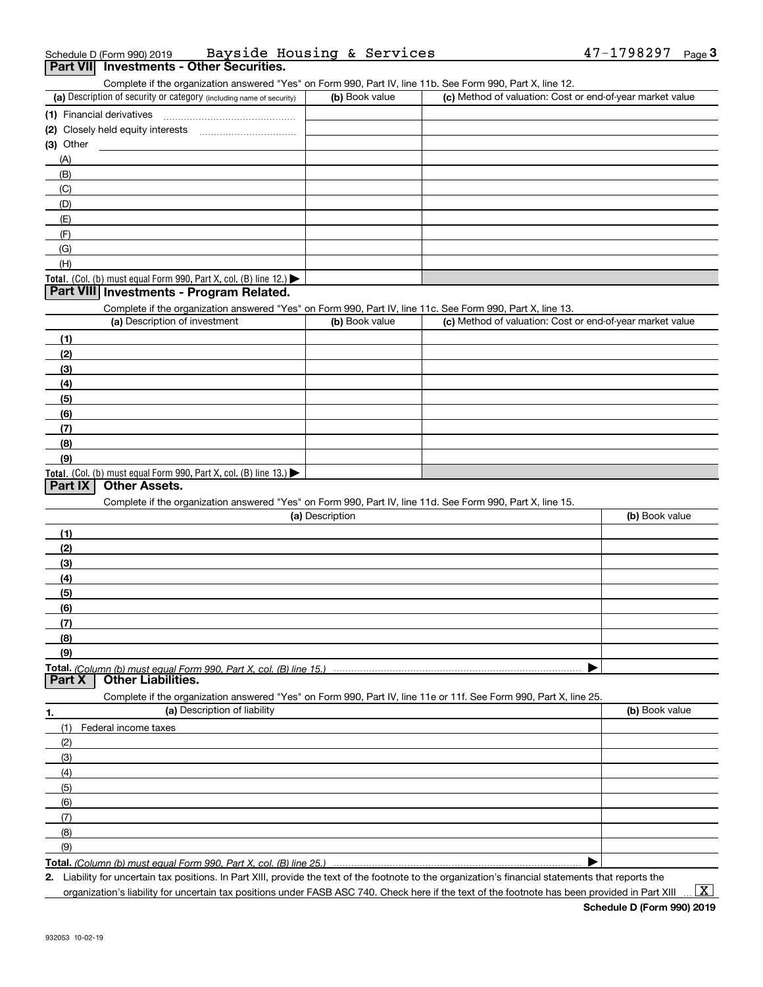| Schedule D (Form 990) 2019 |                                          | Bayside Housing & Services |  | $47 - 1798297$ Page |  |
|----------------------------|------------------------------------------|----------------------------|--|---------------------|--|
|                            | Part VII Investments - Other Securities. |                            |  |                     |  |

Complete if the organization answered "Yes" on Form 990, Part IV, line 11b. See Form 990, Part X, line 12.

| (a) Description of security or category (including name of security)                   | (b) Book value | (c) Method of valuation: Cost or end-of-year market value |
|----------------------------------------------------------------------------------------|----------------|-----------------------------------------------------------|
| (1) Financial derivatives                                                              |                |                                                           |
| (2) Closely held equity interests                                                      |                |                                                           |
| $(3)$ Other                                                                            |                |                                                           |
| (A)                                                                                    |                |                                                           |
| (B)                                                                                    |                |                                                           |
| (C)                                                                                    |                |                                                           |
| (D)                                                                                    |                |                                                           |
| (E)                                                                                    |                |                                                           |
| (F)                                                                                    |                |                                                           |
| (G)                                                                                    |                |                                                           |
| (H)                                                                                    |                |                                                           |
| Total. (Col. (b) must equal Form 990, Part X, col. (B) line 12.) $\blacktriangleright$ |                |                                                           |

### **Part VIII Investments - Program Related.**

Complete if the organization answered "Yes" on Form 990, Part IV, line 11c. See Form 990, Part X, line 13.

| (a) Description of investment                                                                 | (b) Book value | (c) Method of valuation: Cost or end-of-year market value |
|-----------------------------------------------------------------------------------------------|----------------|-----------------------------------------------------------|
| (1)                                                                                           |                |                                                           |
| (2)                                                                                           |                |                                                           |
| $\frac{1}{2}$                                                                                 |                |                                                           |
| (4)                                                                                           |                |                                                           |
| (5)                                                                                           |                |                                                           |
| (6)                                                                                           |                |                                                           |
| (7)                                                                                           |                |                                                           |
| (8)                                                                                           |                |                                                           |
| (9)                                                                                           |                |                                                           |
| <b>Total.</b> (Col. (b) must equal Form 990, Part X, col. (B) line 13.) $\blacktriangleright$ |                |                                                           |

### **Part IX Other Assets.**

Complete if the organization answered "Yes" on Form 990, Part IV, line 11d. See Form 990, Part X, line 15.

|        | (a) Description                                                                                                   | (b) Book value |
|--------|-------------------------------------------------------------------------------------------------------------------|----------------|
| (1)    |                                                                                                                   |                |
| (2)    |                                                                                                                   |                |
| (3)    |                                                                                                                   |                |
| (4)    |                                                                                                                   |                |
| (5)    |                                                                                                                   |                |
| (6)    |                                                                                                                   |                |
| (7)    |                                                                                                                   |                |
| (8)    |                                                                                                                   |                |
| (9)    |                                                                                                                   |                |
|        |                                                                                                                   |                |
| Part X | <b>Other Liabilities.</b>                                                                                         |                |
|        | Complete if the organization answered "Yes" on Form 990, Part IV, line 11e or 11f. See Form 990, Part X, line 25. |                |
|        | (a) Description of liability                                                                                      | (b) Book value |
|        | Federal income taxes                                                                                              |                |
| (2)    |                                                                                                                   |                |
| (3)    |                                                                                                                   |                |

| ا ب |  |
|-----|--|
| (4) |  |
| (5) |  |
| (6) |  |
|     |  |
| (8) |  |
| (9) |  |

**Total.**  *(Column (b) must equal Form 990, Part X, col. (B) line 25.)* 

**2.** Liability for uncertain tax positions. In Part XIII, provide the text of the footnote to the organization's financial statements that reports the

 $\vert$  X  $\vert$ 

 $\blacktriangleright$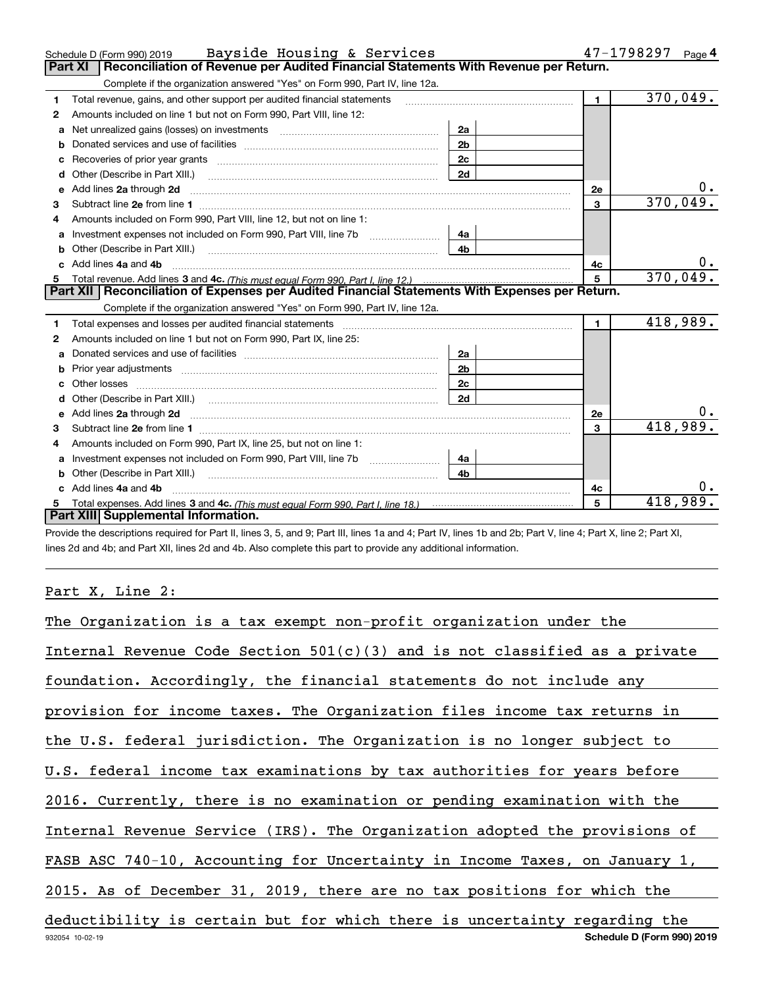|    | Bayside Housing & Services<br>Schedule D (Form 990) 2019                                                                                                                                                                             |                |                | 47-1798297<br>Page 4 |
|----|--------------------------------------------------------------------------------------------------------------------------------------------------------------------------------------------------------------------------------------|----------------|----------------|----------------------|
|    | Reconciliation of Revenue per Audited Financial Statements With Revenue per Return.<br><b>Part XI</b>                                                                                                                                |                |                |                      |
|    | Complete if the organization answered "Yes" on Form 990, Part IV, line 12a.                                                                                                                                                          |                |                |                      |
| 1. | Total revenue, gains, and other support per audited financial statements                                                                                                                                                             |                | $\blacksquare$ | 370,049.             |
| 2  | Amounts included on line 1 but not on Form 990, Part VIII, line 12:                                                                                                                                                                  |                |                |                      |
| a  |                                                                                                                                                                                                                                      | 2a             |                |                      |
|    |                                                                                                                                                                                                                                      | 2 <sub>b</sub> |                |                      |
| c  |                                                                                                                                                                                                                                      | 2c             |                |                      |
| d  |                                                                                                                                                                                                                                      | 2d             |                |                      |
| е  | Add lines 2a through 2d <b>continuum continuum contract and all the contract and all the contract of the contract of the contract of the contract of the contract of the contract of the contract of the contract of the contrac</b> |                | 2e             | 0.                   |
| 3  |                                                                                                                                                                                                                                      |                | 3              | 370,049.             |
| 4  | Amounts included on Form 990, Part VIII, line 12, but not on line 1:                                                                                                                                                                 |                |                |                      |
| a  | Investment expenses not included on Form 990, Part VIII, line 7b [100] [100] [100] [100] [100] [100] [100] [10                                                                                                                       | 4a             |                |                      |
| b  | Other (Describe in Part XIII.) (2000) (2000) (2000) (2010) (2010) (2010) (2010) (2010) (2010) (2010) (2010) (20                                                                                                                      | 4 <sub>b</sub> |                |                      |
|    | Add lines 4a and 4b                                                                                                                                                                                                                  |                | 4с             | 0.                   |
| 5  |                                                                                                                                                                                                                                      |                | 5              | 370,049.             |
|    |                                                                                                                                                                                                                                      |                |                |                      |
|    | Part XII   Reconciliation of Expenses per Audited Financial Statements With Expenses per Return.                                                                                                                                     |                |                |                      |
|    | Complete if the organization answered "Yes" on Form 990, Part IV, line 12a.                                                                                                                                                          |                |                |                      |
| 1. |                                                                                                                                                                                                                                      |                | $\blacksquare$ | 418,989.             |
| 2  | Amounts included on line 1 but not on Form 990, Part IX, line 25:                                                                                                                                                                    |                |                |                      |
| a  |                                                                                                                                                                                                                                      | 2a             |                |                      |
| b  |                                                                                                                                                                                                                                      | 2 <sub>b</sub> |                |                      |
|    |                                                                                                                                                                                                                                      | 2c             |                |                      |
|    |                                                                                                                                                                                                                                      | 2d             |                |                      |
|    |                                                                                                                                                                                                                                      |                | 2e             |                      |
| 3  |                                                                                                                                                                                                                                      |                | $\mathbf{a}$   | 418,989.             |
| 4  | Amounts included on Form 990, Part IX, line 25, but not on line 1:                                                                                                                                                                   |                |                |                      |
| a  |                                                                                                                                                                                                                                      | 4a             |                |                      |
|    | Other (Describe in Part XIII.) <b>Construction Contract Construction</b> Chemistry Chemistry Chemistry Chemistry Chemistry                                                                                                           | 4 <sub>b</sub> |                |                      |
|    | c Add lines 4a and 4b                                                                                                                                                                                                                |                | 4c             | υ.                   |
|    | Part XIII Supplemental Information.                                                                                                                                                                                                  |                | 5              | 418,989.             |

Provide the descriptions required for Part II, lines 3, 5, and 9; Part III, lines 1a and 4; Part IV, lines 1b and 2b; Part V, line 4; Part X, line 2; Part XI, lines 2d and 4b; and Part XII, lines 2d and 4b. Also complete this part to provide any additional information.

## Part X, Line 2:

| The Organization is a tax exempt non-profit organization under the           |
|------------------------------------------------------------------------------|
| Internal Revenue Code Section $501(c)(3)$ and is not classified as a private |
| foundation. Accordingly, the financial statements do not include any         |
| provision for income taxes. The Organization files income tax returns in     |
| the U.S. federal jurisdiction. The Organization is no longer subject to      |
| U.S. federal income tax examinations by tax authorities for years before     |
| 2016. Currently, there is no examination or pending examination with the     |
| Internal Revenue Service (IRS). The Organization adopted the provisions of   |
| FASB ASC 740-10, Accounting for Uncertainty in Income Taxes, on January 1,   |
| 2015. As of December 31, 2019, there are no tax positions for which the      |
| deductibility is certain but for which there is uncertainty regarding the    |
| Schedule D (Form 990) 2019<br>932054 10-02-19                                |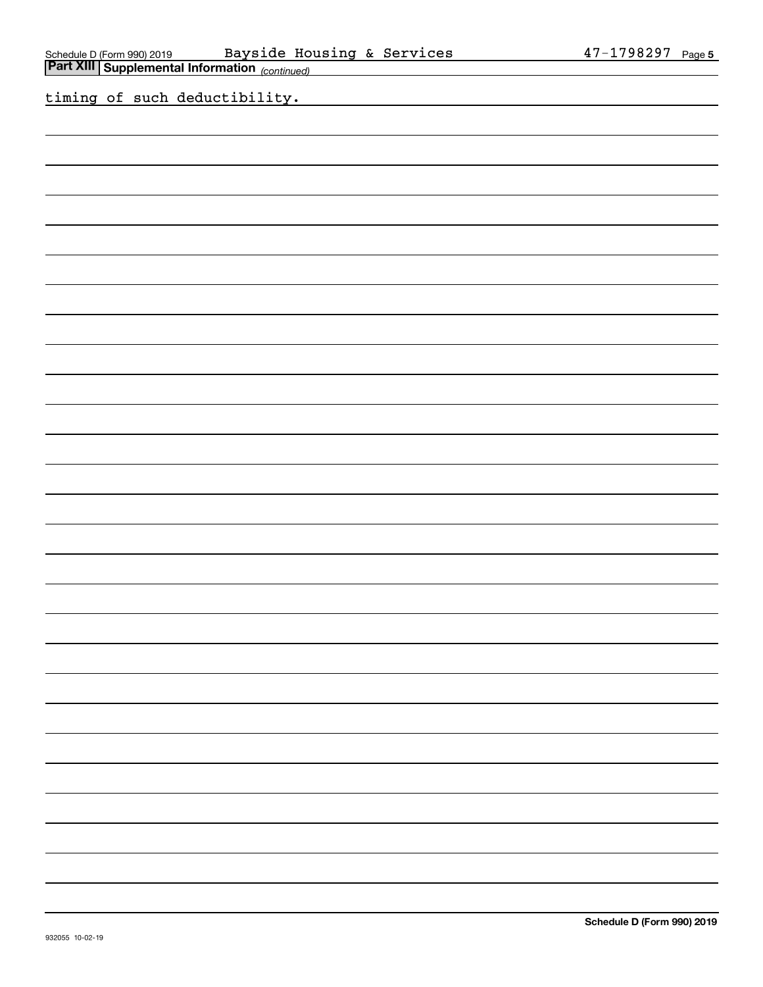| Bayside Housing & Services<br><u>and a strong strong the strong</u>                                                    | 47-1798297 Page 5 |
|------------------------------------------------------------------------------------------------------------------------|-------------------|
| Schedule D (Form 990) 2019     Bayside Housing & Services<br>Part XIII Supplemental Information <sub>(continued)</sub> |                   |
| timing of such deductibility.                                                                                          |                   |
|                                                                                                                        |                   |
|                                                                                                                        |                   |
|                                                                                                                        |                   |
|                                                                                                                        |                   |
|                                                                                                                        |                   |
|                                                                                                                        |                   |
|                                                                                                                        |                   |
|                                                                                                                        |                   |
|                                                                                                                        |                   |
|                                                                                                                        |                   |
|                                                                                                                        |                   |
|                                                                                                                        |                   |
|                                                                                                                        |                   |
|                                                                                                                        |                   |
|                                                                                                                        |                   |
|                                                                                                                        |                   |
|                                                                                                                        |                   |
|                                                                                                                        |                   |
|                                                                                                                        |                   |
|                                                                                                                        |                   |
|                                                                                                                        |                   |
|                                                                                                                        |                   |
|                                                                                                                        |                   |
|                                                                                                                        |                   |
|                                                                                                                        |                   |
|                                                                                                                        |                   |
|                                                                                                                        |                   |
|                                                                                                                        |                   |
|                                                                                                                        |                   |
|                                                                                                                        |                   |
|                                                                                                                        |                   |
|                                                                                                                        |                   |
|                                                                                                                        |                   |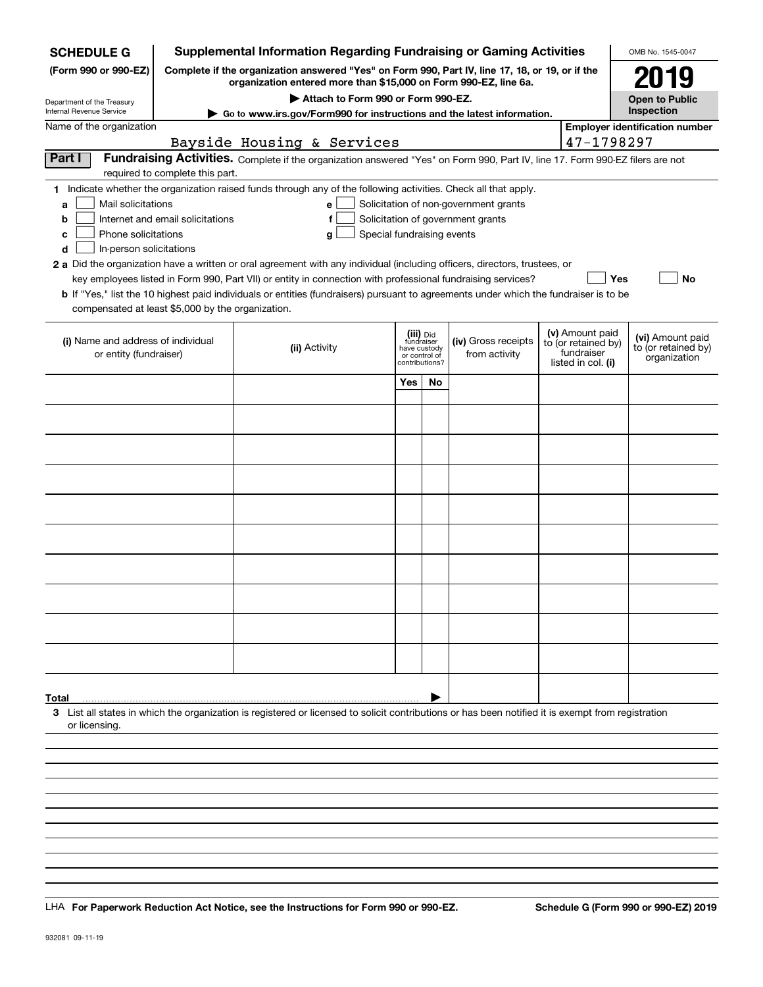| <b>SCHEDULE G</b>                                                                                                                                           |                                  |                                    |                |                         | <b>Supplemental Information Regarding Fundraising or Gaming Activities</b>                                                                                          |                    |                                   | OMB No. 1545-0047                     |
|-------------------------------------------------------------------------------------------------------------------------------------------------------------|----------------------------------|------------------------------------|----------------|-------------------------|---------------------------------------------------------------------------------------------------------------------------------------------------------------------|--------------------|-----------------------------------|---------------------------------------|
| (Form 990 or 990-EZ)                                                                                                                                        |                                  |                                    |                |                         | Complete if the organization answered "Yes" on Form 990, Part IV, line 17, 18, or 19, or if the<br>organization entered more than \$15,000 on Form 990-EZ, line 6a. |                    |                                   | 2019                                  |
| Department of the Treasury                                                                                                                                  |                                  | Attach to Form 990 or Form 990-EZ. |                |                         |                                                                                                                                                                     |                    |                                   | <b>Open to Public</b>                 |
| Internal Revenue Service<br>Name of the organization                                                                                                        |                                  |                                    |                |                         | Go to www.irs.gov/Form990 for instructions and the latest information.                                                                                              |                    |                                   | Inspection                            |
|                                                                                                                                                             |                                  |                                    |                |                         |                                                                                                                                                                     |                    | 47-1798297                        | <b>Employer identification number</b> |
| Part I                                                                                                                                                      |                                  | Bayside Housing & Services         |                |                         |                                                                                                                                                                     |                    |                                   |                                       |
|                                                                                                                                                             | required to complete this part.  |                                    |                |                         | Fundraising Activities. Complete if the organization answered "Yes" on Form 990, Part IV, line 17. Form 990-EZ filers are not                                       |                    |                                   |                                       |
| 1 Indicate whether the organization raised funds through any of the following activities. Check all that apply.                                             |                                  |                                    |                |                         |                                                                                                                                                                     |                    |                                   |                                       |
| Mail solicitations<br>a                                                                                                                                     |                                  | e                                  |                |                         | Solicitation of non-government grants                                                                                                                               |                    |                                   |                                       |
| b                                                                                                                                                           | Internet and email solicitations | f                                  |                |                         | Solicitation of government grants                                                                                                                                   |                    |                                   |                                       |
| Phone solicitations<br>c                                                                                                                                    |                                  | Special fundraising events<br>g    |                |                         |                                                                                                                                                                     |                    |                                   |                                       |
| In-person solicitations<br>d                                                                                                                                |                                  |                                    |                |                         |                                                                                                                                                                     |                    |                                   |                                       |
| 2 a Did the organization have a written or oral agreement with any individual (including officers, directors, trustees, or                                  |                                  |                                    |                |                         |                                                                                                                                                                     |                    |                                   |                                       |
|                                                                                                                                                             |                                  |                                    |                |                         | key employees listed in Form 990, Part VII) or entity in connection with professional fundraising services?                                                         |                    | Yes                               | No                                    |
| <b>b</b> If "Yes," list the 10 highest paid individuals or entities (fundraisers) pursuant to agreements under which the fundraiser is to be                |                                  |                                    |                |                         |                                                                                                                                                                     |                    |                                   |                                       |
| compensated at least \$5,000 by the organization.                                                                                                           |                                  |                                    |                |                         |                                                                                                                                                                     |                    |                                   |                                       |
|                                                                                                                                                             |                                  |                                    |                |                         |                                                                                                                                                                     |                    | (v) Amount paid                   | (vi) Amount paid                      |
| (i) Name and address of individual<br>or entity (fundraiser)                                                                                                |                                  | (ii) Activity                      | have custody   | (iii) Did<br>fundraiser | (iv) Gross receipts<br>from activity                                                                                                                                |                    | to (or retained by)<br>fundraiser | to (or retained by)                   |
|                                                                                                                                                             |                                  |                                    | contributions? | or control of           |                                                                                                                                                                     | listed in col. (i) |                                   | organization                          |
|                                                                                                                                                             |                                  |                                    | Yes            | <b>No</b>               |                                                                                                                                                                     |                    |                                   |                                       |
|                                                                                                                                                             |                                  |                                    |                |                         |                                                                                                                                                                     |                    |                                   |                                       |
|                                                                                                                                                             |                                  |                                    |                |                         |                                                                                                                                                                     |                    |                                   |                                       |
|                                                                                                                                                             |                                  |                                    |                |                         |                                                                                                                                                                     |                    |                                   |                                       |
|                                                                                                                                                             |                                  |                                    |                |                         |                                                                                                                                                                     |                    |                                   |                                       |
|                                                                                                                                                             |                                  |                                    |                |                         |                                                                                                                                                                     |                    |                                   |                                       |
|                                                                                                                                                             |                                  |                                    |                |                         |                                                                                                                                                                     |                    |                                   |                                       |
|                                                                                                                                                             |                                  |                                    |                |                         |                                                                                                                                                                     |                    |                                   |                                       |
|                                                                                                                                                             |                                  |                                    |                |                         |                                                                                                                                                                     |                    |                                   |                                       |
|                                                                                                                                                             |                                  |                                    |                |                         |                                                                                                                                                                     |                    |                                   |                                       |
|                                                                                                                                                             |                                  |                                    |                |                         |                                                                                                                                                                     |                    |                                   |                                       |
|                                                                                                                                                             |                                  |                                    |                |                         |                                                                                                                                                                     |                    |                                   |                                       |
|                                                                                                                                                             |                                  |                                    |                |                         |                                                                                                                                                                     |                    |                                   |                                       |
|                                                                                                                                                             |                                  |                                    |                |                         |                                                                                                                                                                     |                    |                                   |                                       |
|                                                                                                                                                             |                                  |                                    |                |                         |                                                                                                                                                                     |                    |                                   |                                       |
|                                                                                                                                                             |                                  |                                    |                |                         |                                                                                                                                                                     |                    |                                   |                                       |
|                                                                                                                                                             |                                  |                                    |                |                         |                                                                                                                                                                     |                    |                                   |                                       |
|                                                                                                                                                             |                                  |                                    |                |                         |                                                                                                                                                                     |                    |                                   |                                       |
|                                                                                                                                                             |                                  |                                    |                |                         |                                                                                                                                                                     |                    |                                   |                                       |
|                                                                                                                                                             |                                  |                                    |                |                         |                                                                                                                                                                     |                    |                                   |                                       |
| Total<br>3 List all states in which the organization is registered or licensed to solicit contributions or has been notified it is exempt from registration |                                  |                                    |                |                         |                                                                                                                                                                     |                    |                                   |                                       |
| or licensing                                                                                                                                                |                                  |                                    |                |                         |                                                                                                                                                                     |                    |                                   |                                       |
|                                                                                                                                                             |                                  |                                    |                |                         |                                                                                                                                                                     |                    |                                   |                                       |
|                                                                                                                                                             |                                  |                                    |                |                         |                                                                                                                                                                     |                    |                                   |                                       |
|                                                                                                                                                             |                                  |                                    |                |                         |                                                                                                                                                                     |                    |                                   |                                       |
|                                                                                                                                                             |                                  |                                    |                |                         |                                                                                                                                                                     |                    |                                   |                                       |
|                                                                                                                                                             |                                  |                                    |                |                         |                                                                                                                                                                     |                    |                                   |                                       |

LHA For Paperwork Reduction Act Notice, see the Instructions for Form 990 or 990-EZ. Schedule G (Form 990 or 990-EZ) 2019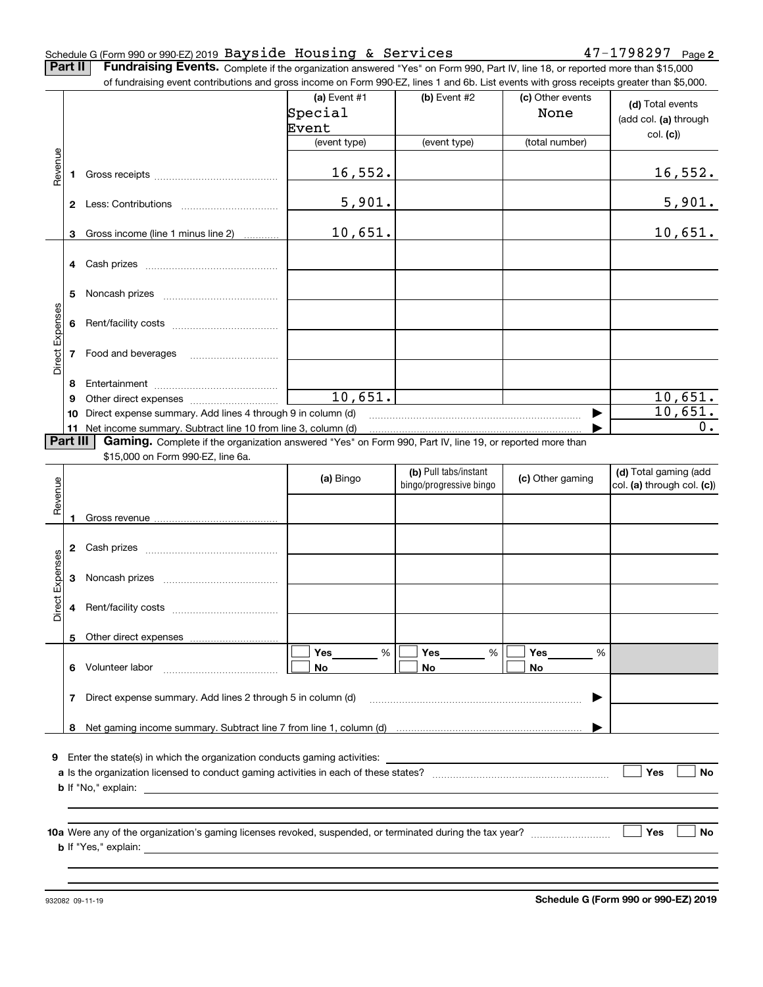### Schedule G (Form 990 or 990-EZ) 2019 Page Bayside Housing & Services 47-1798297

**2**

**Part II** | Fundraising Events. Complete if the organization answered "Yes" on Form 990, Part IV, line 18, or reported more than \$15,000 of fundraising event contributions and gross income on Form 990-EZ, lines 1 and 6b. List events with gross receipts greater than \$5,000.

|                 |          | .000.or rundraising event contributions and gross income on Form 990-EZ, lines 1 and 6b. List events with gross receipts greater than \$5,000.                              |                |                         |                  |                            |
|-----------------|----------|-----------------------------------------------------------------------------------------------------------------------------------------------------------------------------|----------------|-------------------------|------------------|----------------------------|
|                 |          |                                                                                                                                                                             | (a) Event $#1$ | $(b)$ Event #2          | (c) Other events |                            |
|                 |          |                                                                                                                                                                             | Special        |                         | None             | (d) Total events           |
|                 |          |                                                                                                                                                                             | Event          |                         |                  | (add col. (a) through      |
|                 |          |                                                                                                                                                                             |                |                         |                  | col. (c)                   |
|                 |          |                                                                                                                                                                             | (event type)   | (event type)            | (total number)   |                            |
| Revenue         |          |                                                                                                                                                                             |                |                         |                  |                            |
|                 |          |                                                                                                                                                                             | 16,552.        |                         |                  | <u>16,552.</u>             |
|                 |          |                                                                                                                                                                             |                |                         |                  |                            |
|                 |          |                                                                                                                                                                             | 5,901.         |                         |                  | 5,901.                     |
|                 |          |                                                                                                                                                                             |                |                         |                  |                            |
|                 |          | 3 Gross income (line 1 minus line 2)                                                                                                                                        | 10,651.        |                         |                  | 10,651.                    |
|                 |          |                                                                                                                                                                             |                |                         |                  |                            |
|                 |          |                                                                                                                                                                             |                |                         |                  |                            |
|                 |          |                                                                                                                                                                             |                |                         |                  |                            |
|                 |          |                                                                                                                                                                             |                |                         |                  |                            |
|                 |          |                                                                                                                                                                             |                |                         |                  |                            |
| Direct Expenses |          |                                                                                                                                                                             |                |                         |                  |                            |
|                 |          |                                                                                                                                                                             |                |                         |                  |                            |
|                 |          |                                                                                                                                                                             |                |                         |                  |                            |
|                 |          | 7 Food and beverages                                                                                                                                                        |                |                         |                  |                            |
|                 |          |                                                                                                                                                                             |                |                         |                  |                            |
|                 | 8        |                                                                                                                                                                             |                |                         |                  |                            |
|                 | 9        |                                                                                                                                                                             | 10,651.        |                         |                  | 10,651.                    |
|                 | 10       | Direct expense summary. Add lines 4 through 9 in column (d)                                                                                                                 |                |                         |                  | 10,651.                    |
|                 |          |                                                                                                                                                                             |                |                         |                  | $0$ .                      |
|                 | Part III | 11 Net income summary. Subtract line 10 from line 3, column (d)<br>Gaming. Complete if the organization answered "Yes" on Form 990, Part IV, line 19, or reported more than |                |                         |                  |                            |
|                 |          |                                                                                                                                                                             |                |                         |                  |                            |
|                 |          | \$15,000 on Form 990-EZ, line 6a.                                                                                                                                           |                |                         |                  |                            |
|                 |          |                                                                                                                                                                             | (a) Bingo      | (b) Pull tabs/instant   | (c) Other gaming | (d) Total gaming (add      |
|                 |          |                                                                                                                                                                             |                | bingo/progressive bingo |                  | col. (a) through col. (c)) |
| Revenue         |          |                                                                                                                                                                             |                |                         |                  |                            |
|                 | 1        |                                                                                                                                                                             |                |                         |                  |                            |
|                 |          |                                                                                                                                                                             |                |                         |                  |                            |
|                 |          |                                                                                                                                                                             |                |                         |                  |                            |
|                 |          |                                                                                                                                                                             |                |                         |                  |                            |
|                 |          |                                                                                                                                                                             |                |                         |                  |                            |
| Direct Expenses |          |                                                                                                                                                                             |                |                         |                  |                            |
|                 |          |                                                                                                                                                                             |                |                         |                  |                            |
|                 |          |                                                                                                                                                                             |                |                         |                  |                            |
|                 |          |                                                                                                                                                                             |                |                         |                  |                            |
|                 |          | 5 Other direct expenses                                                                                                                                                     |                |                         |                  |                            |
|                 |          |                                                                                                                                                                             | $\%$<br>Yes    | Yes<br>%                | Yes<br>%         |                            |
|                 |          | 6 Volunteer labor                                                                                                                                                           | No             | No                      | No               |                            |
|                 |          |                                                                                                                                                                             |                |                         |                  |                            |
|                 |          | 7 Direct expense summary. Add lines 2 through 5 in column (d)                                                                                                               |                |                         |                  |                            |
|                 |          |                                                                                                                                                                             |                |                         |                  |                            |
|                 | 8        |                                                                                                                                                                             |                |                         |                  |                            |
|                 |          |                                                                                                                                                                             |                |                         |                  |                            |
|                 |          | 9 Enter the state(s) in which the organization conducts gaming activities:                                                                                                  |                |                         |                  |                            |
|                 |          |                                                                                                                                                                             |                |                         |                  | Yes<br>No                  |
|                 |          |                                                                                                                                                                             |                |                         |                  |                            |
|                 |          | <b>b</b> If "No," explain:                                                                                                                                                  |                |                         |                  |                            |
|                 |          |                                                                                                                                                                             |                |                         |                  |                            |
|                 |          |                                                                                                                                                                             |                |                         |                  |                            |
|                 |          |                                                                                                                                                                             |                |                         |                  | Yes<br>No                  |
|                 |          | <b>b</b> If "Yes," explain:                                                                                                                                                 |                |                         |                  |                            |
|                 |          |                                                                                                                                                                             |                |                         |                  |                            |
|                 |          |                                                                                                                                                                             |                |                         |                  |                            |

932082 09-11-19

**Schedule G (Form 990 or 990-EZ) 2019**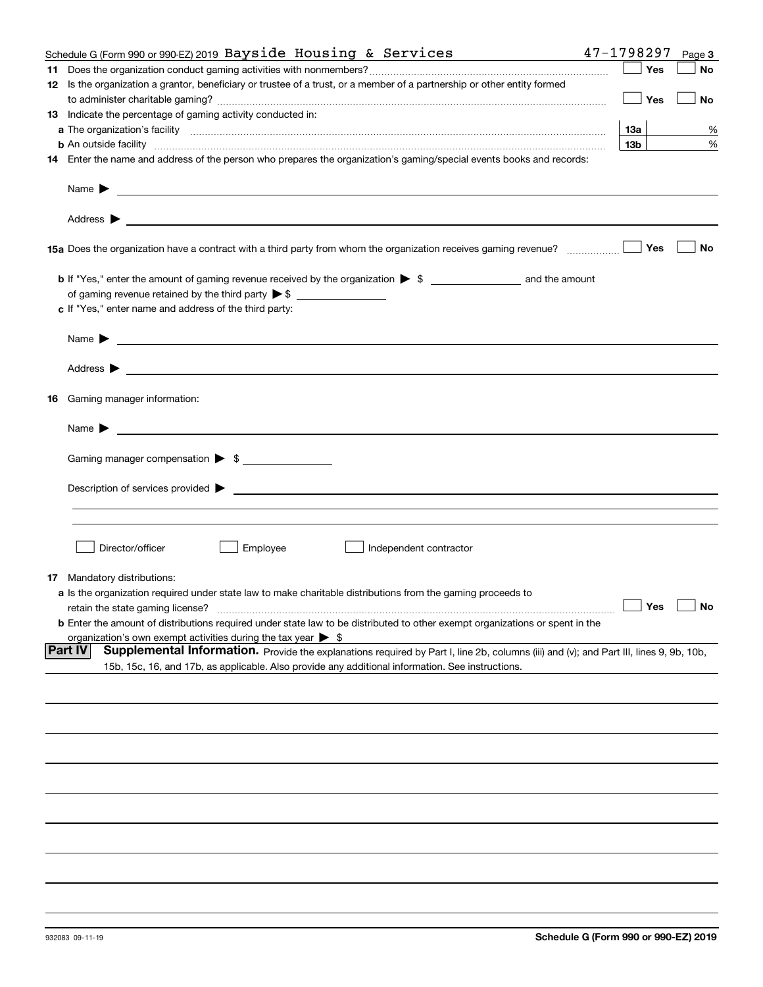|    | Schedule G (Form 990 or 990-EZ) 2019 Bayside Housing & Services                                                                                                                                                                           | 47-1798297        |     | Page 3 |
|----|-------------------------------------------------------------------------------------------------------------------------------------------------------------------------------------------------------------------------------------------|-------------------|-----|--------|
|    |                                                                                                                                                                                                                                           |                   | Yes | No     |
|    | 12 Is the organization a grantor, beneficiary or trustee of a trust, or a member of a partnership or other entity formed                                                                                                                  |                   |     |        |
|    |                                                                                                                                                                                                                                           |                   | Yes | No     |
|    | 13 Indicate the percentage of gaming activity conducted in:                                                                                                                                                                               |                   |     |        |
|    |                                                                                                                                                                                                                                           | <u>13a</u>        |     | %      |
|    | <b>b</b> An outside facility <i>www.communicality communicality communicality communicality communicality communicality communically communically communically communically communically communically communically communically commu</i> | 13 <sub>b</sub>   |     | %      |
|    | 14 Enter the name and address of the person who prepares the organization's gaming/special events books and records:                                                                                                                      |                   |     |        |
|    |                                                                                                                                                                                                                                           |                   |     |        |
|    | Name $\blacktriangleright$<br><u>some started and the started and the started and the started and the started and the started and the started and</u>                                                                                     |                   |     |        |
|    |                                                                                                                                                                                                                                           |                   |     |        |
|    |                                                                                                                                                                                                                                           |                   | Yes | No     |
|    |                                                                                                                                                                                                                                           |                   |     |        |
|    |                                                                                                                                                                                                                                           |                   |     |        |
|    | c If "Yes," enter name and address of the third party:                                                                                                                                                                                    |                   |     |        |
|    |                                                                                                                                                                                                                                           |                   |     |        |
|    | Name $\blacktriangleright$                                                                                                                                                                                                                |                   |     |        |
|    | Address $\blacktriangleright$                                                                                                                                                                                                             |                   |     |        |
| 16 | Gaming manager information:                                                                                                                                                                                                               |                   |     |        |
|    | Name $\blacktriangleright$                                                                                                                                                                                                                |                   |     |        |
|    | Gaming manager compensation > \$                                                                                                                                                                                                          |                   |     |        |
|    |                                                                                                                                                                                                                                           |                   |     |        |
|    | Description of services provided >                                                                                                                                                                                                        |                   |     |        |
|    |                                                                                                                                                                                                                                           |                   |     |        |
|    |                                                                                                                                                                                                                                           |                   |     |        |
|    |                                                                                                                                                                                                                                           |                   |     |        |
|    | Director/officer<br>Employee<br>Independent contractor                                                                                                                                                                                    |                   |     |        |
|    |                                                                                                                                                                                                                                           |                   |     |        |
| 17 | Mandatory distributions:                                                                                                                                                                                                                  |                   |     |        |
|    | a Is the organization required under state law to make charitable distributions from the gaming proceeds to                                                                                                                               |                   |     |        |
|    | retain the state gaming license?                                                                                                                                                                                                          | $\Box$ Yes $\Box$ |     |        |
|    | <b>b</b> Enter the amount of distributions required under state law to be distributed to other exempt organizations or spent in the                                                                                                       |                   |     |        |
|    | organization's own exempt activities during the tax year $\triangleright$ \$                                                                                                                                                              |                   |     |        |
|    | <b>Part IV</b><br>Supplemental Information. Provide the explanations required by Part I, line 2b, columns (iii) and (v); and Part III, lines 9, 9b, 10b,                                                                                  |                   |     |        |
|    | 15b, 15c, 16, and 17b, as applicable. Also provide any additional information. See instructions.                                                                                                                                          |                   |     |        |
|    |                                                                                                                                                                                                                                           |                   |     |        |
|    |                                                                                                                                                                                                                                           |                   |     |        |
|    |                                                                                                                                                                                                                                           |                   |     |        |
|    |                                                                                                                                                                                                                                           |                   |     |        |
|    |                                                                                                                                                                                                                                           |                   |     |        |
|    |                                                                                                                                                                                                                                           |                   |     |        |
|    |                                                                                                                                                                                                                                           |                   |     |        |
|    |                                                                                                                                                                                                                                           |                   |     |        |
|    |                                                                                                                                                                                                                                           |                   |     |        |
|    |                                                                                                                                                                                                                                           |                   |     |        |
|    |                                                                                                                                                                                                                                           |                   |     |        |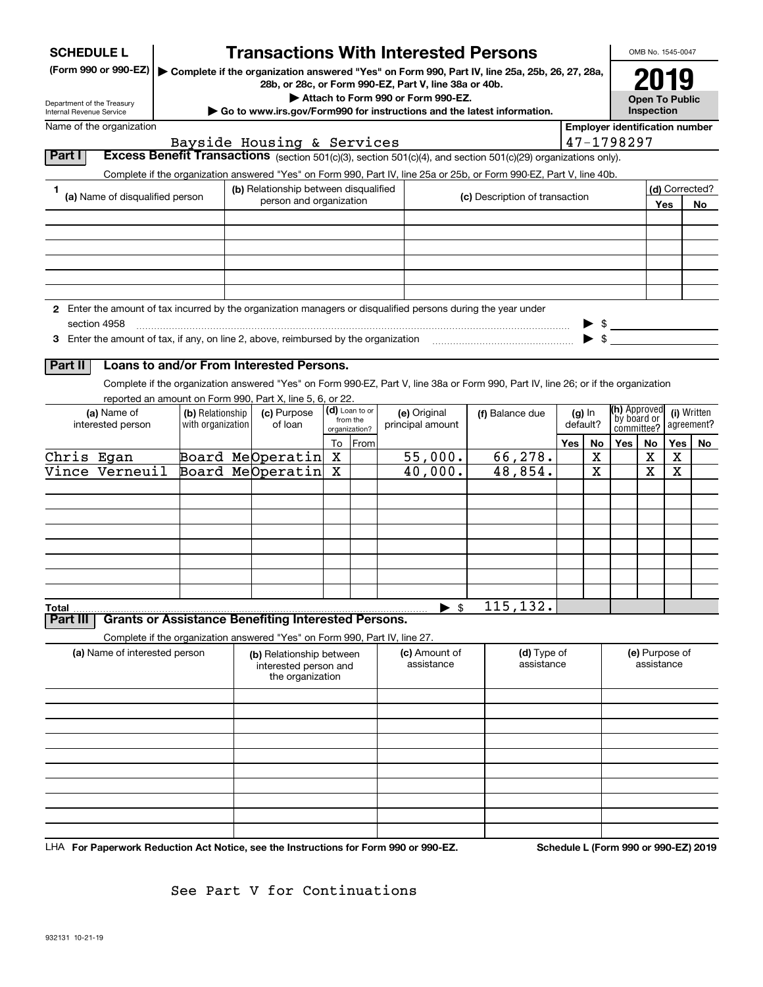| <b>SCHEDULE L</b>          |                                  |                                       | <b>Transactions With Interested Persons</b>                                |         |                            |                                    |                                                                                                                                    |                      |                          |                                                          | OMB No. 1545-0047     |          |                |
|----------------------------|----------------------------------|---------------------------------------|----------------------------------------------------------------------------|---------|----------------------------|------------------------------------|------------------------------------------------------------------------------------------------------------------------------------|----------------------|--------------------------|----------------------------------------------------------|-----------------------|----------|----------------|
|                            | (Form 990 or 990-EZ)             |                                       | 28b, or 28c, or Form 990-EZ, Part V, line 38a or 40b.                      |         |                            |                                    | Complete if the organization answered "Yes" on Form 990, Part IV, line 25a, 25b, 26, 27, 28a,                                      |                      |                          |                                                          | 2019                  |          |                |
| Department of the Treasury |                                  |                                       |                                                                            |         |                            | Attach to Form 990 or Form 990-EZ. |                                                                                                                                    |                      |                          |                                                          | <b>Open To Public</b> |          |                |
| Internal Revenue Service   |                                  |                                       |                                                                            |         |                            |                                    | Go to www.irs.gov/Form990 for instructions and the latest information.                                                             |                      |                          |                                                          | Inspection            |          |                |
|                            | Name of the organization         |                                       | Bayside Housing & Services                                                 |         |                            |                                    |                                                                                                                                    |                      |                          | <b>Employer identification number</b><br>47-1798297      |                       |          |                |
| Part I                     |                                  |                                       |                                                                            |         |                            |                                    | Excess Benefit Transactions (section 501(c)(3), section 501(c)(4), and section 501(c)(29) organizations only).                     |                      |                          |                                                          |                       |          |                |
|                            |                                  |                                       |                                                                            |         |                            |                                    | Complete if the organization answered "Yes" on Form 990, Part IV, line 25a or 25b, or Form 990-EZ, Part V, line 40b.               |                      |                          |                                                          |                       |          |                |
| 1                          |                                  |                                       | (b) Relationship between disqualified                                      |         |                            |                                    |                                                                                                                                    |                      |                          |                                                          |                       |          | (d) Corrected? |
|                            | (a) Name of disqualified person  |                                       | person and organization                                                    |         |                            |                                    | (c) Description of transaction                                                                                                     |                      |                          |                                                          |                       | Yes      | No             |
|                            |                                  |                                       |                                                                            |         |                            |                                    |                                                                                                                                    |                      |                          |                                                          |                       |          |                |
|                            |                                  |                                       |                                                                            |         |                            |                                    |                                                                                                                                    |                      |                          |                                                          |                       |          |                |
|                            |                                  |                                       |                                                                            |         |                            |                                    |                                                                                                                                    |                      |                          |                                                          |                       |          |                |
|                            |                                  |                                       |                                                                            |         |                            |                                    |                                                                                                                                    |                      |                          |                                                          |                       |          |                |
|                            |                                  |                                       |                                                                            |         |                            |                                    |                                                                                                                                    |                      |                          |                                                          |                       |          |                |
|                            |                                  |                                       |                                                                            |         |                            |                                    | 2 Enter the amount of tax incurred by the organization managers or disqualified persons during the year under                      |                      |                          |                                                          |                       |          |                |
|                            | section 4958                     |                                       |                                                                            |         |                            |                                    |                                                                                                                                    |                      |                          | $\frac{1}{2}$                                            |                       |          |                |
|                            |                                  |                                       |                                                                            |         |                            |                                    |                                                                                                                                    |                      | $\blacktriangleright$ \$ |                                                          |                       |          |                |
|                            |                                  |                                       |                                                                            |         |                            |                                    |                                                                                                                                    |                      |                          |                                                          |                       |          |                |
| Part II                    |                                  |                                       | Loans to and/or From Interested Persons.                                   |         |                            |                                    |                                                                                                                                    |                      |                          |                                                          |                       |          |                |
|                            |                                  |                                       |                                                                            |         |                            |                                    | Complete if the organization answered "Yes" on Form 990-EZ, Part V, line 38a or Form 990, Part IV, line 26; or if the organization |                      |                          |                                                          |                       |          |                |
|                            |                                  |                                       | reported an amount on Form 990, Part X, line 5, 6, or 22.                  |         |                            |                                    |                                                                                                                                    |                      |                          |                                                          |                       |          |                |
|                            | (a) Name of<br>interested person | (b) Relationship<br>with organization | (c) Purpose<br>of loan                                                     |         | (d) Loan to or<br>from the | (e) Original<br>principal amount   | (f) Balance due                                                                                                                    | $(g)$ In<br>default? |                          | (h) Approved<br>(i) Written<br>by board or<br>agreement? |                       |          |                |
|                            |                                  |                                       |                                                                            |         | organization?              |                                    |                                                                                                                                    |                      |                          | committee?                                               |                       |          |                |
| Chris Egan                 |                                  |                                       | Board MeOperatin                                                           | To<br>X | From                       | 55,000.                            | 66,278.                                                                                                                            | Yes                  | No<br>x                  | <b>Yes</b>                                               | No<br>x               | Yes<br>x | No             |
|                            | Vince Verneuil                   |                                       | Board MeOperatin                                                           | х       |                            | 40,000.                            | 48,854.                                                                                                                            |                      | X                        |                                                          | X                     | х        |                |
|                            |                                  |                                       |                                                                            |         |                            |                                    |                                                                                                                                    |                      |                          |                                                          |                       |          |                |
|                            |                                  |                                       |                                                                            |         |                            |                                    |                                                                                                                                    |                      |                          |                                                          |                       |          |                |
|                            |                                  |                                       |                                                                            |         |                            |                                    |                                                                                                                                    |                      |                          |                                                          |                       |          |                |
|                            |                                  |                                       |                                                                            |         |                            |                                    |                                                                                                                                    |                      |                          |                                                          |                       |          |                |
|                            |                                  |                                       |                                                                            |         |                            |                                    |                                                                                                                                    |                      |                          |                                                          |                       |          |                |
|                            |                                  |                                       |                                                                            |         |                            |                                    |                                                                                                                                    |                      |                          |                                                          |                       |          |                |
|                            |                                  |                                       |                                                                            |         |                            |                                    |                                                                                                                                    |                      |                          |                                                          |                       |          |                |
|                            |                                  |                                       |                                                                            |         |                            | - \$<br>▶                          | 115,132.                                                                                                                           |                      |                          |                                                          |                       |          |                |
| <b>Total</b><br>Part III   |                                  |                                       | <b>Grants or Assistance Benefiting Interested Persons.</b>                 |         |                            |                                    |                                                                                                                                    |                      |                          |                                                          |                       |          |                |
|                            |                                  |                                       | Complete if the organization answered "Yes" on Form 990, Part IV, line 27. |         |                            |                                    |                                                                                                                                    |                      |                          |                                                          |                       |          |                |
|                            | (a) Name of interested person    |                                       | (b) Relationship between                                                   |         |                            | (c) Amount of                      | (d) Type of                                                                                                                        |                      |                          |                                                          | (e) Purpose of        |          |                |
|                            |                                  |                                       | interested person and                                                      |         |                            | assistance                         | assistance                                                                                                                         |                      |                          |                                                          | assistance            |          |                |
|                            |                                  |                                       | the organization                                                           |         |                            |                                    |                                                                                                                                    |                      |                          |                                                          |                       |          |                |
|                            |                                  |                                       |                                                                            |         |                            |                                    |                                                                                                                                    |                      |                          |                                                          |                       |          |                |
|                            |                                  |                                       |                                                                            |         |                            |                                    |                                                                                                                                    |                      |                          |                                                          |                       |          |                |
|                            |                                  |                                       |                                                                            |         |                            |                                    |                                                                                                                                    |                      |                          |                                                          |                       |          |                |
|                            |                                  |                                       |                                                                            |         |                            |                                    |                                                                                                                                    |                      |                          |                                                          |                       |          |                |
|                            |                                  |                                       |                                                                            |         |                            |                                    |                                                                                                                                    |                      |                          |                                                          |                       |          |                |
|                            |                                  |                                       |                                                                            |         |                            |                                    |                                                                                                                                    |                      |                          |                                                          |                       |          |                |
|                            |                                  |                                       |                                                                            |         |                            |                                    |                                                                                                                                    |                      |                          |                                                          |                       |          |                |
|                            |                                  |                                       |                                                                            |         |                            |                                    |                                                                                                                                    |                      |                          |                                                          |                       |          |                |
|                            |                                  |                                       |                                                                            |         |                            |                                    |                                                                                                                                    |                      |                          |                                                          |                       |          |                |

LHA For Paperwork Reduction Act Notice, see the Instructions for Form 990 or 990-EZ. Schedule L (Form 990 or 990-EZ) 2019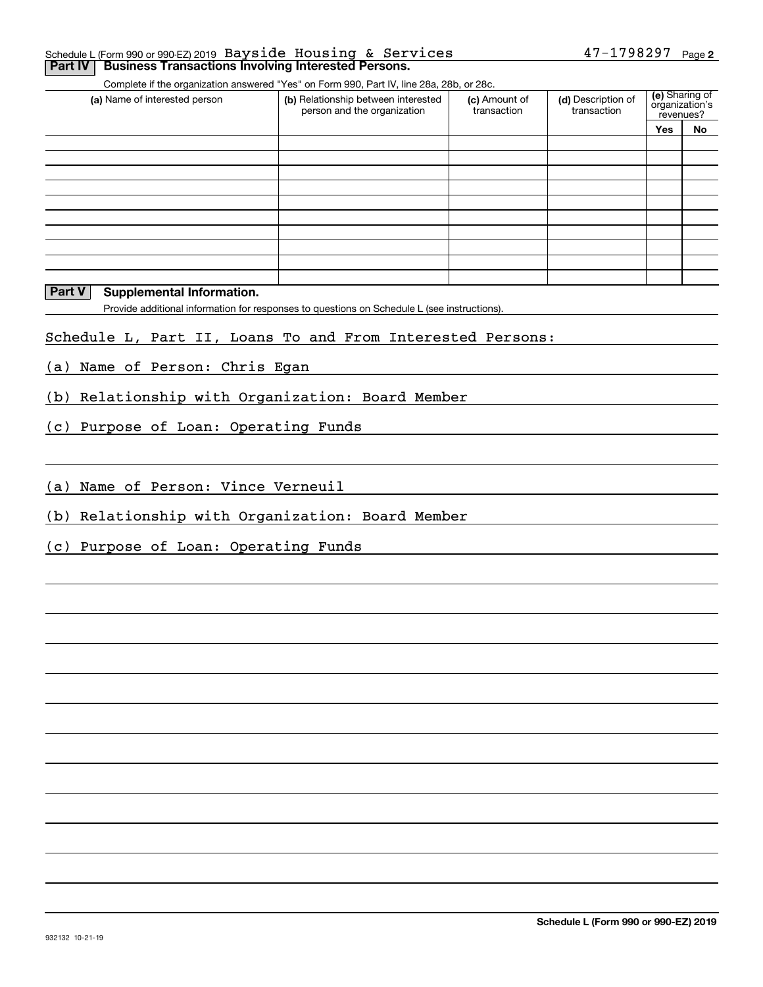### **2** Schedule L (Form 990 or 990-EZ) 2019 Page 47-1798297 Bayside Housing & Services**Part IV** Business Transactions Involving Interested Persons.

Complete if the organization answered "Yes" on Form 990, Part IV, line 28a, 28b, or 28c.

| (a) Name of interested person | (b) Relationship between interested<br>person and the organization | (c) Amount of<br>transaction | (d) Description of<br>transaction | revenues? | (e) Sharing of<br>organization's |
|-------------------------------|--------------------------------------------------------------------|------------------------------|-----------------------------------|-----------|----------------------------------|
|                               |                                                                    |                              |                                   | Yes       | No                               |
|                               |                                                                    |                              |                                   |           |                                  |
|                               |                                                                    |                              |                                   |           |                                  |
|                               |                                                                    |                              |                                   |           |                                  |
|                               |                                                                    |                              |                                   |           |                                  |
|                               |                                                                    |                              |                                   |           |                                  |
|                               |                                                                    |                              |                                   |           |                                  |
|                               |                                                                    |                              |                                   |           |                                  |
|                               |                                                                    |                              |                                   |           |                                  |
|                               |                                                                    |                              |                                   |           |                                  |
|                               |                                                                    |                              |                                   |           |                                  |

### **Part V** Supplemental Information.

Provide additional information for responses to questions on Schedule L (see instructions).

### Schedule L, Part II, Loans To and From Interested Persons:

(a) Name of Person: Chris Egan

(b) Relationship with Organization: Board Member

(c) Purpose of Loan: Operating Funds

(a) Name of Person: Vince Verneuil

(b) Relationship with Organization: Board Member

(c) Purpose of Loan: Operating Funds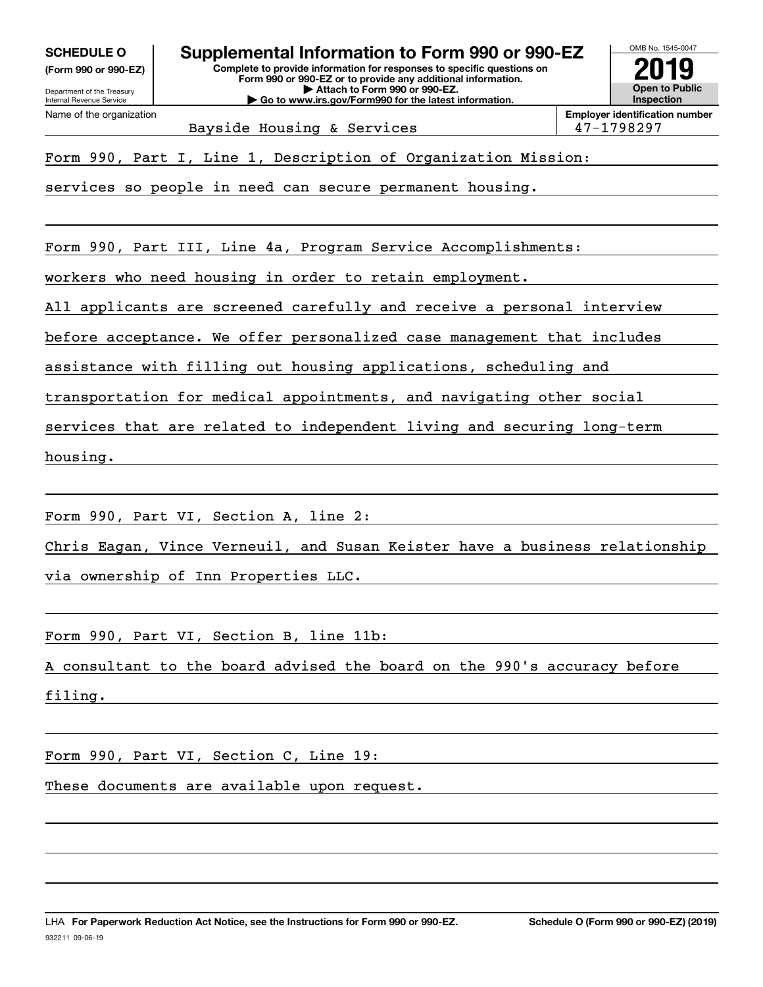**(Form 990 or 990-EZ)**

Department of the Treasury Internal Revenue Service Name of the organization

OMB No. 1545-0047 **Complete to provide information for responses to specific questions on SCHEDULE O Supplemental Information to Form 990 or 990-EZ**

**Form 990 or 990-EZ or to provide any additional information. | Attach to Form 990 or 990-EZ. | Go to www.irs.gov/Form990 for the latest information.**



Bayside Housing & Services 198297

Form 990, Part I, Line 1, Description of Organization Mission:

services so people in need can secure permanent housing.

Form 990, Part III, Line 4a, Program Service Accomplishments:

workers who need housing in order to retain employment.

All applicants are screened carefully and receive a personal interview

before acceptance. We offer personalized case management that includes

assistance with filling out housing applications, scheduling and

transportation for medical appointments, and navigating other social

services that are related to independent living and securing long-term

housing.

Form 990, Part VI, Section A, line 2:

Chris Eagan, Vince Verneuil, and Susan Keister have a business relationship

via ownership of Inn Properties LLC.

Form 990, Part VI, Section B, line 11b:

A consultant to the board advised the board on the 990's accuracy before

filing.

Form 990, Part VI, Section C, Line 19:

These documents are available upon request.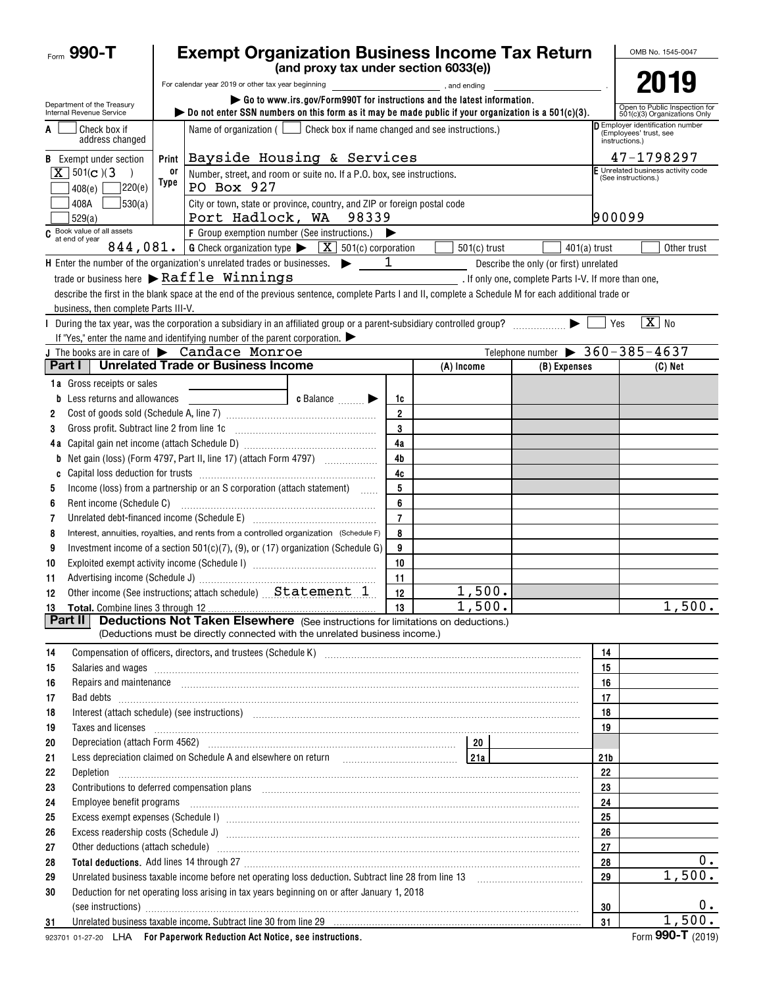| Form 990-T                                             | <b>Exempt Organization Business Income Tax Return</b>                                                                                                                                                                                                                        | OMB No. 1545-0047 |                                                      |                                                    |                 |                                                               |       |  |  |
|--------------------------------------------------------|------------------------------------------------------------------------------------------------------------------------------------------------------------------------------------------------------------------------------------------------------------------------------|-------------------|------------------------------------------------------|----------------------------------------------------|-----------------|---------------------------------------------------------------|-------|--|--|
|                                                        | (and proxy tax under section 6033(e))                                                                                                                                                                                                                                        |                   |                                                      |                                                    |                 |                                                               |       |  |  |
|                                                        | For calendar year 2019 or other tax year beginning [1,1] [1,200] , and ending<br>Go to www.irs.gov/Form990T for instructions and the latest information.                                                                                                                     |                   |                                                      |                                                    |                 |                                                               |       |  |  |
| Department of the Treasury<br>Internal Revenue Service | bo not enter SSN numbers on this form as it may be made public if your organization is a $501(c)(3)$ .                                                                                                                                                                       |                   |                                                      |                                                    |                 | Open to Public Inspection for<br>501(c)(3) Organizations Only |       |  |  |
| Check box if<br>address changed                        | <b>D</b> Employer identification number<br>Name of organization ( $\Box$ Check box if name changed and see instructions.)<br>(Employees' trust, see<br>instructions.)                                                                                                        |                   |                                                      |                                                    |                 |                                                               |       |  |  |
| <b>B</b> Exempt under section                          | Bayside Housing & Services<br><b>Print</b>                                                                                                                                                                                                                                   |                   |                                                      |                                                    |                 | 47-1798297                                                    |       |  |  |
| $X$ 501(c)(3)                                          | 0ľ<br>Number, street, and room or suite no. If a P.O. box, see instructions.<br>Type                                                                                                                                                                                         |                   |                                                      |                                                    |                 | F Unrelated business activity code<br>(See instructions.)     |       |  |  |
| 7220(e)<br>408(e)                                      | PO Box 927                                                                                                                                                                                                                                                                   |                   |                                                      |                                                    |                 |                                                               |       |  |  |
| 530(a)<br>408A<br>529(a)                               | City or town, state or province, country, and ZIP or foreign postal code<br>Port Hadlock, WA 98339                                                                                                                                                                           |                   |                                                      |                                                    | 900099          |                                                               |       |  |  |
| $C$ Book value of all assets at end of year            | F Group exemption number (See instructions.)                                                                                                                                                                                                                                 |                   |                                                      |                                                    |                 |                                                               |       |  |  |
| 844,081.                                               | <b>G</b> Check organization type $\blacktriangleright \boxed{X}$ 501(c) corporation                                                                                                                                                                                          |                   | $501(c)$ trust                                       | $401(a)$ trust                                     |                 | Other trust                                                   |       |  |  |
|                                                        | $H$ Enter the number of the organization's unrelated trades or businesses. $\blacktriangleright$                                                                                                                                                                             | $\mathbf 1$       |                                                      | Describe the only (or first) unrelated             |                 |                                                               |       |  |  |
|                                                        | $\mathbf{t}$ rade or business here $\blacktriangleright$ Raffle Winnings                                                                                                                                                                                                     |                   | . If only one, complete Parts I-V. If more than one, |                                                    |                 |                                                               |       |  |  |
| business, then complete Parts III-V.                   | describe the first in the blank space at the end of the previous sentence, complete Parts I and II, complete a Schedule M for each additional trade or                                                                                                                       |                   |                                                      |                                                    |                 |                                                               |       |  |  |
|                                                        | During the tax year, was the corporation a subsidiary in an affiliated group or a parent-subsidiary controlled group?                                                                                                                                                        |                   |                                                      |                                                    | Yes             | $\boxed{\text{X}}$ No                                         |       |  |  |
|                                                        | If "Yes," enter the name and identifying number of the parent corporation. $\blacktriangleright$                                                                                                                                                                             |                   |                                                      |                                                    |                 |                                                               |       |  |  |
|                                                        | J The books are in care of $\blacktriangleright$ Candace Monroe                                                                                                                                                                                                              |                   |                                                      | Telephone number $\triangleright$ 360 - 385 - 4637 |                 |                                                               |       |  |  |
| Part I                                                 | <b>Unrelated Trade or Business Income</b>                                                                                                                                                                                                                                    |                   | (A) Income                                           | (B) Expenses                                       |                 | $(C)$ Net                                                     |       |  |  |
| <b>1a</b> Gross receipts or sales                      |                                                                                                                                                                                                                                                                              |                   |                                                      |                                                    |                 |                                                               |       |  |  |
| <b>b</b> Less returns and allowances                   | c Balance<br><u> 1989 - Jan Barnett, fransk politiker</u>                                                                                                                                                                                                                    | 1c                |                                                      |                                                    |                 |                                                               |       |  |  |
| 2                                                      |                                                                                                                                                                                                                                                                              | $\overline{2}$    |                                                      |                                                    |                 |                                                               |       |  |  |
| 3                                                      |                                                                                                                                                                                                                                                                              | 3                 |                                                      |                                                    |                 |                                                               |       |  |  |
|                                                        |                                                                                                                                                                                                                                                                              | 4a                |                                                      |                                                    |                 |                                                               |       |  |  |
| b                                                      |                                                                                                                                                                                                                                                                              | 4 <sub>b</sub>    |                                                      |                                                    |                 |                                                               |       |  |  |
| C                                                      |                                                                                                                                                                                                                                                                              | 4c<br>5           |                                                      |                                                    |                 |                                                               |       |  |  |
| 5<br>6                                                 | Income (loss) from a partnership or an S corporation (attach statement)                                                                                                                                                                                                      | 6                 |                                                      |                                                    |                 |                                                               |       |  |  |
| 7                                                      | Unrelated debt-financed income (Schedule E) [11] [2010] [2010] [2010] [2010] [2010] [2010] [2010] [2010] [2010                                                                                                                                                               | $\overline{7}$    |                                                      |                                                    |                 |                                                               |       |  |  |
| 8                                                      | Interest, annuities, royalties, and rents from a controlled organization (Schedule F)                                                                                                                                                                                        | 8                 |                                                      |                                                    |                 |                                                               |       |  |  |
| 9                                                      | Investment income of a section $501(c)(7)$ , (9), or (17) organization (Schedule G)                                                                                                                                                                                          | 9                 |                                                      |                                                    |                 |                                                               |       |  |  |
| 10                                                     |                                                                                                                                                                                                                                                                              | 10                |                                                      |                                                    |                 |                                                               |       |  |  |
| 11                                                     |                                                                                                                                                                                                                                                                              | 11                |                                                      |                                                    |                 |                                                               |       |  |  |
| 12                                                     | Other income (See instructions; attach schedule) Statement 1                                                                                                                                                                                                                 | 12                | 1,500.                                               |                                                    |                 |                                                               |       |  |  |
|                                                        |                                                                                                                                                                                                                                                                              | 13                | 1,500.                                               |                                                    |                 | 1,500.                                                        |       |  |  |
| Part II                                                | <b>Deductions Not Taken Elsewhere</b> (See instructions for limitations on deductions.)                                                                                                                                                                                      |                   |                                                      |                                                    |                 |                                                               |       |  |  |
|                                                        | (Deductions must be directly connected with the unrelated business income.)                                                                                                                                                                                                  |                   |                                                      |                                                    |                 |                                                               |       |  |  |
| 14                                                     | Compensation of officers, directors, and trustees (Schedule K) [11] [2010] Compensation of officers, directors, and trustees (Schedule K) [11] [2010] [2010] [2010] [2010] [2010] [2010] [2010] [2010] [2010] [2010] [2010] [2                                               |                   |                                                      |                                                    | 14              |                                                               |       |  |  |
| 15                                                     | Salaries and wages <b>with a construction of the construction</b> and wages <b>construction</b> and wages <b>construction</b> and <b>construction</b> and <b>construction</b> and <b>construction</b> and <b>construction</b> and <b>construction</b> and <b>constructio</b> |                   |                                                      |                                                    | 15              |                                                               |       |  |  |
| 16<br>17                                               | Repairs and maintenance <i>[1] [1] [1] [1] [1] [1] [1] [1] [1] [1]</i> [1] <b>[1]</b> [1] <b>[1]</b> [1] <b>[1] [1] [1] [1] [1] [1] [1] [1] [1] [1] [1] [1] [1] [1] [1] [1] [1] [1] [1] [1] [1] [1]</b>                                                                      |                   |                                                      |                                                    | 16<br>17        |                                                               |       |  |  |
| 18                                                     | Interest (attach schedule) (see instructions) www.communically.communically.communically.communically.communically                                                                                                                                                           |                   |                                                      |                                                    | 18              |                                                               |       |  |  |
| 19                                                     | Taxes and licenses <b>construction and construction of the construction</b> and construction of the construction of the construction of the construction of the construction of the construction of the construction of the constru                                          |                   |                                                      |                                                    | 19              |                                                               |       |  |  |
| 20                                                     |                                                                                                                                                                                                                                                                              |                   | <b>20</b>                                            |                                                    |                 |                                                               |       |  |  |
| 21                                                     | Less depreciation claimed on Schedule A and elsewhere on return [1] [218] [218]                                                                                                                                                                                              |                   |                                                      |                                                    | 21 <sub>b</sub> |                                                               |       |  |  |
| 22                                                     |                                                                                                                                                                                                                                                                              |                   |                                                      |                                                    | 22              |                                                               |       |  |  |
| 23                                                     | Contributions to deferred compensation plans [11] manufactured contributions to deferred compensation plans [11] manufactured compensation plans [11] manufactured compensation plans [11] manufactured contributions to defer                                               |                   |                                                      |                                                    | 23              |                                                               |       |  |  |
| 24                                                     | Employee benefit programs in the continuum contract of the contract of the contract of the contract of the contract of the contract of the contract of the contract of the contract of the contract of the contract of the con                                               |                   |                                                      |                                                    | 24              |                                                               |       |  |  |
| 25                                                     |                                                                                                                                                                                                                                                                              |                   |                                                      |                                                    | 25              |                                                               |       |  |  |
| 26                                                     |                                                                                                                                                                                                                                                                              |                   |                                                      |                                                    | 26              |                                                               |       |  |  |
| 27                                                     | Other deductions (attach schedule) manufactured and contract and contract and contract and contract and contract and contract and contract and contract and contract and contract and contract and contract and contract and c                                               |                   |                                                      |                                                    | 27              |                                                               | 0.    |  |  |
| 28                                                     |                                                                                                                                                                                                                                                                              |                   |                                                      |                                                    | 28<br>29        | 1,500.                                                        |       |  |  |
| 29<br>30                                               | Deduction for net operating loss arising in tax years beginning on or after January 1, 2018                                                                                                                                                                                  |                   |                                                      |                                                    |                 |                                                               |       |  |  |
|                                                        |                                                                                                                                                                                                                                                                              |                   |                                                      |                                                    | 30              |                                                               | $0$ . |  |  |
| 31                                                     | Unrelated business taxable income. Subtract line 30 from line 29 manufacture income contained business taxable income. Subtract line 30 from line 29 manufacture income and the state of the state of the state of the state o                                               |                   |                                                      |                                                    | 31              | 1,500.                                                        |       |  |  |
|                                                        | Ear Denemierk Deduction Ast Notice and instructions                                                                                                                                                                                                                          |                   |                                                      |                                                    |                 | $T_{\text{arm}}$ QQO_T $(0.010)$                              |       |  |  |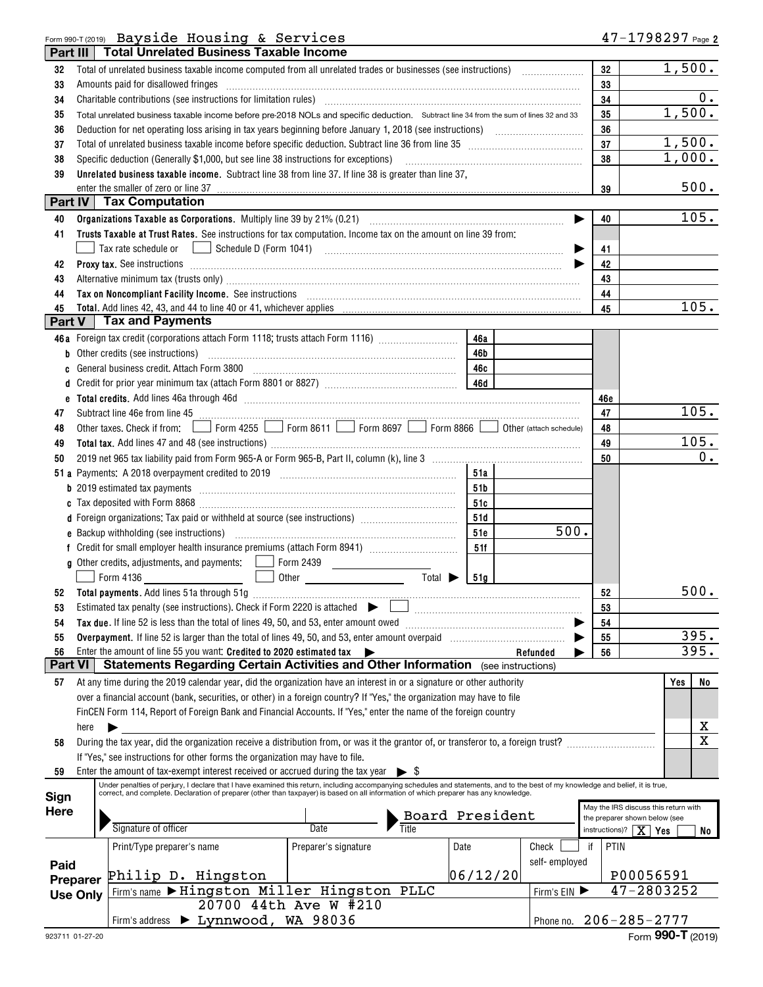## Form 990-T (2019) Page Bayside Housing & Services

| Part III      |                 | <b>Total Unrelated Business Taxable Income</b>                                                                                                                                                                                      |                       |                             |          |               |            |                                                                       |
|---------------|-----------------|-------------------------------------------------------------------------------------------------------------------------------------------------------------------------------------------------------------------------------------|-----------------------|-----------------------------|----------|---------------|------------|-----------------------------------------------------------------------|
| 32            |                 |                                                                                                                                                                                                                                     |                       |                             |          |               | 32         | 1,500.                                                                |
| 33            |                 | Amounts paid for disallowed fringes [11, 12] manuscription and the final state of the state of the state of the state of the state of the state of the state of the state of the state of the state of the state of the state       |                       |                             |          |               | 33         |                                                                       |
| 34            |                 | Charitable contributions (see instructions for limitation rules) [11] manufacture in the contributions (see instructions for limitation rules) [11] manufacture in the contributions (see instructions for limitation rules) [      |                       |                             |          |               | 34         | 0.                                                                    |
| 35            |                 | Total unrelated business taxable income before pre-2018 NOLs and specific deduction. Subtract line 34 from the sum of lines 32 and 33                                                                                               |                       |                             |          |               | 35         | 1,500.                                                                |
| 36            |                 |                                                                                                                                                                                                                                     |                       |                             |          |               | 36         |                                                                       |
| 37            |                 |                                                                                                                                                                                                                                     |                       |                             |          |               | 37         | 1,500.                                                                |
| 38            |                 |                                                                                                                                                                                                                                     |                       |                             |          |               | 38         | 1,000.                                                                |
| 39            |                 | Unrelated business taxable income. Subtract line 38 from line 37. If line 38 is greater than line 37,                                                                                                                               |                       |                             |          |               |            |                                                                       |
|               |                 | enter the smaller of zero or line 37                                                                                                                                                                                                |                       |                             |          |               | 39         | 500.                                                                  |
|               |                 | <b>Part IV Tax Computation</b>                                                                                                                                                                                                      |                       |                             |          |               |            |                                                                       |
| 40            |                 |                                                                                                                                                                                                                                     |                       |                             |          |               | 40         | 105.                                                                  |
| 41            |                 | Trusts Taxable at Trust Rates. See instructions for tax computation. Income tax on the amount on line 39 from:                                                                                                                      |                       |                             |          |               |            |                                                                       |
|               |                 | Tax rate schedule or                                                                                                                                                                                                                |                       |                             |          |               | 41         |                                                                       |
| 42            |                 |                                                                                                                                                                                                                                     |                       |                             |          |               | 42         |                                                                       |
|               |                 | Proxy tax. See instructions information and contact the set of the set of the set of the set of the set of the set of the set of the set of the set of the set of the set of the set of the set of the set of the set of the s      |                       |                             |          |               | 43         |                                                                       |
| 43            |                 | Alternative minimum tax (trusts only) material content and all alternative minimum tax (trusts only)                                                                                                                                |                       |                             |          |               | 44         |                                                                       |
| 44<br>45      |                 | Tax on Noncompliant Facility Income. See instructions [11] All and the content of the set of Noncompliant Facility Income. See instructions [11] All and the set of the set of the set of the set of the set of the set of the      |                       |                             |          |               | 45         | 105.                                                                  |
| <b>Part V</b> |                 | <b>Tax and Payments</b>                                                                                                                                                                                                             |                       |                             |          |               |            |                                                                       |
|               |                 | 46a Foreign tax credit (corporations attach Form 1118; trusts attach Form 1116) [                                                                                                                                                   |                       |                             | 46a      |               |            |                                                                       |
| b             |                 |                                                                                                                                                                                                                                     |                       |                             | 46b      |               |            |                                                                       |
|               |                 |                                                                                                                                                                                                                                     |                       |                             | 46с      |               |            |                                                                       |
| c             |                 |                                                                                                                                                                                                                                     |                       |                             |          |               |            |                                                                       |
| e             |                 |                                                                                                                                                                                                                                     |                       |                             |          |               |            |                                                                       |
| 47            |                 |                                                                                                                                                                                                                                     |                       |                             |          |               | 46e<br>47  | 105.                                                                  |
| 48            |                 | Other taxes. Check if from: Form 4255 Supering 8611 Sorm 8697 Supering 866 Supering the rattach schedule)                                                                                                                           |                       |                             |          |               | 48         |                                                                       |
|               |                 |                                                                                                                                                                                                                                     |                       |                             |          |               | 49         | 105.                                                                  |
| 49            |                 |                                                                                                                                                                                                                                     |                       |                             |          |               | 50         | 0.                                                                    |
| 50            |                 |                                                                                                                                                                                                                                     |                       |                             | 51a      |               |            |                                                                       |
|               |                 |                                                                                                                                                                                                                                     |                       |                             |          |               |            |                                                                       |
|               |                 |                                                                                                                                                                                                                                     |                       |                             | 51b      |               |            |                                                                       |
|               |                 |                                                                                                                                                                                                                                     |                       |                             | 51c      |               |            |                                                                       |
|               |                 | d Foreign organizations: Tax paid or withheld at source (see instructions) [1001111111111111111111111111111111                                                                                                                      |                       |                             | 51d      | 500.          |            |                                                                       |
|               |                 |                                                                                                                                                                                                                                     |                       |                             | 51e      |               |            |                                                                       |
|               |                 |                                                                                                                                                                                                                                     |                       |                             | 51f      |               |            |                                                                       |
|               |                 | Form 4136<br>$\mathbf{1}$                                                                                                                                                                                                           |                       | Total $\blacktriangleright$ | 151a     |               |            |                                                                       |
| 52            |                 |                                                                                                                                                                                                                                     |                       |                             |          |               | 52         | 500.                                                                  |
|               |                 | Estimated tax penalty (see instructions). Check if Form 2220 is attached $\bullet$ and according the content of the structure of the structure of the structure of the structure of the structure of the structure of the structure |                       |                             |          |               | 53         |                                                                       |
| 54            |                 | Tax due. If line 52 is less than the total of lines 49, 50, and 53, enter amount owed                                                                                                                                               |                       |                             |          |               | 54         |                                                                       |
| 55            |                 |                                                                                                                                                                                                                                     |                       |                             |          |               | 55         | 395.                                                                  |
| 56            |                 | Enter the amount of line 55 you want: Credited to 2020 estimated tax                                                                                                                                                                |                       |                             |          | Refunded      | 56         | 395.                                                                  |
| Part VI       |                 | <b>Statements Regarding Certain Activities and Other Information</b> (see instructions)                                                                                                                                             |                       |                             |          |               |            |                                                                       |
| 57            |                 | At any time during the 2019 calendar year, did the organization have an interest in or a signature or other authority                                                                                                               |                       |                             |          |               |            | No<br>Yes                                                             |
|               |                 | over a financial account (bank, securities, or other) in a foreign country? If "Yes," the organization may have to file                                                                                                             |                       |                             |          |               |            |                                                                       |
|               |                 | FinCEN Form 114, Report of Foreign Bank and Financial Accounts. If "Yes," enter the name of the foreign country                                                                                                                     |                       |                             |          |               |            |                                                                       |
|               | here            |                                                                                                                                                                                                                                     |                       |                             |          |               |            | х                                                                     |
| 58            |                 | During the tax year, did the organization receive a distribution from, or was it the grantor of, or transferor to, a foreign trust?                                                                                                 |                       |                             |          |               |            | $\mathbf X$                                                           |
|               |                 | If "Yes," see instructions for other forms the organization may have to file.                                                                                                                                                       |                       |                             |          |               |            |                                                                       |
| 59            |                 | Enter the amount of tax-exempt interest received or accrued during the tax year                                                                                                                                                     |                       | $\blacktriangleright$ s     |          |               |            |                                                                       |
|               |                 | Under penalties of perjury, I declare that I have examined this return, including accompanying schedules and statements, and to the best of my knowledge and belief, it is true,                                                    |                       |                             |          |               |            |                                                                       |
| Sign          |                 | correct, and complete. Declaration of preparer (other than taxpayer) is based on all information of which preparer has any knowledge.                                                                                               |                       |                             |          |               |            |                                                                       |
| <b>Here</b>   |                 |                                                                                                                                                                                                                                     |                       |                             |          |               |            | May the IRS discuss this return with<br>the preparer shown below (see |
|               |                 | Signature of officer                                                                                                                                                                                                                | Date                  | Board President             |          |               |            | instructions)? $X$ Yes<br>No                                          |
|               |                 | Print/Type preparer's name                                                                                                                                                                                                          | Preparer's signature  |                             | Date     | Check         | if<br>PTIN |                                                                       |
|               |                 |                                                                                                                                                                                                                                     |                       |                             |          | self-employed |            |                                                                       |
| Paid          |                 | Philip D. Hingston                                                                                                                                                                                                                  |                       |                             | 06/12/20 |               |            | P00056591                                                             |
|               | Preparer        | Firm's name > Hingston Miller Hingston PLLC                                                                                                                                                                                         |                       |                             |          | Firm's EIN    |            | 47-2803252                                                            |
|               | <b>Use Only</b> |                                                                                                                                                                                                                                     | 20700 44th Ave W #210 |                             |          |               |            |                                                                       |
|               |                 | Firm's address > Lynnwood, WA 98036                                                                                                                                                                                                 |                       |                             |          |               |            | Phone no. 206-285-2777                                                |